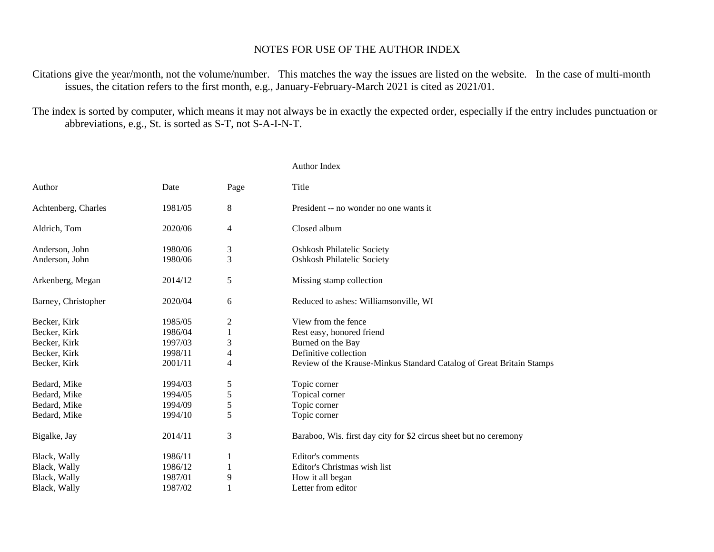## NOTES FOR USE OF THE AUTHOR INDEX

Citations give the year/month, not the volume/number. This matches the way the issues are listed on the website. In the case of multi-month issues, the citation refers to the first month, e.g., January-February-March 2021 is cited as 2021/01.

The index is sorted by computer, which means it may not always be in exactly the expected order, especially if the entry includes punctuation or abbreviations, e.g., St. is sorted as S-T, not S-A-I-N-T.

|                     |         |                         | Author Index                                                         |
|---------------------|---------|-------------------------|----------------------------------------------------------------------|
| Author              | Date    | Page                    | Title                                                                |
| Achtenberg, Charles | 1981/05 | 8                       | President -- no wonder no one wants it                               |
| Aldrich, Tom        | 2020/06 | 4                       | Closed album                                                         |
| Anderson, John      | 1980/06 | 3                       | <b>Oshkosh Philatelic Society</b>                                    |
| Anderson, John      | 1980/06 | 3                       | <b>Oshkosh Philatelic Society</b>                                    |
| Arkenberg, Megan    | 2014/12 | 5                       | Missing stamp collection                                             |
| Barney, Christopher | 2020/04 | 6                       | Reduced to ashes: Williamsonville, WI                                |
| Becker, Kirk        | 1985/05 | $\overline{\mathbf{c}}$ | View from the fence                                                  |
| Becker, Kirk        | 1986/04 | $\mathbf{1}$            | Rest easy, honored friend                                            |
| Becker, Kirk        | 1997/03 | 3                       | Burned on the Bay                                                    |
| Becker, Kirk        | 1998/11 | 4                       | Definitive collection                                                |
| Becker, Kirk        | 2001/11 | 4                       | Review of the Krause-Minkus Standard Catalog of Great Britain Stamps |
| Bedard, Mike        | 1994/03 | 5                       | Topic corner                                                         |
| Bedard, Mike        | 1994/05 | 5                       | Topical corner                                                       |
| Bedard, Mike        | 1994/09 | 5                       | Topic corner                                                         |
| Bedard, Mike        | 1994/10 | 5                       | Topic corner                                                         |
| Bigalke, Jay        | 2014/11 | 3                       | Baraboo, Wis. first day city for \$2 circus sheet but no ceremony    |
| Black, Wally        | 1986/11 | 1                       | Editor's comments                                                    |
| Black, Wally        | 1986/12 | 1                       | Editor's Christmas wish list                                         |
| Black, Wally        | 1987/01 | 9                       | How it all began                                                     |
| Black, Wally        | 1987/02 |                         | Letter from editor                                                   |
|                     |         |                         |                                                                      |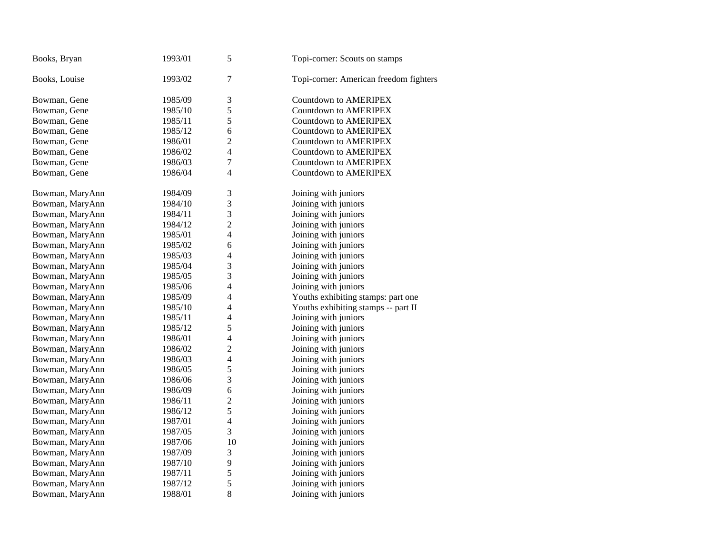| Books, Bryan    | 1993/01 | 5                        | Topi-corner: Scouts on stamps          |
|-----------------|---------|--------------------------|----------------------------------------|
| Books, Louise   | 1993/02 | $\overline{7}$           | Topi-corner: American freedom fighters |
| Bowman, Gene    | 1985/09 | 3                        | Countdown to AMERIPEX                  |
| Bowman, Gene    | 1985/10 | 5                        | Countdown to AMERIPEX                  |
| Bowman, Gene    | 1985/11 | 5                        | <b>Countdown to AMERIPEX</b>           |
| Bowman, Gene    | 1985/12 | 6                        | <b>Countdown to AMERIPEX</b>           |
| Bowman, Gene    | 1986/01 | $\overline{2}$           | <b>Countdown to AMERIPEX</b>           |
| Bowman, Gene    | 1986/02 | 4                        | Countdown to AMERIPEX                  |
| Bowman, Gene    | 1986/03 | 7                        | Countdown to AMERIPEX                  |
| Bowman, Gene    | 1986/04 | 4                        | Countdown to AMERIPEX                  |
| Bowman, MaryAnn | 1984/09 | 3                        | Joining with juniors                   |
| Bowman, MaryAnn | 1984/10 | 3                        | Joining with juniors                   |
| Bowman, MaryAnn | 1984/11 | 3                        | Joining with juniors                   |
| Bowman, MaryAnn | 1984/12 | $\overline{c}$           | Joining with juniors                   |
| Bowman, MaryAnn | 1985/01 | 4                        | Joining with juniors                   |
| Bowman, MaryAnn | 1985/02 | 6                        | Joining with juniors                   |
| Bowman, MaryAnn | 1985/03 | $\overline{4}$           | Joining with juniors                   |
| Bowman, MaryAnn | 1985/04 | 3                        | Joining with juniors                   |
| Bowman, MaryAnn | 1985/05 | 3                        | Joining with juniors                   |
| Bowman, MaryAnn | 1985/06 | 4                        | Joining with juniors                   |
| Bowman, MaryAnn | 1985/09 | 4                        | Youths exhibiting stamps: part one     |
| Bowman, MaryAnn | 1985/10 | $\overline{4}$           | Youths exhibiting stamps -- part II    |
| Bowman, MaryAnn | 1985/11 | $\overline{4}$           | Joining with juniors                   |
| Bowman, MaryAnn | 1985/12 | 5                        | Joining with juniors                   |
| Bowman, MaryAnn | 1986/01 | $\overline{\mathcal{L}}$ | Joining with juniors                   |
| Bowman, MaryAnn | 1986/02 | $\overline{c}$           | Joining with juniors                   |
| Bowman, MaryAnn | 1986/03 | $\overline{4}$           | Joining with juniors                   |
| Bowman, MaryAnn | 1986/05 | 5                        | Joining with juniors                   |
| Bowman, MaryAnn | 1986/06 | 3                        | Joining with juniors                   |
| Bowman, MaryAnn | 1986/09 | 6                        | Joining with juniors                   |
| Bowman, MaryAnn | 1986/11 | $\overline{c}$           | Joining with juniors                   |
| Bowman, MaryAnn | 1986/12 | 5                        | Joining with juniors                   |
| Bowman, MaryAnn | 1987/01 | $\overline{4}$           | Joining with juniors                   |
| Bowman, MaryAnn | 1987/05 | 3                        | Joining with juniors                   |
| Bowman, MaryAnn | 1987/06 | 10                       | Joining with juniors                   |
| Bowman, MaryAnn | 1987/09 | 3                        | Joining with juniors                   |
| Bowman, MaryAnn | 1987/10 | 9                        | Joining with juniors                   |
| Bowman, MaryAnn | 1987/11 | 5                        | Joining with juniors                   |
| Bowman, MaryAnn | 1987/12 | 5                        | Joining with juniors                   |
| Bowman, MaryAnn | 1988/01 | 8                        | Joining with juniors                   |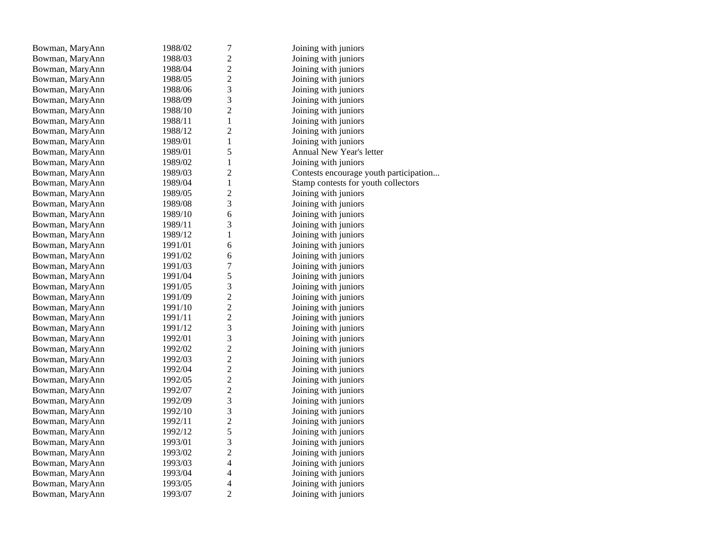| Bowman, MaryAnn | 1988/02 | $\tau$                   | Joining with juniors                   |
|-----------------|---------|--------------------------|----------------------------------------|
| Bowman, MaryAnn | 1988/03 | $\overline{c}$           | Joining with juniors                   |
| Bowman, MaryAnn | 1988/04 | $\overline{c}$           | Joining with juniors                   |
| Bowman, MaryAnn | 1988/05 | $\overline{c}$           | Joining with juniors                   |
| Bowman, MaryAnn | 1988/06 | 3                        | Joining with juniors                   |
| Bowman, MaryAnn | 1988/09 | 3                        | Joining with juniors                   |
| Bowman, MaryAnn | 1988/10 | $\overline{c}$           | Joining with juniors                   |
| Bowman, MaryAnn | 1988/11 | $\,1$                    | Joining with juniors                   |
| Bowman, MaryAnn | 1988/12 | $\overline{c}$           | Joining with juniors                   |
| Bowman, MaryAnn | 1989/01 | $\mathbf{1}$             | Joining with juniors                   |
| Bowman, MaryAnn | 1989/01 | 5                        | Annual New Year's letter               |
| Bowman, MaryAnn | 1989/02 | $\mathbf{1}$             | Joining with juniors                   |
| Bowman, MaryAnn | 1989/03 | $\overline{c}$           | Contests encourage youth participation |
| Bowman, MaryAnn | 1989/04 | $\,1$                    | Stamp contests for youth collectors    |
| Bowman, MaryAnn | 1989/05 | $\overline{c}$           | Joining with juniors                   |
| Bowman, MaryAnn | 1989/08 | 3                        | Joining with juniors                   |
| Bowman, MaryAnn | 1989/10 | 6                        | Joining with juniors                   |
| Bowman, MaryAnn | 1989/11 | 3                        | Joining with juniors                   |
| Bowman, MaryAnn | 1989/12 | $\mathbf{1}$             | Joining with juniors                   |
| Bowman, MaryAnn | 1991/01 | 6                        | Joining with juniors                   |
| Bowman, MaryAnn | 1991/02 | 6                        | Joining with juniors                   |
| Bowman, MaryAnn | 1991/03 | $\overline{7}$           | Joining with juniors                   |
| Bowman, MaryAnn | 1991/04 | 5                        | Joining with juniors                   |
| Bowman, MaryAnn | 1991/05 | 3                        | Joining with juniors                   |
| Bowman, MaryAnn | 1991/09 | $\overline{c}$           | Joining with juniors                   |
| Bowman, MaryAnn | 1991/10 | $\overline{c}$           | Joining with juniors                   |
| Bowman, MaryAnn | 1991/11 | $\overline{c}$           | Joining with juniors                   |
| Bowman, MaryAnn | 1991/12 | 3                        | Joining with juniors                   |
| Bowman, MaryAnn | 1992/01 | 3                        | Joining with juniors                   |
| Bowman, MaryAnn | 1992/02 | $\overline{c}$           | Joining with juniors                   |
| Bowman, MaryAnn | 1992/03 | $\overline{c}$           | Joining with juniors                   |
| Bowman, MaryAnn | 1992/04 | $\overline{c}$           | Joining with juniors                   |
| Bowman, MaryAnn | 1992/05 | $\overline{c}$           | Joining with juniors                   |
| Bowman, MaryAnn | 1992/07 | $\overline{c}$           | Joining with juniors                   |
| Bowman, MaryAnn | 1992/09 | 3                        | Joining with juniors                   |
| Bowman, MaryAnn | 1992/10 | 3                        | Joining with juniors                   |
| Bowman, MaryAnn | 1992/11 | $\overline{c}$           | Joining with juniors                   |
| Bowman, MaryAnn | 1992/12 | 5                        | Joining with juniors                   |
| Bowman, MaryAnn | 1993/01 | 3                        | Joining with juniors                   |
| Bowman, MaryAnn | 1993/02 | $\overline{c}$           | Joining with juniors                   |
| Bowman, MaryAnn | 1993/03 | $\overline{\mathbf{4}}$  | Joining with juniors                   |
| Bowman, MaryAnn | 1993/04 | $\overline{\mathcal{L}}$ | Joining with juniors                   |
| Bowman, MaryAnn | 1993/05 | 4                        | Joining with juniors                   |
| Bowman, MaryAnn | 1993/07 | $\overline{2}$           | Joining with juniors                   |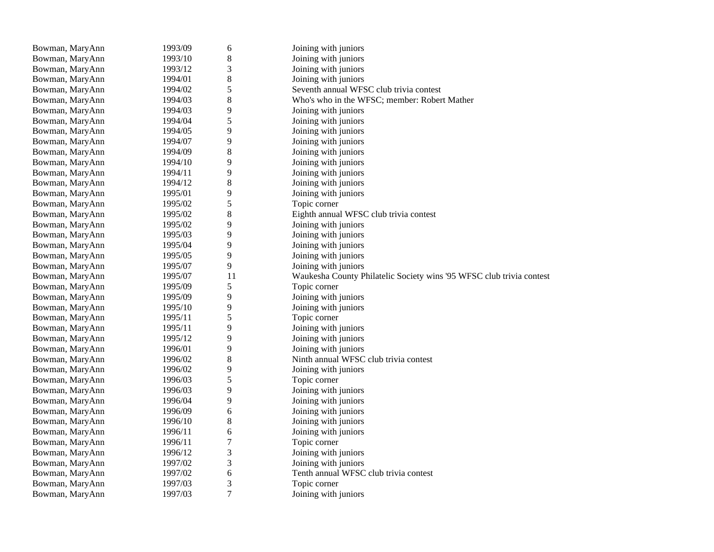| $\,8$<br>Bowman, MaryAnn<br>1993/10<br>Joining with juniors<br>3<br>Joining with juniors<br>Bowman, MaryAnn<br>1993/12<br>$\,8\,$<br>Bowman, MaryAnn<br>Joining with juniors<br>1994/01<br>5<br>1994/02<br>Seventh annual WFSC club trivia contest<br>Bowman, MaryAnn<br>$8\,$<br>Who's who in the WFSC; member: Robert Mather<br>Bowman, MaryAnn<br>1994/03<br>$\mathbf{9}$<br>Bowman, MaryAnn<br>1994/03<br>Joining with juniors<br>$\mathfrak s$<br>Bowman, MaryAnn<br>1994/04<br>Joining with juniors |  |
|-----------------------------------------------------------------------------------------------------------------------------------------------------------------------------------------------------------------------------------------------------------------------------------------------------------------------------------------------------------------------------------------------------------------------------------------------------------------------------------------------------------|--|
|                                                                                                                                                                                                                                                                                                                                                                                                                                                                                                           |  |
|                                                                                                                                                                                                                                                                                                                                                                                                                                                                                                           |  |
|                                                                                                                                                                                                                                                                                                                                                                                                                                                                                                           |  |
|                                                                                                                                                                                                                                                                                                                                                                                                                                                                                                           |  |
|                                                                                                                                                                                                                                                                                                                                                                                                                                                                                                           |  |
|                                                                                                                                                                                                                                                                                                                                                                                                                                                                                                           |  |
|                                                                                                                                                                                                                                                                                                                                                                                                                                                                                                           |  |
| 9<br>Joining with juniors<br>Bowman, MaryAnn<br>1994/05                                                                                                                                                                                                                                                                                                                                                                                                                                                   |  |
| 9<br>Joining with juniors<br>Bowman, MaryAnn<br>1994/07                                                                                                                                                                                                                                                                                                                                                                                                                                                   |  |
| 8<br>Joining with juniors<br>Bowman, MaryAnn<br>1994/09                                                                                                                                                                                                                                                                                                                                                                                                                                                   |  |
| 9<br>Bowman, MaryAnn<br>1994/10<br>Joining with juniors                                                                                                                                                                                                                                                                                                                                                                                                                                                   |  |
| 9<br>Joining with juniors<br>Bowman, MaryAnn<br>1994/11                                                                                                                                                                                                                                                                                                                                                                                                                                                   |  |
| 8<br>Bowman, MaryAnn<br>1994/12<br>Joining with juniors                                                                                                                                                                                                                                                                                                                                                                                                                                                   |  |
| 9<br>Joining with juniors<br>Bowman, MaryAnn<br>1995/01                                                                                                                                                                                                                                                                                                                                                                                                                                                   |  |
| 5<br>Topic corner<br>Bowman, MaryAnn<br>1995/02                                                                                                                                                                                                                                                                                                                                                                                                                                                           |  |
| $\,$ 8 $\,$<br>1995/02<br>Eighth annual WFSC club trivia contest<br>Bowman, MaryAnn                                                                                                                                                                                                                                                                                                                                                                                                                       |  |
| 9<br>Bowman, MaryAnn<br>1995/02<br>Joining with juniors                                                                                                                                                                                                                                                                                                                                                                                                                                                   |  |
| 9<br>Bowman, MaryAnn<br>1995/03<br>Joining with juniors                                                                                                                                                                                                                                                                                                                                                                                                                                                   |  |
| 9<br>Bowman, MaryAnn<br>1995/04<br>Joining with juniors                                                                                                                                                                                                                                                                                                                                                                                                                                                   |  |
| 9<br>Joining with juniors<br>Bowman, MaryAnn<br>1995/05                                                                                                                                                                                                                                                                                                                                                                                                                                                   |  |
| 9<br>Bowman, MaryAnn<br>1995/07<br>Joining with juniors                                                                                                                                                                                                                                                                                                                                                                                                                                                   |  |
| 11<br>Bowman, MaryAnn<br>1995/07<br>Waukesha County Philatelic Society wins '95 WFSC club trivia contest                                                                                                                                                                                                                                                                                                                                                                                                  |  |
| 5<br>Bowman, MaryAnn<br>1995/09<br>Topic corner                                                                                                                                                                                                                                                                                                                                                                                                                                                           |  |
| 9<br>Joining with juniors<br>Bowman, MaryAnn<br>1995/09                                                                                                                                                                                                                                                                                                                                                                                                                                                   |  |
| 9<br>Bowman, MaryAnn<br>1995/10<br>Joining with juniors                                                                                                                                                                                                                                                                                                                                                                                                                                                   |  |
| 5<br>Topic corner<br>Bowman, MaryAnn<br>1995/11                                                                                                                                                                                                                                                                                                                                                                                                                                                           |  |
| 9<br>Joining with juniors<br>Bowman, MaryAnn<br>1995/11                                                                                                                                                                                                                                                                                                                                                                                                                                                   |  |
| 9<br>1995/12<br>Joining with juniors<br>Bowman, MaryAnn                                                                                                                                                                                                                                                                                                                                                                                                                                                   |  |
| 9<br>Joining with juniors<br>Bowman, MaryAnn<br>1996/01                                                                                                                                                                                                                                                                                                                                                                                                                                                   |  |
|                                                                                                                                                                                                                                                                                                                                                                                                                                                                                                           |  |
| $\,$ 8 $\,$<br>Bowman, MaryAnn<br>Ninth annual WFSC club trivia contest<br>1996/02                                                                                                                                                                                                                                                                                                                                                                                                                        |  |
| 9<br>Bowman, MaryAnn<br>1996/02<br>Joining with juniors                                                                                                                                                                                                                                                                                                                                                                                                                                                   |  |
| 5<br>Topic corner<br>Bowman, MaryAnn<br>1996/03                                                                                                                                                                                                                                                                                                                                                                                                                                                           |  |
| 9<br>Bowman, MaryAnn<br>1996/03<br>Joining with juniors                                                                                                                                                                                                                                                                                                                                                                                                                                                   |  |
| 9<br>Bowman, MaryAnn<br>1996/04<br>Joining with juniors                                                                                                                                                                                                                                                                                                                                                                                                                                                   |  |
| $\boldsymbol{6}$<br>Joining with juniors<br>Bowman, MaryAnn<br>1996/09                                                                                                                                                                                                                                                                                                                                                                                                                                    |  |
| $\,$ 8 $\,$<br>Bowman, MaryAnn<br>1996/10<br>Joining with juniors                                                                                                                                                                                                                                                                                                                                                                                                                                         |  |
| 6<br>Joining with juniors<br>Bowman, MaryAnn<br>1996/11                                                                                                                                                                                                                                                                                                                                                                                                                                                   |  |
| 7<br>Bowman, MaryAnn<br>1996/11<br>Topic corner                                                                                                                                                                                                                                                                                                                                                                                                                                                           |  |
| 3<br>1996/12<br>Joining with juniors<br>Bowman, MaryAnn                                                                                                                                                                                                                                                                                                                                                                                                                                                   |  |
| 3<br>1997/02<br>Joining with juniors<br>Bowman, MaryAnn                                                                                                                                                                                                                                                                                                                                                                                                                                                   |  |
| 6<br>Tenth annual WFSC club trivia contest<br>Bowman, MaryAnn<br>1997/02                                                                                                                                                                                                                                                                                                                                                                                                                                  |  |
| 3<br>1997/03<br>Bowman, MaryAnn<br>Topic corner<br>$\boldsymbol{7}$<br>Joining with juniors                                                                                                                                                                                                                                                                                                                                                                                                               |  |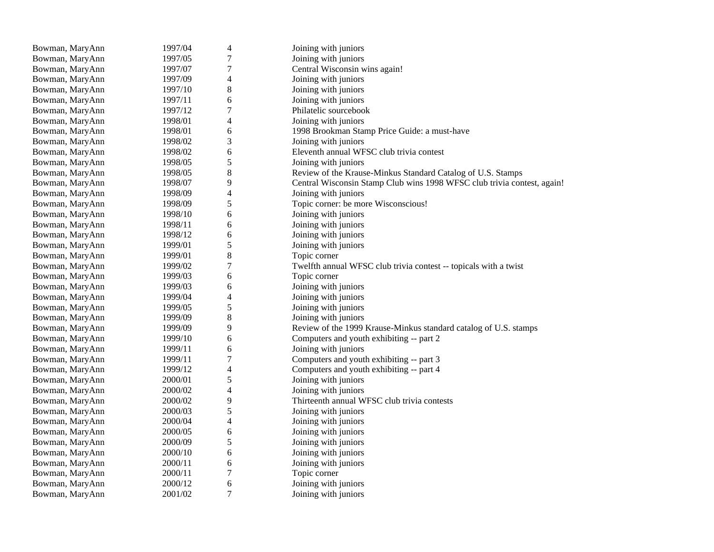| Bowman, MaryAnn | 1997/04 | 4                        | Joining with juniors                                                    |
|-----------------|---------|--------------------------|-------------------------------------------------------------------------|
| Bowman, MaryAnn | 1997/05 | $\boldsymbol{7}$         | Joining with juniors                                                    |
| Bowman, MaryAnn | 1997/07 | $\boldsymbol{7}$         | Central Wisconsin wins again!                                           |
| Bowman, MaryAnn | 1997/09 | $\overline{4}$           | Joining with juniors                                                    |
| Bowman, MaryAnn | 1997/10 | 8                        | Joining with juniors                                                    |
| Bowman, MaryAnn | 1997/11 | 6                        | Joining with juniors                                                    |
| Bowman, MaryAnn | 1997/12 | $\sqrt{ }$               | Philatelic sourcebook                                                   |
| Bowman, MaryAnn | 1998/01 | 4                        | Joining with juniors                                                    |
| Bowman, MaryAnn | 1998/01 | 6                        | 1998 Brookman Stamp Price Guide: a must-have                            |
| Bowman, MaryAnn | 1998/02 | 3                        | Joining with juniors                                                    |
| Bowman, MaryAnn | 1998/02 | 6                        | Eleventh annual WFSC club trivia contest                                |
| Bowman, MaryAnn | 1998/05 | 5                        | Joining with juniors                                                    |
| Bowman, MaryAnn | 1998/05 | 8                        | Review of the Krause-Minkus Standard Catalog of U.S. Stamps             |
| Bowman, MaryAnn | 1998/07 | 9                        | Central Wisconsin Stamp Club wins 1998 WFSC club trivia contest, again! |
| Bowman, MaryAnn | 1998/09 | $\overline{4}$           | Joining with juniors                                                    |
| Bowman, MaryAnn | 1998/09 | 5                        | Topic corner: be more Wisconscious!                                     |
| Bowman, MaryAnn | 1998/10 | 6                        | Joining with juniors                                                    |
| Bowman, MaryAnn | 1998/11 | 6                        | Joining with juniors                                                    |
| Bowman, MaryAnn | 1998/12 | 6                        | Joining with juniors                                                    |
| Bowman, MaryAnn | 1999/01 | 5                        | Joining with juniors                                                    |
| Bowman, MaryAnn | 1999/01 | 8                        | Topic corner                                                            |
| Bowman, MaryAnn | 1999/02 | $\boldsymbol{7}$         | Twelfth annual WFSC club trivia contest -- topicals with a twist        |
| Bowman, MaryAnn | 1999/03 | 6                        | Topic corner                                                            |
| Bowman, MaryAnn | 1999/03 | 6                        | Joining with juniors                                                    |
| Bowman, MaryAnn | 1999/04 | 4                        | Joining with juniors                                                    |
| Bowman, MaryAnn | 1999/05 | $\sqrt{5}$               | Joining with juniors                                                    |
| Bowman, MaryAnn | 1999/09 | 8                        | Joining with juniors                                                    |
| Bowman, MaryAnn | 1999/09 | 9                        | Review of the 1999 Krause-Minkus standard catalog of U.S. stamps        |
| Bowman, MaryAnn | 1999/10 | 6                        | Computers and youth exhibiting -- part 2                                |
| Bowman, MaryAnn | 1999/11 | 6                        | Joining with juniors                                                    |
| Bowman, MaryAnn | 1999/11 | $\boldsymbol{7}$         | Computers and youth exhibiting -- part 3                                |
| Bowman, MaryAnn | 1999/12 | $\overline{\mathcal{L}}$ | Computers and youth exhibiting -- part 4                                |
| Bowman, MaryAnn | 2000/01 | 5                        | Joining with juniors                                                    |
| Bowman, MaryAnn | 2000/02 | $\overline{4}$           | Joining with juniors                                                    |
| Bowman, MaryAnn | 2000/02 | 9                        | Thirteenth annual WFSC club trivia contests                             |
| Bowman, MaryAnn | 2000/03 | 5                        | Joining with juniors                                                    |
| Bowman, MaryAnn | 2000/04 | $\overline{\mathcal{L}}$ | Joining with juniors                                                    |
| Bowman, MaryAnn | 2000/05 | 6                        | Joining with juniors                                                    |
| Bowman, MaryAnn | 2000/09 | 5                        | Joining with juniors                                                    |
| Bowman, MaryAnn | 2000/10 | 6                        | Joining with juniors                                                    |
| Bowman, MaryAnn | 2000/11 | 6                        | Joining with juniors                                                    |
| Bowman, MaryAnn | 2000/11 | $\tau$                   | Topic corner                                                            |
| Bowman, MaryAnn | 2000/12 | 6                        | Joining with juniors                                                    |
| Bowman, MaryAnn | 2001/02 | 7                        | Joining with juniors                                                    |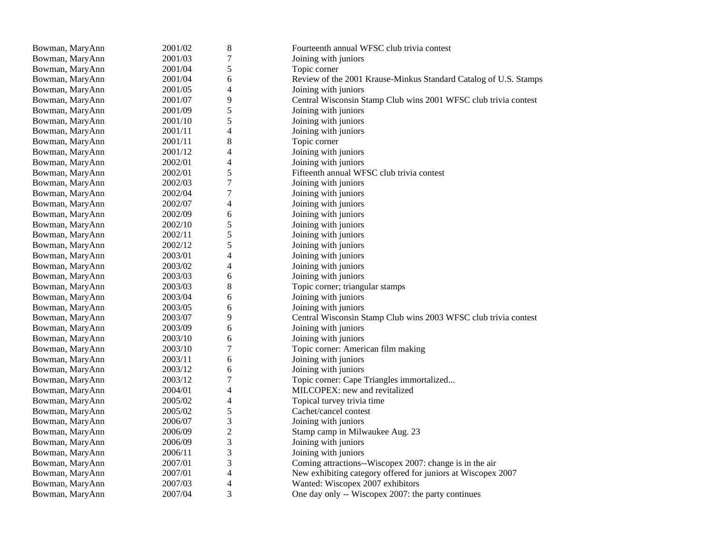| Bowman, MaryAnn | 2001/02 | $\,8$                    | Fourteenth annual WFSC club trivia contest                       |
|-----------------|---------|--------------------------|------------------------------------------------------------------|
| Bowman, MaryAnn | 2001/03 | $\overline{7}$           | Joining with juniors                                             |
| Bowman, MaryAnn | 2001/04 | 5                        | Topic corner                                                     |
| Bowman, MaryAnn | 2001/04 | 6                        | Review of the 2001 Krause-Minkus Standard Catalog of U.S. Stamps |
| Bowman, MaryAnn | 2001/05 | 4                        | Joining with juniors                                             |
| Bowman, MaryAnn | 2001/07 | 9                        | Central Wisconsin Stamp Club wins 2001 WFSC club trivia contest  |
| Bowman, MaryAnn | 2001/09 | 5                        | Joining with juniors                                             |
| Bowman, MaryAnn | 2001/10 | 5                        | Joining with juniors                                             |
| Bowman, MaryAnn | 2001/11 | 4                        | Joining with juniors                                             |
| Bowman, MaryAnn | 2001/11 | $8\,$                    | Topic corner                                                     |
| Bowman, MaryAnn | 2001/12 | $\overline{4}$           | Joining with juniors                                             |
| Bowman, MaryAnn | 2002/01 | 4                        | Joining with juniors                                             |
| Bowman, MaryAnn | 2002/01 | 5                        | Fifteenth annual WFSC club trivia contest                        |
| Bowman, MaryAnn | 2002/03 | $\overline{7}$           | Joining with juniors                                             |
| Bowman, MaryAnn | 2002/04 | 7                        | Joining with juniors                                             |
| Bowman, MaryAnn | 2002/07 | 4                        | Joining with juniors                                             |
| Bowman, MaryAnn | 2002/09 | 6                        | Joining with juniors                                             |
| Bowman, MaryAnn | 2002/10 | 5                        | Joining with juniors                                             |
| Bowman, MaryAnn | 2002/11 | 5                        | Joining with juniors                                             |
| Bowman, MaryAnn | 2002/12 | 5                        | Joining with juniors                                             |
| Bowman, MaryAnn | 2003/01 | 4                        | Joining with juniors                                             |
| Bowman, MaryAnn | 2003/02 | 4                        | Joining with juniors                                             |
| Bowman, MaryAnn | 2003/03 | 6                        | Joining with juniors                                             |
| Bowman, MaryAnn | 2003/03 | 8                        | Topic corner; triangular stamps                                  |
| Bowman, MaryAnn | 2003/04 | 6                        | Joining with juniors                                             |
| Bowman, MaryAnn | 2003/05 | 6                        | Joining with juniors                                             |
| Bowman, MaryAnn | 2003/07 | 9                        | Central Wisconsin Stamp Club wins 2003 WFSC club trivia contest  |
| Bowman, MaryAnn | 2003/09 | 6                        | Joining with juniors                                             |
| Bowman, MaryAnn | 2003/10 | 6                        | Joining with juniors                                             |
| Bowman, MaryAnn | 2003/10 | 7                        | Topic corner: American film making                               |
| Bowman, MaryAnn | 2003/11 | 6                        | Joining with juniors                                             |
| Bowman, MaryAnn | 2003/12 | 6                        | Joining with juniors                                             |
| Bowman, MaryAnn | 2003/12 | $\overline{7}$           | Topic corner: Cape Triangles immortalized                        |
| Bowman, MaryAnn | 2004/01 | $\overline{\mathcal{L}}$ | MILCOPEX: new and revitalized                                    |
| Bowman, MaryAnn | 2005/02 | 4                        | Topical turvey trivia time                                       |
| Bowman, MaryAnn | 2005/02 | 5                        | Cachet/cancel contest                                            |
| Bowman, MaryAnn | 2006/07 | 3                        | Joining with juniors                                             |
| Bowman, MaryAnn | 2006/09 | $\overline{c}$           | Stamp camp in Milwaukee Aug. 23                                  |
| Bowman, MaryAnn | 2006/09 | 3                        | Joining with juniors                                             |
| Bowman, MaryAnn | 2006/11 | 3                        | Joining with juniors                                             |
| Bowman, MaryAnn | 2007/01 | 3                        | Coming attractions--Wiscopex 2007: change is in the air          |
| Bowman, MaryAnn | 2007/01 | $\overline{\mathcal{L}}$ | New exhibiting category offered for juniors at Wiscopex 2007     |
| Bowman, MaryAnn | 2007/03 | 4                        | Wanted: Wiscopex 2007 exhibitors                                 |
| Bowman, MaryAnn | 2007/04 | 3                        | One day only -- Wiscopex 2007: the party continues               |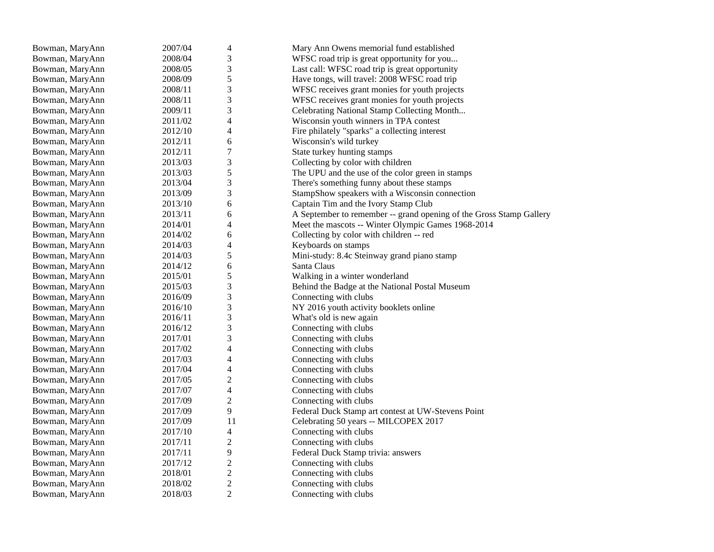| Bowman, MaryAnn | 2007/04 | $\overline{4}$                   | Mary Ann Owens memorial fund established                            |
|-----------------|---------|----------------------------------|---------------------------------------------------------------------|
| Bowman, MaryAnn | 2008/04 | 3                                | WFSC road trip is great opportunity for you                         |
| Bowman, MaryAnn | 2008/05 | 3                                | Last call: WFSC road trip is great opportunity                      |
| Bowman, MaryAnn | 2008/09 | $\sqrt{5}$                       | Have tongs, will travel: 2008 WFSC road trip                        |
| Bowman, MaryAnn | 2008/11 | 3                                | WFSC receives grant monies for youth projects                       |
| Bowman, MaryAnn | 2008/11 | 3                                | WFSC receives grant monies for youth projects                       |
| Bowman, MaryAnn | 2009/11 | 3                                | Celebrating National Stamp Collecting Month                         |
| Bowman, MaryAnn | 2011/02 | $\overline{\mathbf{4}}$          | Wisconsin youth winners in TPA contest                              |
| Bowman, MaryAnn | 2012/10 | $\overline{\mathcal{L}}$         | Fire philately "sparks" a collecting interest                       |
| Bowman, MaryAnn | 2012/11 | 6                                | Wisconsin's wild turkey                                             |
| Bowman, MaryAnn | 2012/11 | $\overline{7}$                   | State turkey hunting stamps                                         |
| Bowman, MaryAnn | 2013/03 | 3                                | Collecting by color with children                                   |
| Bowman, MaryAnn | 2013/03 | 5                                | The UPU and the use of the color green in stamps                    |
| Bowman, MaryAnn | 2013/04 | 3                                | There's something funny about these stamps                          |
| Bowman, MaryAnn | 2013/09 | 3                                | StampShow speakers with a Wisconsin connection                      |
| Bowman, MaryAnn | 2013/10 | 6                                | Captain Tim and the Ivory Stamp Club                                |
| Bowman, MaryAnn | 2013/11 | 6                                | A September to remember -- grand opening of the Gross Stamp Gallery |
| Bowman, MaryAnn | 2014/01 | $\overline{4}$                   | Meet the mascots -- Winter Olympic Games 1968-2014                  |
| Bowman, MaryAnn | 2014/02 | 6                                | Collecting by color with children -- red                            |
| Bowman, MaryAnn | 2014/03 | $\overline{4}$                   | Keyboards on stamps                                                 |
| Bowman, MaryAnn | 2014/03 | $\sqrt{5}$                       | Mini-study: 8.4c Steinway grand piano stamp                         |
| Bowman, MaryAnn | 2014/12 | 6                                | Santa Claus                                                         |
| Bowman, MaryAnn | 2015/01 | 5                                | Walking in a winter wonderland                                      |
| Bowman, MaryAnn | 2015/03 | 3                                | Behind the Badge at the National Postal Museum                      |
| Bowman, MaryAnn | 2016/09 | 3                                | Connecting with clubs                                               |
| Bowman, MaryAnn | 2016/10 | 3                                | NY 2016 youth activity booklets online                              |
| Bowman, MaryAnn | 2016/11 | 3                                | What's old is new again                                             |
| Bowman, MaryAnn | 2016/12 | 3                                | Connecting with clubs                                               |
| Bowman, MaryAnn | 2017/01 | 3                                | Connecting with clubs                                               |
| Bowman, MaryAnn | 2017/02 | $\overline{4}$                   | Connecting with clubs                                               |
| Bowman, MaryAnn | 2017/03 | $\overline{4}$                   | Connecting with clubs                                               |
| Bowman, MaryAnn | 2017/04 | $\overline{4}$                   | Connecting with clubs                                               |
| Bowman, MaryAnn | 2017/05 | $\overline{c}$                   | Connecting with clubs                                               |
| Bowman, MaryAnn | 2017/07 | $\overline{4}$                   | Connecting with clubs                                               |
| Bowman, MaryAnn | 2017/09 | $\boldsymbol{2}$                 | Connecting with clubs                                               |
| Bowman, MaryAnn | 2017/09 | $\overline{9}$                   | Federal Duck Stamp art contest at UW-Stevens Point                  |
| Bowman, MaryAnn | 2017/09 | 11                               | Celebrating 50 years -- MILCOPEX 2017                               |
| Bowman, MaryAnn | 2017/10 | $\overline{4}$                   | Connecting with clubs                                               |
| Bowman, MaryAnn | 2017/11 | $\overline{c}$                   | Connecting with clubs                                               |
|                 | 2017/11 | 9                                |                                                                     |
| Bowman, MaryAnn | 2017/12 | $\overline{c}$                   | Federal Duck Stamp trivia: answers<br>Connecting with clubs         |
| Bowman, MaryAnn |         | $\boldsymbol{2}$                 |                                                                     |
| Bowman, MaryAnn | 2018/01 |                                  | Connecting with clubs                                               |
| Bowman, MaryAnn | 2018/02 | $\overline{c}$<br>$\overline{2}$ | Connecting with clubs                                               |
| Bowman, MaryAnn | 2018/03 |                                  | Connecting with clubs                                               |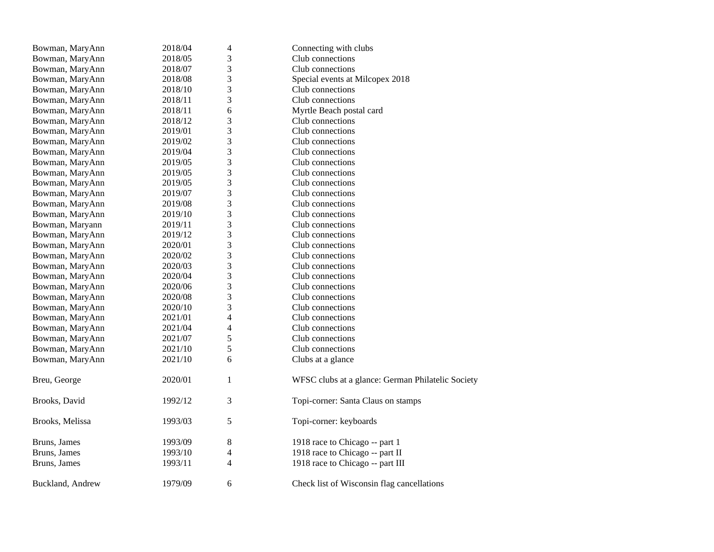| Bowman, MaryAnn  | 2018/04 | 4                       | Connecting with clubs                             |
|------------------|---------|-------------------------|---------------------------------------------------|
| Bowman, MaryAnn  | 2018/05 | 3                       | Club connections                                  |
| Bowman, MaryAnn  | 2018/07 | 3                       | Club connections                                  |
| Bowman, MaryAnn  | 2018/08 | 3                       | Special events at Milcopex 2018                   |
| Bowman, MaryAnn  | 2018/10 | 3                       | Club connections                                  |
| Bowman, MaryAnn  | 2018/11 | 3                       | Club connections                                  |
| Bowman, MaryAnn  | 2018/11 | 6                       | Myrtle Beach postal card                          |
| Bowman, MaryAnn  | 2018/12 | 3                       | Club connections                                  |
| Bowman, MaryAnn  | 2019/01 | 3                       | Club connections                                  |
| Bowman, MaryAnn  | 2019/02 | $\mathfrak{Z}$          | Club connections                                  |
| Bowman, MaryAnn  | 2019/04 | 3                       | Club connections                                  |
| Bowman, MaryAnn  | 2019/05 | 3                       | Club connections                                  |
| Bowman, MaryAnn  | 2019/05 | 3                       | Club connections                                  |
| Bowman, MaryAnn  | 2019/05 | 3                       | Club connections                                  |
| Bowman, MaryAnn  | 2019/07 | 3                       | Club connections                                  |
| Bowman, MaryAnn  | 2019/08 | 3                       | Club connections                                  |
| Bowman, MaryAnn  | 2019/10 | 3                       | Club connections                                  |
| Bowman, Maryann  | 2019/11 | 3                       | Club connections                                  |
| Bowman, MaryAnn  | 2019/12 | 3                       | Club connections                                  |
| Bowman, MaryAnn  | 2020/01 | 3                       | Club connections                                  |
| Bowman, MaryAnn  | 2020/02 | 3                       | Club connections                                  |
| Bowman, MaryAnn  | 2020/03 | 3                       | Club connections                                  |
| Bowman, MaryAnn  | 2020/04 | 3                       | Club connections                                  |
| Bowman, MaryAnn  | 2020/06 | 3                       | Club connections                                  |
| Bowman, MaryAnn  | 2020/08 | 3                       | Club connections                                  |
| Bowman, MaryAnn  | 2020/10 | 3                       | Club connections                                  |
| Bowman, MaryAnn  | 2021/01 | $\overline{\mathbf{4}}$ | Club connections                                  |
| Bowman, MaryAnn  | 2021/04 | $\overline{4}$          | Club connections                                  |
| Bowman, MaryAnn  | 2021/07 | 5                       | Club connections                                  |
| Bowman, MaryAnn  | 2021/10 | 5                       | Club connections                                  |
| Bowman, MaryAnn  | 2021/10 | 6                       | Clubs at a glance                                 |
| Breu, George     | 2020/01 | $\mathbf{1}$            | WFSC clubs at a glance: German Philatelic Society |
| Brooks, David    | 1992/12 | 3                       | Topi-corner: Santa Claus on stamps                |
| Brooks, Melissa  | 1993/03 | 5                       | Topi-corner: keyboards                            |
| Bruns, James     | 1993/09 | $8\,$                   | 1918 race to Chicago -- part 1                    |
| Bruns, James     | 1993/10 | 4                       | 1918 race to Chicago -- part II                   |
| Bruns, James     | 1993/11 | $\overline{4}$          | 1918 race to Chicago -- part III                  |
| Buckland, Andrew | 1979/09 | 6                       | Check list of Wisconsin flag cancellations        |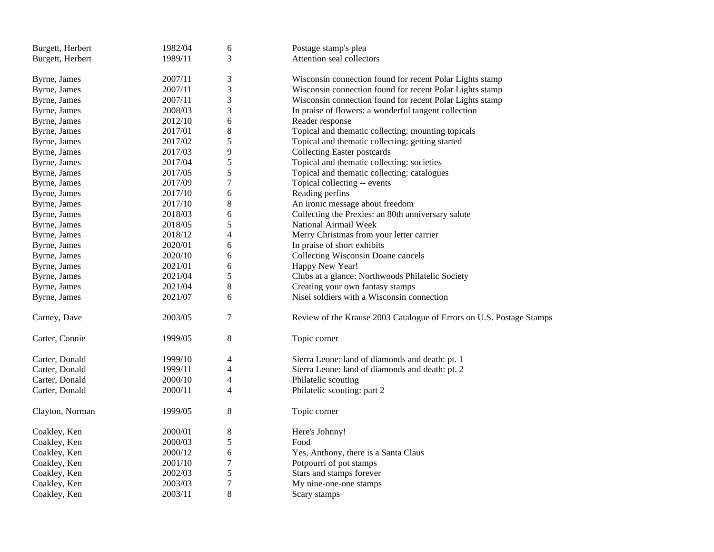| Burgett, Herbert | 1982/04 | 6                | Postage stamp's plea                                                 |
|------------------|---------|------------------|----------------------------------------------------------------------|
| Burgett, Herbert | 1989/11 | 3                | Attention seal collectors                                            |
|                  |         |                  |                                                                      |
| Byrne, James     | 2007/11 | 3                | Wisconsin connection found for recent Polar Lights stamp             |
| Byrne, James     | 2007/11 | 3                | Wisconsin connection found for recent Polar Lights stamp             |
| Byrne, James     | 2007/11 | 3                | Wisconsin connection found for recent Polar Lights stamp             |
| Byrne, James     | 2008/03 | 3                | In praise of flowers: a wonderful tangent collection                 |
| Byrne, James     | 2012/10 | 6                | Reader response                                                      |
| Byrne, James     | 2017/01 | 8                | Topical and thematic collecting: mounting topicals                   |
| Byrne, James     | 2017/02 | 5                | Topical and thematic collecting: getting started                     |
| Byrne, James     | 2017/03 | 9                | <b>Collecting Easter postcards</b>                                   |
| Byrne, James     | 2017/04 | 5                | Topical and thematic collecting: societies                           |
| Byrne, James     | 2017/05 | 5                | Topical and thematic collecting: catalogues                          |
| Byrne, James     | 2017/09 | 7                | Topical collecting -- events                                         |
| Byrne, James     | 2017/10 | 6                | Reading perfins                                                      |
| Byrne, James     | 2017/10 | 8                | An ironic message about freedom                                      |
| Byrne, James     | 2018/03 | 6                | Collecting the Prexies: an 80th anniversary salute                   |
| Byrne, James     | 2018/05 | 5                | National Airmail Week                                                |
| Byrne, James     | 2018/12 | 4                | Merry Christmas from your letter carrier                             |
| Byrne, James     | 2020/01 | 6                | In praise of short exhibits                                          |
| Byrne, James     | 2020/10 | 6                | Collecting Wisconsin Doane cancels                                   |
| Byrne, James     | 2021/01 | 6                | Happy New Year!                                                      |
| Byrne, James     | 2021/04 | 5                | Clubs at a glance: Northwoods Philatelic Society                     |
| Byrne, James     | 2021/04 | 8                | Creating your own fantasy stamps                                     |
| Byrne, James     | 2021/07 | 6                | Nisei soldiers with a Wisconsin connection                           |
|                  |         |                  |                                                                      |
| Carney, Dave     | 2003/05 | 7                | Review of the Krause 2003 Catalogue of Errors on U.S. Postage Stamps |
|                  |         |                  |                                                                      |
| Carter, Connie   | 1999/05 | 8                | Topic corner                                                         |
|                  |         |                  |                                                                      |
| Carter, Donald   | 1999/10 | 4                | Sierra Leone: land of diamonds and death: pt. 1                      |
| Carter, Donald   | 1999/11 | 4                | Sierra Leone: land of diamonds and death: pt. 2                      |
| Carter, Donald   | 2000/10 | 4                | Philatelic scouting                                                  |
| Carter, Donald   | 2000/11 | 4                | Philatelic scouting: part 2                                          |
| Clayton, Norman  | 1999/05 | 8                | Topic corner                                                         |
|                  |         |                  |                                                                      |
| Coakley, Ken     | 2000/01 | 8                | Here's Johnny!                                                       |
| Coakley, Ken     | 2000/03 | 5                | Food                                                                 |
| Coakley, Ken     | 2000/12 | 6                | Yes, Anthony, there is a Santa Claus                                 |
| Coakley, Ken     | 2001/10 | 7                | Potpourri of pot stamps                                              |
| Coakley, Ken     | 2002/03 | 5                | Stars and stamps forever                                             |
| Coakley, Ken     | 2003/03 | $\boldsymbol{7}$ | My nine-one-one stamps                                               |
| Coakley, Ken     | 2003/11 | 8                | Scary stamps                                                         |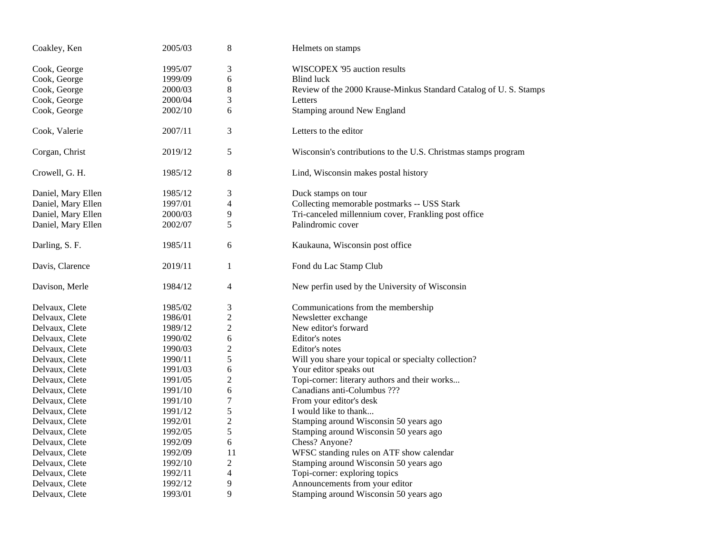| Coakley, Ken       | 2005/03 | 8              | Helmets on stamps                                                |
|--------------------|---------|----------------|------------------------------------------------------------------|
| Cook, George       | 1995/07 | 3              | WISCOPEX '95 auction results                                     |
| Cook, George       | 1999/09 | 6              | <b>Blind luck</b>                                                |
| Cook, George       | 2000/03 | 8              | Review of the 2000 Krause-Minkus Standard Catalog of U.S. Stamps |
| Cook, George       | 2000/04 | 3              | Letters                                                          |
| Cook, George       | 2002/10 | 6              | Stamping around New England                                      |
| Cook, Valerie      | 2007/11 | 3              | Letters to the editor                                            |
| Corgan, Christ     | 2019/12 | $\mathfrak s$  | Wisconsin's contributions to the U.S. Christmas stamps program   |
| Crowell, G. H.     | 1985/12 | 8              | Lind, Wisconsin makes postal history                             |
| Daniel, Mary Ellen | 1985/12 | 3              | Duck stamps on tour                                              |
| Daniel, Mary Ellen | 1997/01 | 4              | Collecting memorable postmarks -- USS Stark                      |
| Daniel, Mary Ellen | 2000/03 | 9              | Tri-canceled millennium cover, Frankling post office             |
| Daniel, Mary Ellen | 2002/07 | 5              | Palindromic cover                                                |
| Darling, S. F.     | 1985/11 | 6              | Kaukauna, Wisconsin post office                                  |
| Davis, Clarence    | 2019/11 | $\mathbf{1}$   | Fond du Lac Stamp Club                                           |
| Davison, Merle     | 1984/12 | $\overline{4}$ | New perfin used by the University of Wisconsin                   |
| Delvaux, Clete     | 1985/02 | 3              | Communications from the membership                               |
| Delvaux, Clete     | 1986/01 | $\overline{2}$ | Newsletter exchange                                              |
| Delvaux, Clete     | 1989/12 | $\sqrt{2}$     | New editor's forward                                             |
| Delvaux, Clete     | 1990/02 | 6              | Editor's notes                                                   |
| Delvaux, Clete     | 1990/03 | $\mathfrak{2}$ | Editor's notes                                                   |
| Delvaux, Clete     | 1990/11 | 5              | Will you share your topical or specialty collection?             |
| Delvaux, Clete     | 1991/03 | 6              | Your editor speaks out                                           |
| Delvaux, Clete     | 1991/05 | $\mathfrak{2}$ | Topi-corner: literary authors and their works                    |
| Delvaux, Clete     | 1991/10 | 6              | Canadians anti-Columbus ???                                      |
| Delvaux, Clete     | 1991/10 | $\tau$         | From your editor's desk                                          |
| Delvaux, Clete     | 1991/12 | 5              | I would like to thank                                            |
| Delvaux, Clete     | 1992/01 | $\overline{2}$ | Stamping around Wisconsin 50 years ago                           |
| Delvaux, Clete     | 1992/05 | 5              | Stamping around Wisconsin 50 years ago                           |
| Delvaux, Clete     | 1992/09 | 6              | Chess? Anyone?                                                   |
| Delvaux, Clete     | 1992/09 | 11             | WFSC standing rules on ATF show calendar                         |
| Delvaux, Clete     | 1992/10 | $\mathbf{2}$   | Stamping around Wisconsin 50 years ago                           |
| Delvaux, Clete     | 1992/11 | 4              | Topi-corner: exploring topics                                    |
| Delvaux, Clete     | 1992/12 | 9              | Announcements from your editor                                   |
| Delvaux, Clete     | 1993/01 | 9              | Stamping around Wisconsin 50 years ago                           |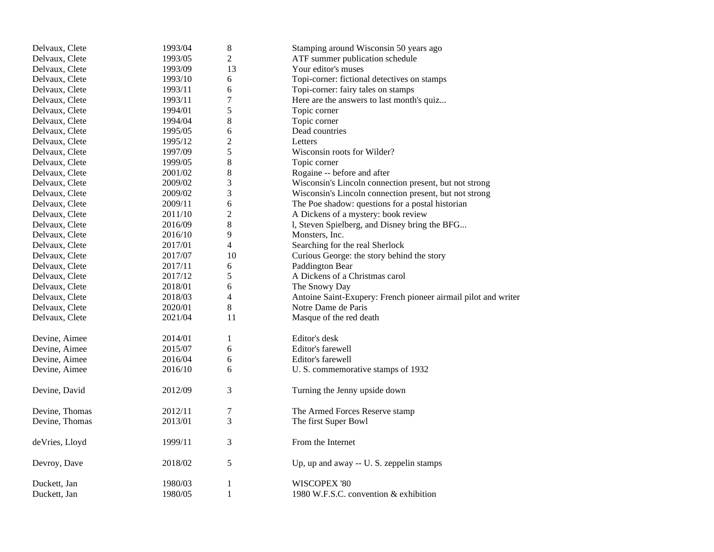| Delvaux, Clete | 1993/04 | $8\,$            | Stamping around Wisconsin 50 years ago                         |
|----------------|---------|------------------|----------------------------------------------------------------|
| Delvaux, Clete | 1993/05 | $\overline{2}$   | ATF summer publication schedule                                |
| Delvaux, Clete | 1993/09 | 13               | Your editor's muses                                            |
| Delvaux, Clete | 1993/10 | 6                | Topi-corner: fictional detectives on stamps                    |
| Delvaux, Clete | 1993/11 | 6                | Topi-corner: fairy tales on stamps                             |
| Delvaux, Clete | 1993/11 | 7                | Here are the answers to last month's quiz                      |
| Delvaux, Clete | 1994/01 | 5                | Topic corner                                                   |
| Delvaux, Clete | 1994/04 | 8                | Topic corner                                                   |
| Delvaux, Clete | 1995/05 | 6                | Dead countries                                                 |
| Delvaux, Clete | 1995/12 | $\overline{c}$   | Letters                                                        |
| Delvaux, Clete | 1997/09 | 5                | Wisconsin roots for Wilder?                                    |
| Delvaux, Clete | 1999/05 | 8                | Topic corner                                                   |
| Delvaux, Clete | 2001/02 | 8                | Rogaine -- before and after                                    |
| Delvaux, Clete | 2009/02 | 3                | Wisconsin's Lincoln connection present, but not strong         |
| Delvaux, Clete | 2009/02 | 3                | Wisconsin's Lincoln connection present, but not strong         |
| Delvaux, Clete | 2009/11 | 6                | The Poe shadow: questions for a postal historian               |
| Delvaux, Clete | 2011/10 | $\boldsymbol{2}$ | A Dickens of a mystery: book review                            |
| Delvaux, Clete | 2016/09 | 8                | l, Steven Spielberg, and Disney bring the BFG                  |
| Delvaux, Clete | 2016/10 | 9                | Monsters, Inc.                                                 |
| Delvaux, Clete | 2017/01 | $\overline{4}$   | Searching for the real Sherlock                                |
| Delvaux, Clete | 2017/07 | 10               | Curious George: the story behind the story                     |
| Delvaux, Clete | 2017/11 | 6                | Paddington Bear                                                |
| Delvaux, Clete | 2017/12 | 5                | A Dickens of a Christmas carol                                 |
| Delvaux, Clete | 2018/01 | 6                | The Snowy Day                                                  |
| Delvaux, Clete | 2018/03 | 4                | Antoine Saint-Exupery: French pioneer airmail pilot and writer |
| Delvaux, Clete | 2020/01 | 8                | Notre Dame de Paris                                            |
| Delvaux, Clete | 2021/04 | 11               | Masque of the red death                                        |
| Devine, Aimee  | 2014/01 | 1                | Editor's desk                                                  |
| Devine, Aimee  | 2015/07 | 6                | Editor's farewell                                              |
| Devine, Aimee  | 2016/04 | 6                | Editor's farewell                                              |
| Devine, Aimee  | 2016/10 | 6                | U. S. commemorative stamps of 1932                             |
| Devine, David  | 2012/09 | 3                | Turning the Jenny upside down                                  |
| Devine, Thomas | 2012/11 | 7                | The Armed Forces Reserve stamp                                 |
| Devine, Thomas | 2013/01 | 3                | The first Super Bowl                                           |
| deVries, Lloyd | 1999/11 | 3                | From the Internet                                              |
| Devroy, Dave   | 2018/02 | 5                | Up, up and away -- U. S. zeppelin stamps                       |
| Duckett, Jan   | 1980/03 | $\mathbf{1}$     | WISCOPEX '80                                                   |
| Duckett, Jan   | 1980/05 | $\mathbf{1}$     | 1980 W.F.S.C. convention & exhibition                          |
|                |         |                  |                                                                |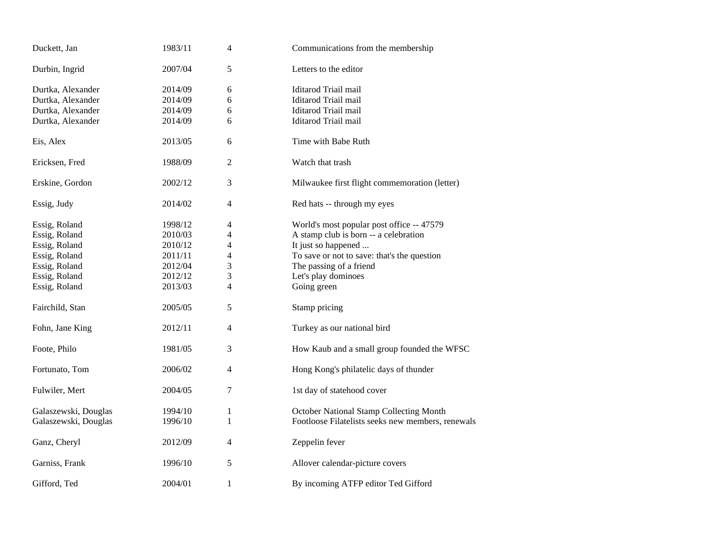| Duckett, Jan         | 1983/11 | $\overline{4}$           | Communications from the membership                |
|----------------------|---------|--------------------------|---------------------------------------------------|
| Durbin, Ingrid       | 2007/04 | 5                        | Letters to the editor                             |
| Durtka, Alexander    | 2014/09 | 6                        | Iditarod Triail mail                              |
| Durtka, Alexander    | 2014/09 | 6                        | Iditarod Triail mail                              |
| Durtka, Alexander    | 2014/09 | 6                        | Iditarod Triail mail                              |
| Durtka, Alexander    | 2014/09 | 6                        | Iditarod Triail mail                              |
| Eis, Alex            | 2013/05 | 6                        | Time with Babe Ruth                               |
| Ericksen, Fred       | 1988/09 | $\overline{2}$           | Watch that trash                                  |
| Erskine, Gordon      | 2002/12 | 3                        | Milwaukee first flight commemoration (letter)     |
| Essig, Judy          | 2014/02 | $\overline{4}$           | Red hats -- through my eyes                       |
| Essig, Roland        | 1998/12 | 4                        | World's most popular post office -- 47579         |
| Essig, Roland        | 2010/03 | 4                        | A stamp club is born -- a celebration             |
| Essig, Roland        | 2010/12 | 4                        | It just so happened                               |
| Essig, Roland        | 2011/11 | 4                        | To save or not to save: that's the question       |
| Essig, Roland        | 2012/04 | 3                        | The passing of a friend                           |
| Essig, Roland        | 2012/12 | 3                        | Let's play dominoes                               |
| Essig, Roland        | 2013/03 | $\overline{\mathcal{L}}$ | Going green                                       |
| Fairchild, Stan      | 2005/05 | 5                        | Stamp pricing                                     |
| Fohn, Jane King      | 2012/11 | $\overline{4}$           | Turkey as our national bird                       |
| Foote, Philo         | 1981/05 | 3                        | How Kaub and a small group founded the WFSC       |
| Fortunato, Tom       | 2006/02 | 4                        | Hong Kong's philatelic days of thunder            |
| Fulwiler, Mert       | 2004/05 | 7                        | 1st day of statehood cover                        |
| Galaszewski, Douglas | 1994/10 | $\mathbf{1}$             | October National Stamp Collecting Month           |
| Galaszewski, Douglas | 1996/10 | 1                        | Footloose Filatelists seeks new members, renewals |
| Ganz, Cheryl         | 2012/09 | 4                        | Zeppelin fever                                    |
| Garniss, Frank       | 1996/10 | 5                        | Allover calendar-picture covers                   |
| Gifford, Ted         | 2004/01 | $\mathbf{1}$             | By incoming ATFP editor Ted Gifford               |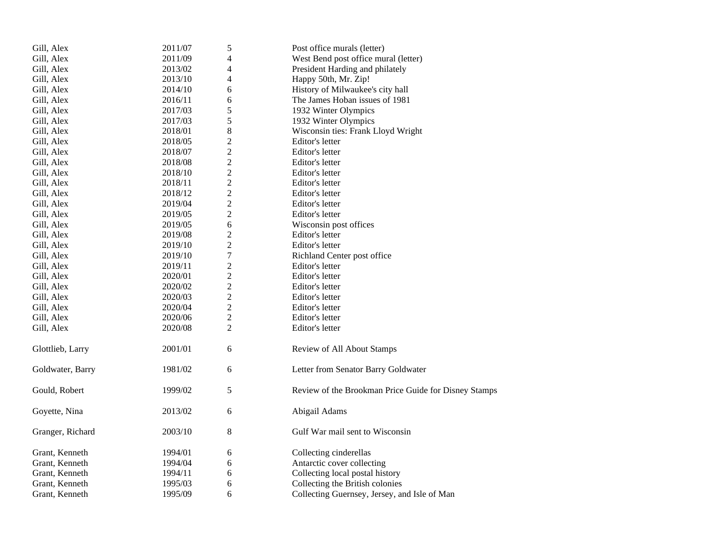| Gill, Alex       | 2011/07 | 5                | Post office murals (letter)                          |
|------------------|---------|------------------|------------------------------------------------------|
| Gill, Alex       | 2011/09 | 4                | West Bend post office mural (letter)                 |
| Gill, Alex       | 2013/02 | 4                | President Harding and philately                      |
| Gill, Alex       | 2013/10 | 4                | Happy 50th, Mr. Zip!                                 |
| Gill, Alex       | 2014/10 | 6                | History of Milwaukee's city hall                     |
| Gill, Alex       | 2016/11 | 6                | The James Hoban issues of 1981                       |
| Gill, Alex       | 2017/03 | 5                | 1932 Winter Olympics                                 |
| Gill, Alex       | 2017/03 | 5                | 1932 Winter Olympics                                 |
| Gill, Alex       | 2018/01 | 8                | Wisconsin ties: Frank Lloyd Wright                   |
| Gill, Alex       | 2018/05 | $\overline{c}$   | Editor's letter                                      |
| Gill, Alex       | 2018/07 | $\overline{c}$   | Editor's letter                                      |
| Gill, Alex       | 2018/08 | $\overline{c}$   | Editor's letter                                      |
| Gill, Alex       | 2018/10 | $\overline{c}$   | Editor's letter                                      |
| Gill, Alex       | 2018/11 | $\overline{c}$   | Editor's letter                                      |
| Gill, Alex       | 2018/12 | $\overline{2}$   | Editor's letter                                      |
| Gill, Alex       | 2019/04 | $\overline{c}$   | Editor's letter                                      |
| Gill, Alex       | 2019/05 | $\overline{c}$   | Editor's letter                                      |
| Gill, Alex       | 2019/05 | 6                | Wisconsin post offices                               |
| Gill, Alex       | 2019/08 | $\overline{c}$   | Editor's letter                                      |
| Gill, Alex       | 2019/10 | $\overline{c}$   | Editor's letter                                      |
| Gill, Alex       | 2019/10 | $\boldsymbol{7}$ | Richland Center post office                          |
| Gill, Alex       | 2019/11 | $\overline{c}$   | Editor's letter                                      |
| Gill, Alex       | 2020/01 | $\overline{2}$   | Editor's letter                                      |
| Gill, Alex       | 2020/02 | $\overline{2}$   | Editor's letter                                      |
| Gill, Alex       | 2020/03 | $\overline{2}$   | Editor's letter                                      |
| Gill, Alex       | 2020/04 | $\overline{c}$   | Editor's letter                                      |
| Gill, Alex       | 2020/06 | $\overline{c}$   | Editor's letter                                      |
| Gill, Alex       | 2020/08 | $\overline{2}$   | Editor's letter                                      |
| Glottlieb, Larry | 2001/01 | 6                | Review of All About Stamps                           |
| Goldwater, Barry | 1981/02 | 6                | Letter from Senator Barry Goldwater                  |
| Gould, Robert    | 1999/02 | 5                | Review of the Brookman Price Guide for Disney Stamps |
| Goyette, Nina    | 2013/02 | 6                | Abigail Adams                                        |
| Granger, Richard | 2003/10 | 8                | Gulf War mail sent to Wisconsin                      |
| Grant, Kenneth   | 1994/01 | 6                | Collecting cinderellas                               |
| Grant, Kenneth   | 1994/04 | 6                | Antarctic cover collecting                           |
| Grant, Kenneth   | 1994/11 | 6                | Collecting local postal history                      |
| Grant, Kenneth   | 1995/03 | 6                | Collecting the British colonies                      |
| Grant, Kenneth   | 1995/09 | 6                | Collecting Guernsey, Jersey, and Isle of Man         |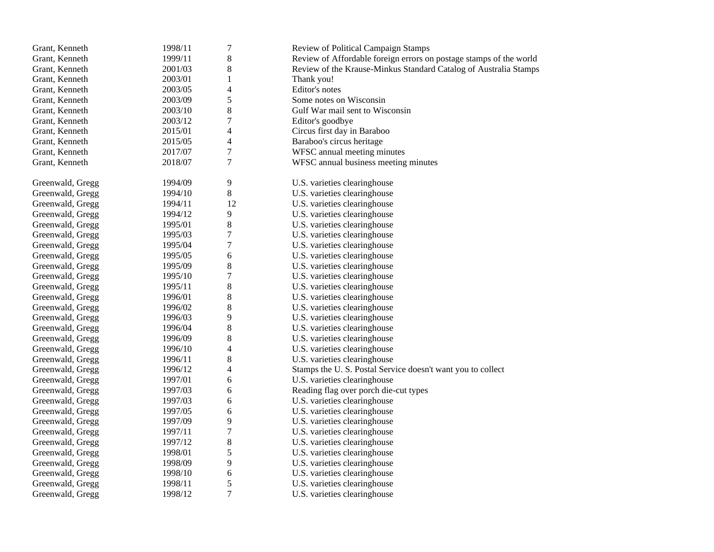| Grant, Kenneth   | 1998/11 | $\sqrt{ }$     | Review of Political Campaign Stamps                                |
|------------------|---------|----------------|--------------------------------------------------------------------|
| Grant, Kenneth   | 1999/11 | 8              | Review of Affordable foreign errors on postage stamps of the world |
| Grant, Kenneth   | 2001/03 | 8              | Review of the Krause-Minkus Standard Catalog of Australia Stamps   |
| Grant, Kenneth   | 2003/01 | $\mathbf{1}$   | Thank you!                                                         |
| Grant, Kenneth   | 2003/05 | 4              | Editor's notes                                                     |
| Grant, Kenneth   | 2003/09 | 5              | Some notes on Wisconsin                                            |
| Grant, Kenneth   | 2003/10 | 8              | Gulf War mail sent to Wisconsin                                    |
| Grant, Kenneth   | 2003/12 | $\overline{7}$ | Editor's goodbye                                                   |
| Grant, Kenneth   | 2015/01 | 4              | Circus first day in Baraboo                                        |
| Grant, Kenneth   | 2015/05 | $\overline{4}$ | Baraboo's circus heritage                                          |
| Grant, Kenneth   | 2017/07 | $\overline{7}$ | WFSC annual meeting minutes                                        |
| Grant, Kenneth   | 2018/07 | 7              | WFSC annual business meeting minutes                               |
| Greenwald, Gregg | 1994/09 | 9              | U.S. varieties clearinghouse                                       |
| Greenwald, Gregg | 1994/10 | $8\,$          | U.S. varieties clearinghouse                                       |
| Greenwald, Gregg | 1994/11 | 12             | U.S. varieties clearinghouse                                       |
| Greenwald, Gregg | 1994/12 | 9              | U.S. varieties clearinghouse                                       |
| Greenwald, Gregg | 1995/01 | $8\,$          | U.S. varieties clearinghouse                                       |
| Greenwald, Gregg | 1995/03 | $\overline{7}$ | U.S. varieties clearinghouse                                       |
| Greenwald, Gregg | 1995/04 | 7              | U.S. varieties clearinghouse                                       |
| Greenwald, Gregg | 1995/05 | $\sqrt{6}$     | U.S. varieties clearinghouse                                       |
| Greenwald, Gregg | 1995/09 | 8              | U.S. varieties clearinghouse                                       |
| Greenwald, Gregg | 1995/10 | 7              | U.S. varieties clearinghouse                                       |
| Greenwald, Gregg | 1995/11 | $8\,$          | U.S. varieties clearinghouse                                       |
| Greenwald, Gregg | 1996/01 | 8              | U.S. varieties clearinghouse                                       |
| Greenwald, Gregg | 1996/02 | $8\,$          | U.S. varieties clearinghouse                                       |
| Greenwald, Gregg | 1996/03 | 9              | U.S. varieties clearinghouse                                       |
| Greenwald, Gregg | 1996/04 | $\,$ $\,$      | U.S. varieties clearinghouse                                       |
| Greenwald, Gregg | 1996/09 | 8              | U.S. varieties clearinghouse                                       |
| Greenwald, Gregg | 1996/10 | $\overline{4}$ | U.S. varieties clearinghouse                                       |
| Greenwald, Gregg | 1996/11 | $8\,$          | U.S. varieties clearinghouse                                       |
| Greenwald, Gregg | 1996/12 | 4              | Stamps the U.S. Postal Service doesn't want you to collect         |
| Greenwald, Gregg | 1997/01 | 6              | U.S. varieties clearinghouse                                       |
| Greenwald, Gregg | 1997/03 | 6              | Reading flag over porch die-cut types                              |
| Greenwald, Gregg | 1997/03 | 6              | U.S. varieties clearinghouse                                       |
| Greenwald, Gregg | 1997/05 | 6              | U.S. varieties clearinghouse                                       |
| Greenwald, Gregg | 1997/09 | 9              | U.S. varieties clearinghouse                                       |
| Greenwald, Gregg | 1997/11 | $\sqrt{ }$     | U.S. varieties clearinghouse                                       |
| Greenwald, Gregg | 1997/12 | $\,8\,$        | U.S. varieties clearinghouse                                       |
| Greenwald, Gregg | 1998/01 | 5              | U.S. varieties clearinghouse                                       |
| Greenwald, Gregg | 1998/09 | 9              | U.S. varieties clearinghouse                                       |
| Greenwald, Gregg | 1998/10 | 6              | U.S. varieties clearinghouse                                       |
| Greenwald, Gregg | 1998/11 | 5              | U.S. varieties clearinghouse                                       |
| Greenwald, Gregg | 1998/12 | $\overline{7}$ | U.S. varieties clearinghouse                                       |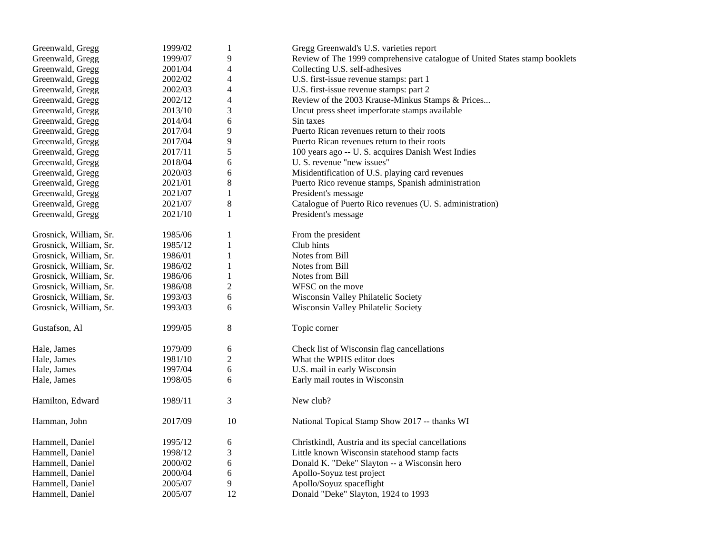| Greenwald, Gregg       | 1999/02 | $\mathbf{1}$   | Gregg Greenwald's U.S. varieties report                                    |
|------------------------|---------|----------------|----------------------------------------------------------------------------|
| Greenwald, Gregg       | 1999/07 | 9              | Review of The 1999 comprehensive catalogue of United States stamp booklets |
| Greenwald, Gregg       | 2001/04 | 4              | Collecting U.S. self-adhesives                                             |
| Greenwald, Gregg       | 2002/02 | 4              | U.S. first-issue revenue stamps: part 1                                    |
| Greenwald, Gregg       | 2002/03 | 4              | U.S. first-issue revenue stamps: part 2                                    |
| Greenwald, Gregg       | 2002/12 | 4              | Review of the 2003 Krause-Minkus Stamps & Prices                           |
| Greenwald, Gregg       | 2013/10 | 3              | Uncut press sheet imperforate stamps available                             |
| Greenwald, Gregg       | 2014/04 | 6              | Sin taxes                                                                  |
| Greenwald, Gregg       | 2017/04 | 9              | Puerto Rican revenues return to their roots                                |
| Greenwald, Gregg       | 2017/04 | 9              | Puerto Rican revenues return to their roots                                |
| Greenwald, Gregg       | 2017/11 | 5              | 100 years ago -- U. S. acquires Danish West Indies                         |
| Greenwald, Gregg       | 2018/04 | 6              | U. S. revenue "new issues"                                                 |
| Greenwald, Gregg       | 2020/03 | 6              | Misidentification of U.S. playing card revenues                            |
| Greenwald, Gregg       | 2021/01 | $\,8\,$        | Puerto Rico revenue stamps, Spanish administration                         |
| Greenwald, Gregg       | 2021/07 | $\mathbf{1}$   | President's message                                                        |
| Greenwald, Gregg       | 2021/07 | $\,8\,$        | Catalogue of Puerto Rico revenues (U. S. administration)                   |
| Greenwald, Gregg       | 2021/10 | $\mathbf{1}$   | President's message                                                        |
| Grosnick, William, Sr. | 1985/06 | 1              | From the president                                                         |
| Grosnick, William, Sr. | 1985/12 | $\mathbf{1}$   | Club hints                                                                 |
| Grosnick, William, Sr. | 1986/01 | $\mathbf 1$    | Notes from Bill                                                            |
| Grosnick, William, Sr. | 1986/02 | $\mathbf{1}$   | Notes from Bill                                                            |
| Grosnick, William, Sr. | 1986/06 | 1              | Notes from Bill                                                            |
| Grosnick, William, Sr. | 1986/08 | $\overline{c}$ | WFSC on the move                                                           |
| Grosnick, William, Sr. | 1993/03 | 6              | Wisconsin Valley Philatelic Society                                        |
| Grosnick, William, Sr. | 1993/03 | 6              | Wisconsin Valley Philatelic Society                                        |
| Gustafson, Al          | 1999/05 | 8              | Topic corner                                                               |
| Hale, James            | 1979/09 | 6              | Check list of Wisconsin flag cancellations                                 |
| Hale, James            | 1981/10 | $\overline{c}$ | What the WPHS editor does                                                  |
| Hale, James            | 1997/04 | 6              | U.S. mail in early Wisconsin                                               |
| Hale, James            | 1998/05 | 6              | Early mail routes in Wisconsin                                             |
| Hamilton, Edward       | 1989/11 | 3              | New club?                                                                  |
| Hamman, John           | 2017/09 | 10             | National Topical Stamp Show 2017 -- thanks WI                              |
| Hammell, Daniel        | 1995/12 | 6              | Christkindl, Austria and its special cancellations                         |
| Hammell, Daniel        | 1998/12 | 3              | Little known Wisconsin statehood stamp facts                               |
| Hammell, Daniel        | 2000/02 | 6              | Donald K. "Deke" Slayton -- a Wisconsin hero                               |
| Hammell, Daniel        | 2000/04 | 6              | Apollo-Soyuz test project                                                  |
| Hammell, Daniel        | 2005/07 | 9              | Apollo/Soyuz spaceflight                                                   |
| Hammell, Daniel        | 2005/07 | 12             | Donald "Deke" Slayton, 1924 to 1993                                        |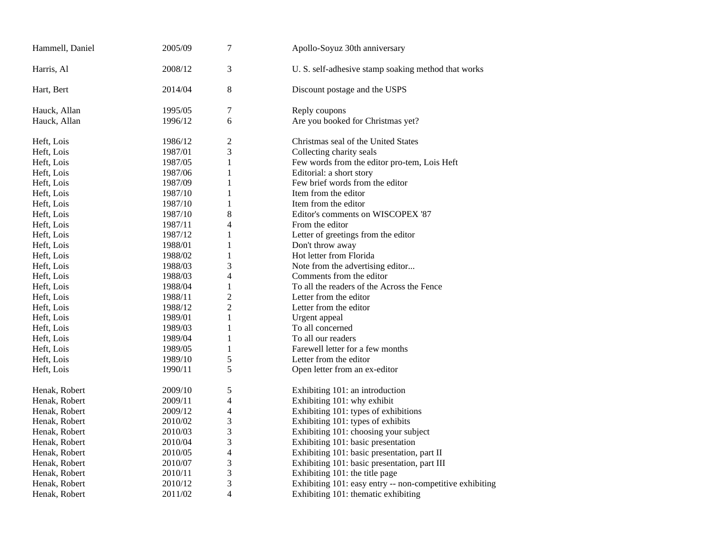| 3<br>Harris, Al<br>2008/12<br>U. S. self-adhesive stamp soaking method that works<br>2014/04<br>8<br>Hart, Bert<br>Discount postage and the USPS<br>7<br>Hauck, Allan<br>1995/05<br>Reply coupons<br>6<br>Are you booked for Christmas yet?<br>Hauck, Allan<br>1996/12<br>$\overline{c}$<br>Christmas seal of the United States<br>Heft, Lois<br>1986/12<br>3<br>1987/01<br>Collecting charity seals<br>Heft, Lois<br>1987/05<br>$\mathbf{1}$<br>Few words from the editor pro-tem, Lois Heft<br>Heft, Lois<br>1987/06<br>$\mathbf{1}$<br>Editorial: a short story<br>Heft, Lois<br>Few brief words from the editor<br>1987/09<br>1<br>Heft, Lois<br>$\mathbf{1}$<br>Heft, Lois<br>1987/10<br>Item from the editor<br>1987/10<br>$\mathbf{1}$<br>Item from the editor<br>Heft, Lois<br>8<br>1987/10<br>Editor's comments on WISCOPEX '87<br>Heft, Lois<br>4<br>1987/11<br>From the editor<br>Heft, Lois<br>1987/12<br>1<br>Letter of greetings from the editor<br>Heft, Lois<br>1<br>Heft, Lois<br>1988/01<br>Don't throw away<br>$\mathbf{1}$<br>1988/02<br>Hot letter from Florida<br>Heft, Lois<br>3<br>1988/03<br>Note from the advertising editor<br>Heft, Lois<br>4<br>Comments from the editor<br>Heft, Lois<br>1988/03<br>1988/04<br>$\mathbf{1}$<br>To all the readers of the Across the Fence<br>Heft, Lois<br>$\overline{c}$<br>1988/11<br>Letter from the editor<br>Heft, Lois<br>$\overline{c}$<br>1988/12<br>Letter from the editor<br>Heft, Lois<br>1989/01<br>$\mathbf{1}$<br>Urgent appeal<br>Heft, Lois<br>$\mathbf{1}$<br>To all concerned<br>Heft, Lois<br>1989/03<br>To all our readers<br>Heft, Lois<br>1989/04<br>1<br>$\mathbf{1}$<br>Farewell letter for a few months<br>1989/05<br>Heft, Lois<br>5<br>Heft, Lois<br>1989/10<br>Letter from the editor<br>5<br>1990/11<br>Open letter from an ex-editor<br>Heft, Lois<br>5<br>2009/10<br>Exhibiting 101: an introduction<br>Henak, Robert<br>$\overline{\mathcal{L}}$<br>Exhibiting 101: why exhibit<br>2009/11<br>Henak, Robert<br>2009/12<br>$\overline{4}$<br>Exhibiting 101: types of exhibitions<br>Henak, Robert<br>3<br>Exhibiting 101: types of exhibits<br>2010/02<br>Henak, Robert<br>3<br>Exhibiting 101: choosing your subject<br>2010/03<br>Henak, Robert<br>3<br>2010/04<br>Exhibiting 101: basic presentation<br>Henak, Robert<br>$\overline{4}$<br>Exhibiting 101: basic presentation, part II<br>2010/05<br>Henak, Robert<br>3<br>Exhibiting 101: basic presentation, part III<br>2010/07<br>Henak, Robert<br>3<br>2010/11<br>Exhibiting 101: the title page<br>Henak, Robert<br>3<br>Exhibiting 101: easy entry -- non-competitive exhibiting<br>Henak, Robert<br>2010/12<br>$\overline{\mathcal{L}}$<br>2011/02<br>Exhibiting 101: thematic exhibiting<br>Henak, Robert | Hammell, Daniel | 2005/09 | 7 | Apollo-Soyuz 30th anniversary |
|---------------------------------------------------------------------------------------------------------------------------------------------------------------------------------------------------------------------------------------------------------------------------------------------------------------------------------------------------------------------------------------------------------------------------------------------------------------------------------------------------------------------------------------------------------------------------------------------------------------------------------------------------------------------------------------------------------------------------------------------------------------------------------------------------------------------------------------------------------------------------------------------------------------------------------------------------------------------------------------------------------------------------------------------------------------------------------------------------------------------------------------------------------------------------------------------------------------------------------------------------------------------------------------------------------------------------------------------------------------------------------------------------------------------------------------------------------------------------------------------------------------------------------------------------------------------------------------------------------------------------------------------------------------------------------------------------------------------------------------------------------------------------------------------------------------------------------------------------------------------------------------------------------------------------------------------------------------------------------------------------------------------------------------------------------------------------------------------------------------------------------------------------------------------------------------------------------------------------------------------------------------------------------------------------------------------------------------------------------------------------------------------------------------------------------------------------------------------------------------------------------------------------------------------------------------------------------------------------------------------------------------------------------------------------------------------------------------------------------------------------------------------|-----------------|---------|---|-------------------------------|
|                                                                                                                                                                                                                                                                                                                                                                                                                                                                                                                                                                                                                                                                                                                                                                                                                                                                                                                                                                                                                                                                                                                                                                                                                                                                                                                                                                                                                                                                                                                                                                                                                                                                                                                                                                                                                                                                                                                                                                                                                                                                                                                                                                                                                                                                                                                                                                                                                                                                                                                                                                                                                                                                                                                                                                     |                 |         |   |                               |
|                                                                                                                                                                                                                                                                                                                                                                                                                                                                                                                                                                                                                                                                                                                                                                                                                                                                                                                                                                                                                                                                                                                                                                                                                                                                                                                                                                                                                                                                                                                                                                                                                                                                                                                                                                                                                                                                                                                                                                                                                                                                                                                                                                                                                                                                                                                                                                                                                                                                                                                                                                                                                                                                                                                                                                     |                 |         |   |                               |
|                                                                                                                                                                                                                                                                                                                                                                                                                                                                                                                                                                                                                                                                                                                                                                                                                                                                                                                                                                                                                                                                                                                                                                                                                                                                                                                                                                                                                                                                                                                                                                                                                                                                                                                                                                                                                                                                                                                                                                                                                                                                                                                                                                                                                                                                                                                                                                                                                                                                                                                                                                                                                                                                                                                                                                     |                 |         |   |                               |
|                                                                                                                                                                                                                                                                                                                                                                                                                                                                                                                                                                                                                                                                                                                                                                                                                                                                                                                                                                                                                                                                                                                                                                                                                                                                                                                                                                                                                                                                                                                                                                                                                                                                                                                                                                                                                                                                                                                                                                                                                                                                                                                                                                                                                                                                                                                                                                                                                                                                                                                                                                                                                                                                                                                                                                     |                 |         |   |                               |
|                                                                                                                                                                                                                                                                                                                                                                                                                                                                                                                                                                                                                                                                                                                                                                                                                                                                                                                                                                                                                                                                                                                                                                                                                                                                                                                                                                                                                                                                                                                                                                                                                                                                                                                                                                                                                                                                                                                                                                                                                                                                                                                                                                                                                                                                                                                                                                                                                                                                                                                                                                                                                                                                                                                                                                     |                 |         |   |                               |
|                                                                                                                                                                                                                                                                                                                                                                                                                                                                                                                                                                                                                                                                                                                                                                                                                                                                                                                                                                                                                                                                                                                                                                                                                                                                                                                                                                                                                                                                                                                                                                                                                                                                                                                                                                                                                                                                                                                                                                                                                                                                                                                                                                                                                                                                                                                                                                                                                                                                                                                                                                                                                                                                                                                                                                     |                 |         |   |                               |
|                                                                                                                                                                                                                                                                                                                                                                                                                                                                                                                                                                                                                                                                                                                                                                                                                                                                                                                                                                                                                                                                                                                                                                                                                                                                                                                                                                                                                                                                                                                                                                                                                                                                                                                                                                                                                                                                                                                                                                                                                                                                                                                                                                                                                                                                                                                                                                                                                                                                                                                                                                                                                                                                                                                                                                     |                 |         |   |                               |
|                                                                                                                                                                                                                                                                                                                                                                                                                                                                                                                                                                                                                                                                                                                                                                                                                                                                                                                                                                                                                                                                                                                                                                                                                                                                                                                                                                                                                                                                                                                                                                                                                                                                                                                                                                                                                                                                                                                                                                                                                                                                                                                                                                                                                                                                                                                                                                                                                                                                                                                                                                                                                                                                                                                                                                     |                 |         |   |                               |
|                                                                                                                                                                                                                                                                                                                                                                                                                                                                                                                                                                                                                                                                                                                                                                                                                                                                                                                                                                                                                                                                                                                                                                                                                                                                                                                                                                                                                                                                                                                                                                                                                                                                                                                                                                                                                                                                                                                                                                                                                                                                                                                                                                                                                                                                                                                                                                                                                                                                                                                                                                                                                                                                                                                                                                     |                 |         |   |                               |
|                                                                                                                                                                                                                                                                                                                                                                                                                                                                                                                                                                                                                                                                                                                                                                                                                                                                                                                                                                                                                                                                                                                                                                                                                                                                                                                                                                                                                                                                                                                                                                                                                                                                                                                                                                                                                                                                                                                                                                                                                                                                                                                                                                                                                                                                                                                                                                                                                                                                                                                                                                                                                                                                                                                                                                     |                 |         |   |                               |
|                                                                                                                                                                                                                                                                                                                                                                                                                                                                                                                                                                                                                                                                                                                                                                                                                                                                                                                                                                                                                                                                                                                                                                                                                                                                                                                                                                                                                                                                                                                                                                                                                                                                                                                                                                                                                                                                                                                                                                                                                                                                                                                                                                                                                                                                                                                                                                                                                                                                                                                                                                                                                                                                                                                                                                     |                 |         |   |                               |
|                                                                                                                                                                                                                                                                                                                                                                                                                                                                                                                                                                                                                                                                                                                                                                                                                                                                                                                                                                                                                                                                                                                                                                                                                                                                                                                                                                                                                                                                                                                                                                                                                                                                                                                                                                                                                                                                                                                                                                                                                                                                                                                                                                                                                                                                                                                                                                                                                                                                                                                                                                                                                                                                                                                                                                     |                 |         |   |                               |
|                                                                                                                                                                                                                                                                                                                                                                                                                                                                                                                                                                                                                                                                                                                                                                                                                                                                                                                                                                                                                                                                                                                                                                                                                                                                                                                                                                                                                                                                                                                                                                                                                                                                                                                                                                                                                                                                                                                                                                                                                                                                                                                                                                                                                                                                                                                                                                                                                                                                                                                                                                                                                                                                                                                                                                     |                 |         |   |                               |
|                                                                                                                                                                                                                                                                                                                                                                                                                                                                                                                                                                                                                                                                                                                                                                                                                                                                                                                                                                                                                                                                                                                                                                                                                                                                                                                                                                                                                                                                                                                                                                                                                                                                                                                                                                                                                                                                                                                                                                                                                                                                                                                                                                                                                                                                                                                                                                                                                                                                                                                                                                                                                                                                                                                                                                     |                 |         |   |                               |
|                                                                                                                                                                                                                                                                                                                                                                                                                                                                                                                                                                                                                                                                                                                                                                                                                                                                                                                                                                                                                                                                                                                                                                                                                                                                                                                                                                                                                                                                                                                                                                                                                                                                                                                                                                                                                                                                                                                                                                                                                                                                                                                                                                                                                                                                                                                                                                                                                                                                                                                                                                                                                                                                                                                                                                     |                 |         |   |                               |
|                                                                                                                                                                                                                                                                                                                                                                                                                                                                                                                                                                                                                                                                                                                                                                                                                                                                                                                                                                                                                                                                                                                                                                                                                                                                                                                                                                                                                                                                                                                                                                                                                                                                                                                                                                                                                                                                                                                                                                                                                                                                                                                                                                                                                                                                                                                                                                                                                                                                                                                                                                                                                                                                                                                                                                     |                 |         |   |                               |
|                                                                                                                                                                                                                                                                                                                                                                                                                                                                                                                                                                                                                                                                                                                                                                                                                                                                                                                                                                                                                                                                                                                                                                                                                                                                                                                                                                                                                                                                                                                                                                                                                                                                                                                                                                                                                                                                                                                                                                                                                                                                                                                                                                                                                                                                                                                                                                                                                                                                                                                                                                                                                                                                                                                                                                     |                 |         |   |                               |
|                                                                                                                                                                                                                                                                                                                                                                                                                                                                                                                                                                                                                                                                                                                                                                                                                                                                                                                                                                                                                                                                                                                                                                                                                                                                                                                                                                                                                                                                                                                                                                                                                                                                                                                                                                                                                                                                                                                                                                                                                                                                                                                                                                                                                                                                                                                                                                                                                                                                                                                                                                                                                                                                                                                                                                     |                 |         |   |                               |
|                                                                                                                                                                                                                                                                                                                                                                                                                                                                                                                                                                                                                                                                                                                                                                                                                                                                                                                                                                                                                                                                                                                                                                                                                                                                                                                                                                                                                                                                                                                                                                                                                                                                                                                                                                                                                                                                                                                                                                                                                                                                                                                                                                                                                                                                                                                                                                                                                                                                                                                                                                                                                                                                                                                                                                     |                 |         |   |                               |
|                                                                                                                                                                                                                                                                                                                                                                                                                                                                                                                                                                                                                                                                                                                                                                                                                                                                                                                                                                                                                                                                                                                                                                                                                                                                                                                                                                                                                                                                                                                                                                                                                                                                                                                                                                                                                                                                                                                                                                                                                                                                                                                                                                                                                                                                                                                                                                                                                                                                                                                                                                                                                                                                                                                                                                     |                 |         |   |                               |
|                                                                                                                                                                                                                                                                                                                                                                                                                                                                                                                                                                                                                                                                                                                                                                                                                                                                                                                                                                                                                                                                                                                                                                                                                                                                                                                                                                                                                                                                                                                                                                                                                                                                                                                                                                                                                                                                                                                                                                                                                                                                                                                                                                                                                                                                                                                                                                                                                                                                                                                                                                                                                                                                                                                                                                     |                 |         |   |                               |
|                                                                                                                                                                                                                                                                                                                                                                                                                                                                                                                                                                                                                                                                                                                                                                                                                                                                                                                                                                                                                                                                                                                                                                                                                                                                                                                                                                                                                                                                                                                                                                                                                                                                                                                                                                                                                                                                                                                                                                                                                                                                                                                                                                                                                                                                                                                                                                                                                                                                                                                                                                                                                                                                                                                                                                     |                 |         |   |                               |
|                                                                                                                                                                                                                                                                                                                                                                                                                                                                                                                                                                                                                                                                                                                                                                                                                                                                                                                                                                                                                                                                                                                                                                                                                                                                                                                                                                                                                                                                                                                                                                                                                                                                                                                                                                                                                                                                                                                                                                                                                                                                                                                                                                                                                                                                                                                                                                                                                                                                                                                                                                                                                                                                                                                                                                     |                 |         |   |                               |
|                                                                                                                                                                                                                                                                                                                                                                                                                                                                                                                                                                                                                                                                                                                                                                                                                                                                                                                                                                                                                                                                                                                                                                                                                                                                                                                                                                                                                                                                                                                                                                                                                                                                                                                                                                                                                                                                                                                                                                                                                                                                                                                                                                                                                                                                                                                                                                                                                                                                                                                                                                                                                                                                                                                                                                     |                 |         |   |                               |
|                                                                                                                                                                                                                                                                                                                                                                                                                                                                                                                                                                                                                                                                                                                                                                                                                                                                                                                                                                                                                                                                                                                                                                                                                                                                                                                                                                                                                                                                                                                                                                                                                                                                                                                                                                                                                                                                                                                                                                                                                                                                                                                                                                                                                                                                                                                                                                                                                                                                                                                                                                                                                                                                                                                                                                     |                 |         |   |                               |
|                                                                                                                                                                                                                                                                                                                                                                                                                                                                                                                                                                                                                                                                                                                                                                                                                                                                                                                                                                                                                                                                                                                                                                                                                                                                                                                                                                                                                                                                                                                                                                                                                                                                                                                                                                                                                                                                                                                                                                                                                                                                                                                                                                                                                                                                                                                                                                                                                                                                                                                                                                                                                                                                                                                                                                     |                 |         |   |                               |
|                                                                                                                                                                                                                                                                                                                                                                                                                                                                                                                                                                                                                                                                                                                                                                                                                                                                                                                                                                                                                                                                                                                                                                                                                                                                                                                                                                                                                                                                                                                                                                                                                                                                                                                                                                                                                                                                                                                                                                                                                                                                                                                                                                                                                                                                                                                                                                                                                                                                                                                                                                                                                                                                                                                                                                     |                 |         |   |                               |
|                                                                                                                                                                                                                                                                                                                                                                                                                                                                                                                                                                                                                                                                                                                                                                                                                                                                                                                                                                                                                                                                                                                                                                                                                                                                                                                                                                                                                                                                                                                                                                                                                                                                                                                                                                                                                                                                                                                                                                                                                                                                                                                                                                                                                                                                                                                                                                                                                                                                                                                                                                                                                                                                                                                                                                     |                 |         |   |                               |
|                                                                                                                                                                                                                                                                                                                                                                                                                                                                                                                                                                                                                                                                                                                                                                                                                                                                                                                                                                                                                                                                                                                                                                                                                                                                                                                                                                                                                                                                                                                                                                                                                                                                                                                                                                                                                                                                                                                                                                                                                                                                                                                                                                                                                                                                                                                                                                                                                                                                                                                                                                                                                                                                                                                                                                     |                 |         |   |                               |
|                                                                                                                                                                                                                                                                                                                                                                                                                                                                                                                                                                                                                                                                                                                                                                                                                                                                                                                                                                                                                                                                                                                                                                                                                                                                                                                                                                                                                                                                                                                                                                                                                                                                                                                                                                                                                                                                                                                                                                                                                                                                                                                                                                                                                                                                                                                                                                                                                                                                                                                                                                                                                                                                                                                                                                     |                 |         |   |                               |
|                                                                                                                                                                                                                                                                                                                                                                                                                                                                                                                                                                                                                                                                                                                                                                                                                                                                                                                                                                                                                                                                                                                                                                                                                                                                                                                                                                                                                                                                                                                                                                                                                                                                                                                                                                                                                                                                                                                                                                                                                                                                                                                                                                                                                                                                                                                                                                                                                                                                                                                                                                                                                                                                                                                                                                     |                 |         |   |                               |
|                                                                                                                                                                                                                                                                                                                                                                                                                                                                                                                                                                                                                                                                                                                                                                                                                                                                                                                                                                                                                                                                                                                                                                                                                                                                                                                                                                                                                                                                                                                                                                                                                                                                                                                                                                                                                                                                                                                                                                                                                                                                                                                                                                                                                                                                                                                                                                                                                                                                                                                                                                                                                                                                                                                                                                     |                 |         |   |                               |
|                                                                                                                                                                                                                                                                                                                                                                                                                                                                                                                                                                                                                                                                                                                                                                                                                                                                                                                                                                                                                                                                                                                                                                                                                                                                                                                                                                                                                                                                                                                                                                                                                                                                                                                                                                                                                                                                                                                                                                                                                                                                                                                                                                                                                                                                                                                                                                                                                                                                                                                                                                                                                                                                                                                                                                     |                 |         |   |                               |
|                                                                                                                                                                                                                                                                                                                                                                                                                                                                                                                                                                                                                                                                                                                                                                                                                                                                                                                                                                                                                                                                                                                                                                                                                                                                                                                                                                                                                                                                                                                                                                                                                                                                                                                                                                                                                                                                                                                                                                                                                                                                                                                                                                                                                                                                                                                                                                                                                                                                                                                                                                                                                                                                                                                                                                     |                 |         |   |                               |
|                                                                                                                                                                                                                                                                                                                                                                                                                                                                                                                                                                                                                                                                                                                                                                                                                                                                                                                                                                                                                                                                                                                                                                                                                                                                                                                                                                                                                                                                                                                                                                                                                                                                                                                                                                                                                                                                                                                                                                                                                                                                                                                                                                                                                                                                                                                                                                                                                                                                                                                                                                                                                                                                                                                                                                     |                 |         |   |                               |
|                                                                                                                                                                                                                                                                                                                                                                                                                                                                                                                                                                                                                                                                                                                                                                                                                                                                                                                                                                                                                                                                                                                                                                                                                                                                                                                                                                                                                                                                                                                                                                                                                                                                                                                                                                                                                                                                                                                                                                                                                                                                                                                                                                                                                                                                                                                                                                                                                                                                                                                                                                                                                                                                                                                                                                     |                 |         |   |                               |
|                                                                                                                                                                                                                                                                                                                                                                                                                                                                                                                                                                                                                                                                                                                                                                                                                                                                                                                                                                                                                                                                                                                                                                                                                                                                                                                                                                                                                                                                                                                                                                                                                                                                                                                                                                                                                                                                                                                                                                                                                                                                                                                                                                                                                                                                                                                                                                                                                                                                                                                                                                                                                                                                                                                                                                     |                 |         |   |                               |
|                                                                                                                                                                                                                                                                                                                                                                                                                                                                                                                                                                                                                                                                                                                                                                                                                                                                                                                                                                                                                                                                                                                                                                                                                                                                                                                                                                                                                                                                                                                                                                                                                                                                                                                                                                                                                                                                                                                                                                                                                                                                                                                                                                                                                                                                                                                                                                                                                                                                                                                                                                                                                                                                                                                                                                     |                 |         |   |                               |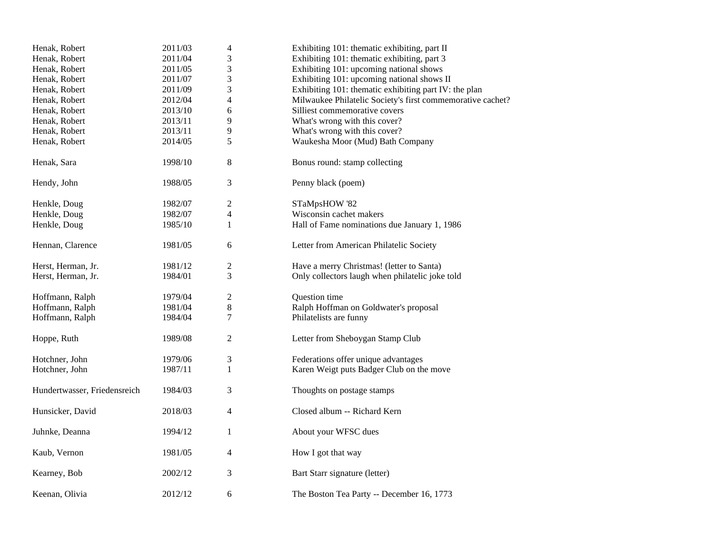| Henak, Robert                | 2011/03 | $\overline{4}$   | Exhibiting 101: thematic exhibiting, part II               |
|------------------------------|---------|------------------|------------------------------------------------------------|
| Henak, Robert                | 2011/04 | 3                | Exhibiting 101: thematic exhibiting, part 3                |
| Henak, Robert                | 2011/05 | 3                | Exhibiting 101: upcoming national shows                    |
| Henak, Robert                | 2011/07 | 3                | Exhibiting 101: upcoming national shows II                 |
| Henak, Robert                | 2011/09 | 3                | Exhibiting 101: the matic exhibiting part IV: the plan     |
| Henak, Robert                | 2012/04 | $\overline{4}$   | Milwaukee Philatelic Society's first commemorative cachet? |
| Henak, Robert                | 2013/10 | 6                | Silliest commemorative covers                              |
| Henak, Robert                | 2013/11 | 9                | What's wrong with this cover?                              |
| Henak, Robert                | 2013/11 | 9                | What's wrong with this cover?                              |
| Henak, Robert                | 2014/05 | 5                | Waukesha Moor (Mud) Bath Company                           |
| Henak, Sara                  | 1998/10 | $\,8\,$          | Bonus round: stamp collecting                              |
| Hendy, John                  | 1988/05 | 3                | Penny black (poem)                                         |
| Henkle, Doug                 | 1982/07 | $\sqrt{2}$       | STaMpsHOW '82                                              |
| Henkle, Doug                 | 1982/07 | $\overline{4}$   | Wisconsin cachet makers                                    |
| Henkle, Doug                 | 1985/10 | $\mathbf{1}$     | Hall of Fame nominations due January 1, 1986               |
| Hennan, Clarence             | 1981/05 | 6                | Letter from American Philatelic Society                    |
| Herst, Herman, Jr.           | 1981/12 | $\mathfrak{2}$   | Have a merry Christmas! (letter to Santa)                  |
| Herst, Herman, Jr.           | 1984/01 | 3                | Only collectors laugh when philatelic joke told            |
| Hoffmann, Ralph              | 1979/04 | $\boldsymbol{2}$ | Question time                                              |
| Hoffmann, Ralph              | 1981/04 | $\,8$            | Ralph Hoffman on Goldwater's proposal                      |
| Hoffmann, Ralph              | 1984/04 | $\tau$           | Philatelists are funny                                     |
| Hoppe, Ruth                  | 1989/08 | $\overline{2}$   | Letter from Sheboygan Stamp Club                           |
| Hotchner, John               | 1979/06 | 3                | Federations offer unique advantages                        |
| Hotchner, John               | 1987/11 | $\mathbf{1}$     | Karen Weigt puts Badger Club on the move                   |
| Hundertwasser, Friedensreich | 1984/03 | $\mathfrak{Z}$   | Thoughts on postage stamps                                 |
| Hunsicker, David             | 2018/03 | $\overline{4}$   | Closed album -- Richard Kern                               |
| Juhnke, Deanna               | 1994/12 | $\mathbf{1}$     | About your WFSC dues                                       |
| Kaub, Vernon                 | 1981/05 | 4                | How I got that way                                         |
| Kearney, Bob                 | 2002/12 | 3                | Bart Starr signature (letter)                              |
| Keenan, Olivia               | 2012/12 | 6                | The Boston Tea Party -- December 16, 1773                  |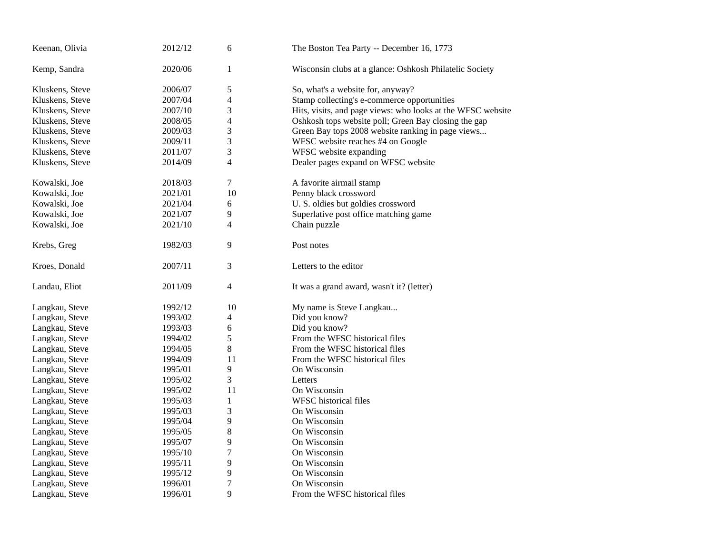| Keenan, Olivia  | 2012/12 | 6                        | The Boston Tea Party -- December 16, 1773                   |
|-----------------|---------|--------------------------|-------------------------------------------------------------|
| Kemp, Sandra    | 2020/06 | $\mathbf{1}$             | Wisconsin clubs at a glance: Oshkosh Philatelic Society     |
| Kluskens, Steve | 2006/07 | 5                        | So, what's a website for, anyway?                           |
| Kluskens, Steve | 2007/04 | 4                        | Stamp collecting's e-commerce opportunities                 |
| Kluskens, Steve | 2007/10 | 3                        | Hits, visits, and page views: who looks at the WFSC website |
| Kluskens, Steve | 2008/05 | $\overline{\mathcal{L}}$ | Oshkosh tops website poll; Green Bay closing the gap        |
| Kluskens, Steve | 2009/03 | 3                        | Green Bay tops 2008 website ranking in page views           |
| Kluskens, Steve | 2009/11 | 3                        | WFSC website reaches #4 on Google                           |
| Kluskens, Steve | 2011/07 | 3                        | WFSC website expanding                                      |
| Kluskens, Steve | 2014/09 | $\overline{\mathcal{L}}$ | Dealer pages expand on WFSC website                         |
| Kowalski, Joe   | 2018/03 | $\tau$                   | A favorite airmail stamp                                    |
| Kowalski, Joe   | 2021/01 | 10                       | Penny black crossword                                       |
| Kowalski, Joe   | 2021/04 | 6                        | U. S. oldies but goldies crossword                          |
| Kowalski, Joe   | 2021/07 | 9                        | Superlative post office matching game                       |
| Kowalski, Joe   | 2021/10 | 4                        | Chain puzzle                                                |
| Krebs, Greg     | 1982/03 | 9                        | Post notes                                                  |
| Kroes, Donald   | 2007/11 | 3                        | Letters to the editor                                       |
| Landau, Eliot   | 2011/09 | 4                        | It was a grand award, wasn't it? (letter)                   |
| Langkau, Steve  | 1992/12 | 10                       | My name is Steve Langkau                                    |
| Langkau, Steve  | 1993/02 | 4                        | Did you know?                                               |
| Langkau, Steve  | 1993/03 | 6                        | Did you know?                                               |
| Langkau, Steve  | 1994/02 | 5                        | From the WFSC historical files                              |
| Langkau, Steve  | 1994/05 | 8                        | From the WFSC historical files                              |
| Langkau, Steve  | 1994/09 | 11                       | From the WFSC historical files                              |
| Langkau, Steve  | 1995/01 | 9                        | On Wisconsin                                                |
| Langkau, Steve  | 1995/02 | 3                        | Letters                                                     |
| Langkau, Steve  | 1995/02 | 11                       | On Wisconsin                                                |
| Langkau, Steve  | 1995/03 | 1                        | <b>WFSC</b> historical files                                |
| Langkau, Steve  | 1995/03 | 3                        | On Wisconsin                                                |
| Langkau, Steve  | 1995/04 | 9                        | On Wisconsin                                                |
| Langkau, Steve  | 1995/05 | 8                        | On Wisconsin                                                |
| Langkau, Steve  | 1995/07 | 9                        | On Wisconsin                                                |
| Langkau, Steve  | 1995/10 | $\tau$                   | On Wisconsin                                                |
| Langkau, Steve  | 1995/11 | 9                        | On Wisconsin                                                |
| Langkau, Steve  | 1995/12 | 9                        | On Wisconsin                                                |
| Langkau, Steve  | 1996/01 | 7                        | On Wisconsin                                                |
| Langkau, Steve  | 1996/01 | 9                        | From the WFSC historical files                              |
|                 |         |                          |                                                             |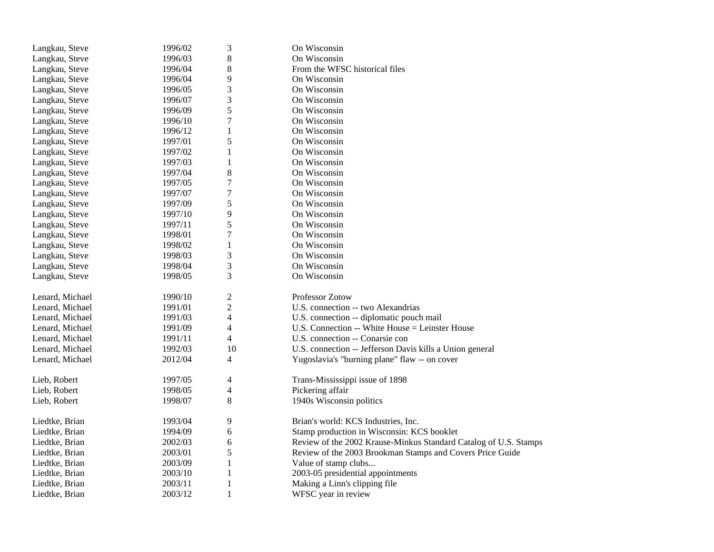| Langkau, Steve  | 1996/02 | 3                        | On Wisconsin                                                     |
|-----------------|---------|--------------------------|------------------------------------------------------------------|
| Langkau, Steve  | 1996/03 | 8                        | On Wisconsin                                                     |
| Langkau, Steve  | 1996/04 | 8                        | From the WFSC historical files                                   |
| Langkau, Steve  | 1996/04 | 9                        | On Wisconsin                                                     |
| Langkau, Steve  | 1996/05 | 3                        | On Wisconsin                                                     |
| Langkau, Steve  | 1996/07 | 3                        | On Wisconsin                                                     |
| Langkau, Steve  | 1996/09 | 5                        | On Wisconsin                                                     |
| Langkau, Steve  | 1996/10 | 7                        | On Wisconsin                                                     |
| Langkau, Steve  | 1996/12 | $\mathbf{1}$             | On Wisconsin                                                     |
| Langkau, Steve  | 1997/01 | 5                        | On Wisconsin                                                     |
| Langkau, Steve  | 1997/02 | $\mathbf{1}$             | On Wisconsin                                                     |
| Langkau, Steve  | 1997/03 | 1                        | On Wisconsin                                                     |
| Langkau, Steve  | 1997/04 | 8                        | On Wisconsin                                                     |
| Langkau, Steve  | 1997/05 | $\boldsymbol{7}$         | On Wisconsin                                                     |
| Langkau, Steve  | 1997/07 | 7                        | On Wisconsin                                                     |
| Langkau, Steve  | 1997/09 | 5                        | On Wisconsin                                                     |
| Langkau, Steve  | 1997/10 | 9                        | On Wisconsin                                                     |
| Langkau, Steve  | 1997/11 | 5                        | On Wisconsin                                                     |
| Langkau, Steve  | 1998/01 | 7                        | On Wisconsin                                                     |
| Langkau, Steve  | 1998/02 | $\mathbf{1}$             | On Wisconsin                                                     |
| Langkau, Steve  | 1998/03 | 3                        | On Wisconsin                                                     |
| Langkau, Steve  | 1998/04 | 3                        | On Wisconsin                                                     |
| Langkau, Steve  | 1998/05 | 3                        | On Wisconsin                                                     |
|                 |         |                          |                                                                  |
| Lenard, Michael | 1990/10 | $\mathfrak{2}$           | <b>Professor Zotow</b>                                           |
| Lenard, Michael | 1991/01 | $\mathfrak{2}$           | U.S. connection -- two Alexandrias                               |
| Lenard, Michael | 1991/03 | 4                        | U.S. connection -- diplomatic pouch mail                         |
| Lenard, Michael | 1991/09 | 4                        | U.S. Connection -- White House = Leinster House                  |
| Lenard, Michael | 1991/11 | 4                        | U.S. connection -- Conarsie con                                  |
| Lenard, Michael | 1992/03 | 10                       | U.S. connection -- Jefferson Davis kills a Union general         |
| Lenard, Michael | 2012/04 | 4                        | Yugoslavia's "burning plane" flaw -- on cover                    |
| Lieb, Robert    | 1997/05 | 4                        | Trans-Mississippi issue of 1898                                  |
| Lieb, Robert    | 1998/05 | $\overline{\mathcal{A}}$ | Pickering affair                                                 |
| Lieb, Robert    | 1998/07 | $8\,$                    | 1940s Wisconsin politics                                         |
|                 |         |                          |                                                                  |
| Liedtke, Brian  | 1993/04 | 9                        | Brian's world: KCS Industries, Inc.                              |
| Liedtke, Brian  | 1994/09 | 6                        | Stamp production in Wisconsin: KCS booklet                       |
| Liedtke, Brian  | 2002/03 | 6                        | Review of the 2002 Krause-Minkus Standard Catalog of U.S. Stamps |
| Liedtke, Brian  | 2003/01 | 5                        | Review of the 2003 Brookman Stamps and Covers Price Guide        |
| Liedtke, Brian  | 2003/09 | 1                        | Value of stamp clubs                                             |
| Liedtke, Brian  | 2003/10 | 1                        | 2003-05 presidential appointments                                |
| Liedtke, Brian  | 2003/11 | 1                        | Making a Linn's clipping file                                    |
| Liedtke, Brian  | 2003/12 | $\mathbf{1}$             | WFSC year in review                                              |
|                 |         |                          |                                                                  |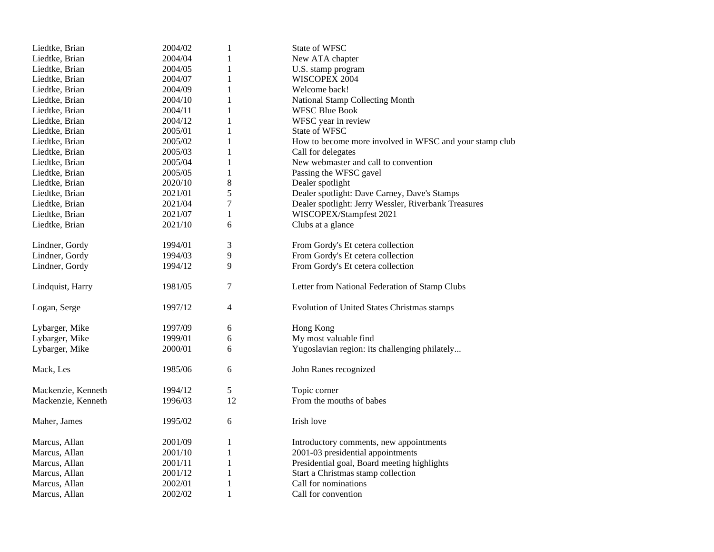| Liedtke, Brian     | 2004/02 | 1            | State of WFSC                                           |
|--------------------|---------|--------------|---------------------------------------------------------|
| Liedtke, Brian     | 2004/04 | 1            | New ATA chapter                                         |
| Liedtke, Brian     | 2004/05 | 1            | U.S. stamp program                                      |
| Liedtke, Brian     | 2004/07 | $\mathbf{1}$ | WISCOPEX 2004                                           |
| Liedtke, Brian     | 2004/09 | $\mathbf{1}$ | Welcome back!                                           |
| Liedtke, Brian     | 2004/10 | 1            | National Stamp Collecting Month                         |
| Liedtke, Brian     | 2004/11 | $\mathbf{1}$ | <b>WFSC Blue Book</b>                                   |
| Liedtke, Brian     | 2004/12 | $\mathbf{1}$ | WFSC year in review                                     |
| Liedtke, Brian     | 2005/01 | 1            | State of WFSC                                           |
| Liedtke, Brian     | 2005/02 | $\mathbf{1}$ | How to become more involved in WFSC and your stamp club |
| Liedtke, Brian     | 2005/03 | $\mathbf{1}$ | Call for delegates                                      |
| Liedtke, Brian     | 2005/04 | 1            | New webmaster and call to convention                    |
| Liedtke, Brian     | 2005/05 | $\mathbf{1}$ | Passing the WFSC gavel                                  |
| Liedtke, Brian     | 2020/10 | 8            | Dealer spotlight                                        |
| Liedtke, Brian     | 2021/01 | 5            | Dealer spotlight: Dave Carney, Dave's Stamps            |
| Liedtke, Brian     | 2021/04 | 7            | Dealer spotlight: Jerry Wessler, Riverbank Treasures    |
| Liedtke, Brian     | 2021/07 | 1            | WISCOPEX/Stampfest 2021                                 |
| Liedtke, Brian     | 2021/10 | 6            | Clubs at a glance                                       |
|                    |         |              |                                                         |
| Lindner, Gordy     | 1994/01 | 3            | From Gordy's Et cetera collection                       |
| Lindner, Gordy     | 1994/03 | 9            | From Gordy's Et cetera collection                       |
| Lindner, Gordy     | 1994/12 | 9            | From Gordy's Et cetera collection                       |
|                    |         |              |                                                         |
| Lindquist, Harry   | 1981/05 | 7            | Letter from National Federation of Stamp Clubs          |
|                    |         |              |                                                         |
| Logan, Serge       | 1997/12 | 4            | Evolution of United States Christmas stamps             |
|                    |         |              |                                                         |
| Lybarger, Mike     | 1997/09 | 6            | Hong Kong                                               |
| Lybarger, Mike     | 1999/01 | 6            | My most valuable find                                   |
| Lybarger, Mike     | 2000/01 | 6            | Yugoslavian region: its challenging philately           |
|                    |         |              |                                                         |
| Mack, Les          | 1985/06 | 6            | John Ranes recognized                                   |
|                    |         |              |                                                         |
| Mackenzie, Kenneth | 1994/12 | 5            | Topic corner                                            |
| Mackenzie, Kenneth | 1996/03 | 12           | From the mouths of babes                                |
|                    |         |              |                                                         |
| Maher, James       | 1995/02 | 6            | Irish love                                              |
|                    |         |              |                                                         |
| Marcus, Allan      | 2001/09 | 1            | Introductory comments, new appointments                 |
| Marcus, Allan      | 2001/10 | 1            | 2001-03 presidential appointments                       |
| Marcus, Allan      | 2001/11 | $\mathbf{1}$ | Presidential goal, Board meeting highlights             |
| Marcus, Allan      | 2001/12 | $\mathbf{1}$ | Start a Christmas stamp collection                      |
| Marcus, Allan      | 2002/01 | 1            | Call for nominations                                    |
| Marcus, Allan      | 2002/02 | 1            | Call for convention                                     |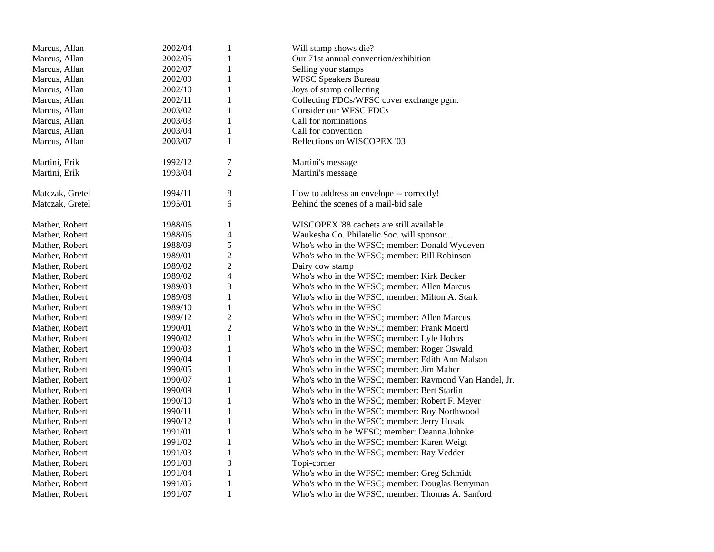| Marcus, Allan   | 2002/04 | $\mathbf{1}$             | Will stamp shows die?                                  |
|-----------------|---------|--------------------------|--------------------------------------------------------|
| Marcus, Allan   | 2002/05 | 1                        | Our 71st annual convention/exhibition                  |
| Marcus, Allan   | 2002/07 | 1                        | Selling your stamps                                    |
| Marcus, Allan   | 2002/09 | $\mathbf{1}$             | <b>WFSC Speakers Bureau</b>                            |
| Marcus, Allan   | 2002/10 | 1                        | Joys of stamp collecting                               |
| Marcus, Allan   | 2002/11 | 1                        | Collecting FDCs/WFSC cover exchange pgm.               |
| Marcus, Allan   | 2003/02 | $\mathbf{1}$             | Consider our WFSC FDCs                                 |
| Marcus, Allan   | 2003/03 | 1                        | Call for nominations                                   |
| Marcus, Allan   | 2003/04 | 1                        | Call for convention                                    |
| Marcus, Allan   | 2003/07 | $\mathbf{1}$             | Reflections on WISCOPEX '03                            |
| Martini, Erik   | 1992/12 | 7                        | Martini's message                                      |
| Martini, Erik   | 1993/04 | $\overline{c}$           | Martini's message                                      |
| Matczak, Gretel | 1994/11 | 8                        | How to address an envelope -- correctly!               |
| Matczak, Gretel | 1995/01 | 6                        | Behind the scenes of a mail-bid sale                   |
| Mather, Robert  | 1988/06 | 1                        | WISCOPEX '88 cachets are still available               |
| Mather, Robert  | 1988/06 | 4                        | Waukesha Co. Philatelic Soc. will sponsor              |
| Mather, Robert  | 1988/09 | 5                        | Who's who in the WFSC; member: Donald Wydeven          |
| Mather, Robert  | 1989/01 | $\overline{c}$           | Who's who in the WFSC; member: Bill Robinson           |
| Mather, Robert  | 1989/02 | $\overline{c}$           | Dairy cow stamp                                        |
| Mather, Robert  | 1989/02 | $\overline{\mathcal{L}}$ | Who's who in the WFSC; member: Kirk Becker             |
| Mather, Robert  | 1989/03 | 3                        | Who's who in the WFSC; member: Allen Marcus            |
| Mather, Robert  | 1989/08 | $\mathbf{1}$             | Who's who in the WFSC; member: Milton A. Stark         |
| Mather, Robert  | 1989/10 | 1                        | Who's who in the WFSC                                  |
| Mather, Robert  | 1989/12 | $\overline{c}$           | Who's who in the WFSC; member: Allen Marcus            |
| Mather, Robert  | 1990/01 | $\overline{2}$           | Who's who in the WFSC; member: Frank Moertl            |
| Mather, Robert  | 1990/02 | 1                        | Who's who in the WFSC; member: Lyle Hobbs              |
| Mather, Robert  | 1990/03 | 1                        | Who's who in the WFSC; member: Roger Oswald            |
| Mather, Robert  | 1990/04 | 1                        | Who's who in the WFSC; member: Edith Ann Malson        |
| Mather, Robert  | 1990/05 | $\mathbf{1}$             | Who's who in the WFSC; member: Jim Maher               |
| Mather, Robert  | 1990/07 | 1                        | Who's who in the WFSC; member: Raymond Van Handel, Jr. |
| Mather, Robert  | 1990/09 | $\mathbf{1}$             | Who's who in the WFSC; member: Bert Starlin            |
| Mather, Robert  | 1990/10 | 1                        | Who's who in the WFSC; member: Robert F. Meyer         |
| Mather, Robert  | 1990/11 | 1                        | Who's who in the WFSC; member: Roy Northwood           |
| Mather, Robert  | 1990/12 | $\mathbf{1}$             | Who's who in the WFSC; member: Jerry Husak             |
| Mather, Robert  | 1991/01 | 1                        | Who's who in he WFSC; member: Deanna Juhnke            |
| Mather, Robert  | 1991/02 | $\mathbf{1}$             | Who's who in the WFSC; member: Karen Weigt             |
| Mather, Robert  | 1991/03 | $\mathbf{1}$             | Who's who in the WFSC; member: Ray Vedder              |
| Mather, Robert  | 1991/03 | 3                        | Topi-corner                                            |
| Mather, Robert  | 1991/04 | 1                        | Who's who in the WFSC; member: Greg Schmidt            |
| Mather, Robert  | 1991/05 | 1                        | Who's who in the WFSC; member: Douglas Berryman        |
| Mather, Robert  | 1991/07 | $\mathbf{1}$             | Who's who in the WFSC; member: Thomas A. Sanford       |
|                 |         |                          |                                                        |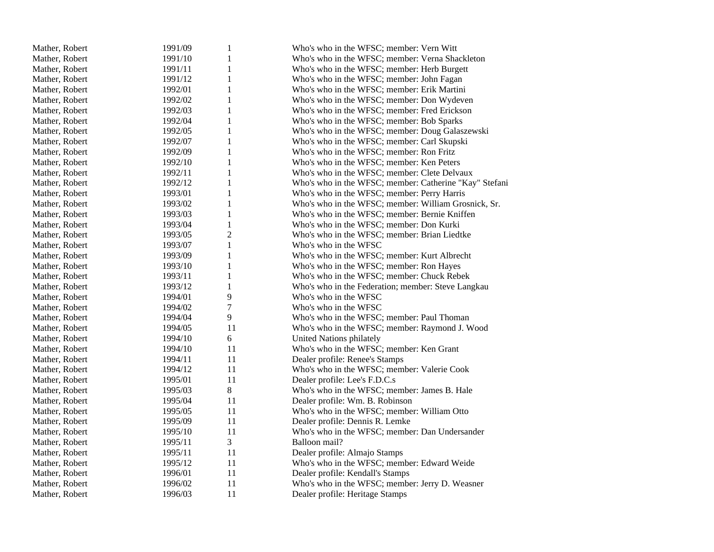| Mather, Robert | 1991/09 | $\mathbf{1}$     | Who's who in the WFSC; member: Vern Witt               |
|----------------|---------|------------------|--------------------------------------------------------|
| Mather, Robert | 1991/10 | 1                | Who's who in the WFSC; member: Verna Shackleton        |
| Mather, Robert | 1991/11 | $\mathbf{1}$     | Who's who in the WFSC; member: Herb Burgett            |
| Mather, Robert | 1991/12 | $\mathbf{1}$     | Who's who in the WFSC; member: John Fagan              |
| Mather, Robert | 1992/01 | $\mathbf 1$      | Who's who in the WFSC; member: Erik Martini            |
| Mather, Robert | 1992/02 | $\mathbf{1}$     | Who's who in the WFSC; member: Don Wydeven             |
| Mather, Robert | 1992/03 | $\mathbf{1}$     | Who's who in the WFSC; member: Fred Erickson           |
| Mather, Robert | 1992/04 | $\mathbf{1}$     | Who's who in the WFSC; member: Bob Sparks              |
| Mather, Robert | 1992/05 | $\mathbf{1}$     | Who's who in the WFSC; member: Doug Galaszewski        |
| Mather, Robert | 1992/07 | 1                | Who's who in the WFSC; member: Carl Skupski            |
| Mather, Robert | 1992/09 | $\mathbf{1}$     | Who's who in the WFSC; member: Ron Fritz               |
| Mather, Robert | 1992/10 | $\mathbf{1}$     | Who's who in the WFSC; member: Ken Peters              |
| Mather, Robert | 1992/11 | $\mathbf{1}$     | Who's who in the WFSC; member: Clete Delvaux           |
| Mather, Robert | 1992/12 | $\mathbf{1}$     | Who's who in the WFSC; member: Catherine "Kay" Stefani |
| Mather, Robert | 1993/01 | $\mathbf{1}$     | Who's who in the WFSC; member: Perry Harris            |
| Mather, Robert | 1993/02 | $\mathbf{1}$     | Who's who in the WFSC; member: William Grosnick, Sr.   |
| Mather, Robert | 1993/03 | $\mathbf{1}$     | Who's who in the WFSC; member: Bernie Kniffen          |
| Mather, Robert | 1993/04 | $\mathbf{1}$     | Who's who in the WFSC; member: Don Kurki               |
| Mather, Robert | 1993/05 | $\overline{c}$   | Who's who in the WFSC; member: Brian Liedtke           |
| Mather, Robert | 1993/07 | $\mathbf{1}$     | Who's who in the WFSC                                  |
| Mather, Robert | 1993/09 | $\mathbf{1}$     | Who's who in the WFSC; member: Kurt Albrecht           |
| Mather, Robert | 1993/10 | $\mathbf{1}$     | Who's who in the WFSC; member: Ron Hayes               |
| Mather, Robert | 1993/11 | $\mathbf{1}$     | Who's who in the WFSC; member: Chuck Rebek             |
| Mather, Robert | 1993/12 | $\mathbf{1}$     | Who's who in the Federation; member: Steve Langkau     |
| Mather, Robert | 1994/01 | 9                | Who's who in the WFSC                                  |
| Mather, Robert | 1994/02 | $\boldsymbol{7}$ | Who's who in the WFSC                                  |
| Mather, Robert | 1994/04 | 9                | Who's who in the WFSC; member: Paul Thoman             |
| Mather, Robert | 1994/05 | 11               | Who's who in the WFSC; member: Raymond J. Wood         |
| Mather, Robert | 1994/10 | 6                | United Nations philately                               |
| Mather, Robert | 1994/10 | 11               | Who's who in the WFSC; member: Ken Grant               |
| Mather, Robert | 1994/11 | 11               | Dealer profile: Renee's Stamps                         |
| Mather, Robert | 1994/12 | 11               | Who's who in the WFSC; member: Valerie Cook            |
| Mather, Robert | 1995/01 | 11               | Dealer profile: Lee's F.D.C.s                          |
| Mather, Robert | 1995/03 | 8                | Who's who in the WFSC; member: James B. Hale           |
| Mather, Robert | 1995/04 | 11               | Dealer profile: Wm. B. Robinson                        |
| Mather, Robert | 1995/05 | 11               | Who's who in the WFSC; member: William Otto            |
| Mather, Robert | 1995/09 | 11               | Dealer profile: Dennis R. Lemke                        |
| Mather, Robert | 1995/10 | 11               | Who's who in the WFSC; member: Dan Undersander         |
| Mather, Robert | 1995/11 | 3                | Balloon mail?                                          |
| Mather, Robert | 1995/11 | 11               | Dealer profile: Almajo Stamps                          |
| Mather, Robert | 1995/12 | 11               | Who's who in the WFSC; member: Edward Weide            |
| Mather, Robert | 1996/01 | 11               | Dealer profile: Kendall's Stamps                       |
| Mather, Robert | 1996/02 | 11               | Who's who in the WFSC; member: Jerry D. Weasner        |
| Mather, Robert | 1996/03 | 11               | Dealer profile: Heritage Stamps                        |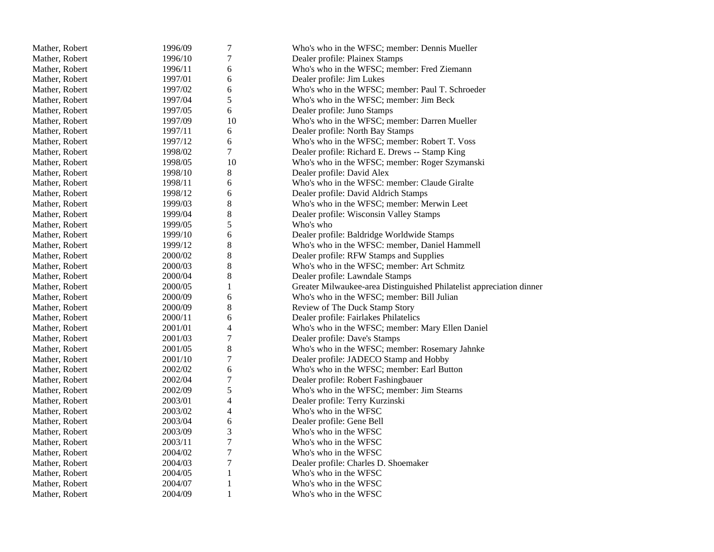| Mather, Robert | 1996/09 | $\tau$           | Who's who in the WFSC; member: Dennis Mueller                        |
|----------------|---------|------------------|----------------------------------------------------------------------|
| Mather, Robert | 1996/10 | 7                | Dealer profile: Plainex Stamps                                       |
| Mather, Robert | 1996/11 | 6                | Who's who in the WFSC; member: Fred Ziemann                          |
| Mather, Robert | 1997/01 | 6                | Dealer profile: Jim Lukes                                            |
| Mather, Robert | 1997/02 | 6                | Who's who in the WFSC; member: Paul T. Schroeder                     |
| Mather, Robert | 1997/04 | 5                | Who's who in the WFSC; member: Jim Beck                              |
| Mather, Robert | 1997/05 | 6                | Dealer profile: Juno Stamps                                          |
| Mather, Robert | 1997/09 | 10               | Who's who in the WFSC; member: Darren Mueller                        |
| Mather, Robert | 1997/11 | 6                | Dealer profile: North Bay Stamps                                     |
| Mather, Robert | 1997/12 | 6                | Who's who in the WFSC; member: Robert T. Voss                        |
| Mather, Robert | 1998/02 | $\tau$           | Dealer profile: Richard E. Drews -- Stamp King                       |
| Mather, Robert | 1998/05 | 10               | Who's who in the WFSC; member: Roger Szymanski                       |
| Mather, Robert | 1998/10 | $8\,$            | Dealer profile: David Alex                                           |
| Mather, Robert | 1998/11 | 6                | Who's who in the WFSC: member: Claude Giralte                        |
| Mather, Robert | 1998/12 | 6                | Dealer profile: David Aldrich Stamps                                 |
| Mather, Robert | 1999/03 | $\,8\,$          | Who's who in the WFSC; member: Merwin Leet                           |
| Mather, Robert | 1999/04 | $\,8\,$          | Dealer profile: Wisconsin Valley Stamps                              |
| Mather, Robert | 1999/05 | 5                | Who's who                                                            |
| Mather, Robert | 1999/10 | 6                | Dealer profile: Baldridge Worldwide Stamps                           |
| Mather, Robert | 1999/12 | $\,8\,$          | Who's who in the WFSC: member, Daniel Hammell                        |
| Mather, Robert | 2000/02 | $\,8\,$          | Dealer profile: RFW Stamps and Supplies                              |
| Mather, Robert | 2000/03 | $\,8\,$          | Who's who in the WFSC; member: Art Schmitz                           |
| Mather, Robert | 2000/04 | 8                | Dealer profile: Lawndale Stamps                                      |
| Mather, Robert | 2000/05 | $\mathbf{1}$     | Greater Milwaukee-area Distinguished Philatelist appreciation dinner |
| Mather, Robert | 2000/09 | 6                | Who's who in the WFSC; member: Bill Julian                           |
| Mather, Robert | 2000/09 | 8                | Review of The Duck Stamp Story                                       |
| Mather, Robert | 2000/11 | 6                | Dealer profile: Fairlakes Philatelics                                |
| Mather, Robert | 2001/01 | $\overline{4}$   | Who's who in the WFSC; member: Mary Ellen Daniel                     |
| Mather, Robert | 2001/03 | 7                | Dealer profile: Dave's Stamps                                        |
| Mather, Robert | 2001/05 | $8\,$            | Who's who in the WFSC; member: Rosemary Jahnke                       |
| Mather, Robert | 2001/10 | $\boldsymbol{7}$ | Dealer profile: JADECO Stamp and Hobby                               |
| Mather, Robert | 2002/02 | 6                | Who's who in the WFSC; member: Earl Button                           |
| Mather, Robert | 2002/04 | $\boldsymbol{7}$ | Dealer profile: Robert Fashingbauer                                  |
| Mather, Robert | 2002/09 | 5                | Who's who in the WFSC; member: Jim Stearns                           |
| Mather, Robert | 2003/01 | $\overline{4}$   | Dealer profile: Terry Kurzinski                                      |
| Mather, Robert | 2003/02 | 4                | Who's who in the WFSC                                                |
| Mather, Robert | 2003/04 | 6                | Dealer profile: Gene Bell                                            |
| Mather, Robert | 2003/09 | 3                | Who's who in the WFSC                                                |
| Mather, Robert | 2003/11 | 7                | Who's who in the WFSC                                                |
| Mather, Robert | 2004/02 | $\overline{7}$   | Who's who in the WFSC                                                |
| Mather, Robert | 2004/03 | 7                | Dealer profile: Charles D. Shoemaker                                 |
| Mather, Robert | 2004/05 | $\mathbf{1}$     | Who's who in the WFSC                                                |
| Mather, Robert | 2004/07 | 1                | Who's who in the WFSC                                                |
| Mather, Robert | 2004/09 | 1                | Who's who in the WFSC                                                |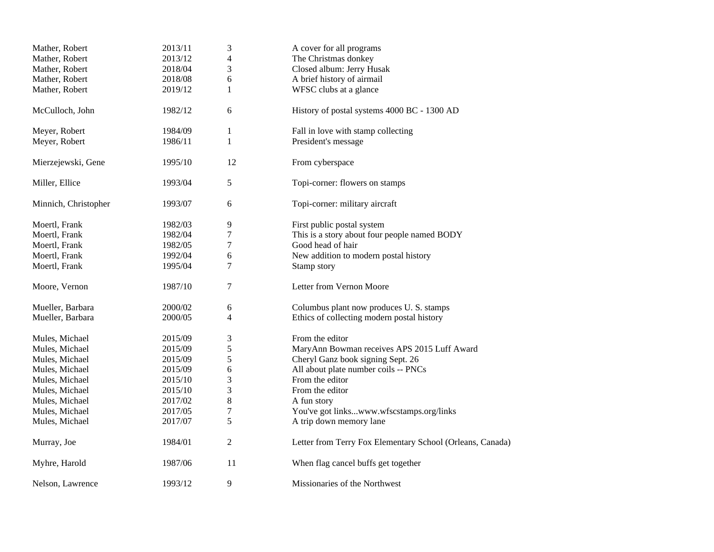| Mather, Robert       | 2013/11 | 3              | A cover for all programs                                  |
|----------------------|---------|----------------|-----------------------------------------------------------|
| Mather, Robert       | 2013/12 | 4              | The Christmas donkey                                      |
| Mather, Robert       | 2018/04 | 3              | Closed album: Jerry Husak                                 |
| Mather, Robert       | 2018/08 | 6              | A brief history of airmail                                |
| Mather, Robert       | 2019/12 | $\mathbf{1}$   | WFSC clubs at a glance                                    |
| McCulloch, John      | 1982/12 | 6              | History of postal systems 4000 BC - 1300 AD               |
| Meyer, Robert        | 1984/09 | $\mathbf{1}$   | Fall in love with stamp collecting                        |
| Meyer, Robert        | 1986/11 | $\mathbf{1}$   | President's message                                       |
| Mierzejewski, Gene   | 1995/10 | 12             | From cyberspace                                           |
| Miller, Ellice       | 1993/04 | 5              | Topi-corner: flowers on stamps                            |
| Minnich, Christopher | 1993/07 | 6              | Topi-corner: military aircraft                            |
| Moertl, Frank        | 1982/03 | 9              | First public postal system                                |
| Moertl, Frank        | 1982/04 | 7              | This is a story about four people named BODY              |
| Moertl, Frank        | 1982/05 | $\tau$         | Good head of hair                                         |
| Moertl, Frank        | 1992/04 | 6              | New addition to modern postal history                     |
| Moertl, Frank        | 1995/04 | 7              | Stamp story                                               |
| Moore, Vernon        | 1987/10 | 7              | Letter from Vernon Moore                                  |
| Mueller, Barbara     | 2000/02 | 6              | Columbus plant now produces U.S. stamps                   |
| Mueller, Barbara     | 2000/05 | 4              | Ethics of collecting modern postal history                |
| Mules, Michael       | 2015/09 | 3              | From the editor                                           |
| Mules, Michael       | 2015/09 | 5              | MaryAnn Bowman receives APS 2015 Luff Award               |
| Mules, Michael       | 2015/09 | 5              | Cheryl Ganz book signing Sept. 26                         |
| Mules, Michael       | 2015/09 | 6              | All about plate number coils -- PNCs                      |
| Mules, Michael       | 2015/10 | 3              | From the editor                                           |
| Mules, Michael       | 2015/10 | 3              | From the editor                                           |
| Mules, Michael       | 2017/02 | 8              | A fun story                                               |
| Mules, Michael       | 2017/05 | 7              | You've got linkswww.wfscstamps.org/links                  |
| Mules, Michael       | 2017/07 | 5              | A trip down memory lane                                   |
| Murray, Joe          | 1984/01 | $\overline{2}$ | Letter from Terry Fox Elementary School (Orleans, Canada) |
| Myhre, Harold        | 1987/06 | 11             | When flag cancel buffs get together                       |
| Nelson, Lawrence     | 1993/12 | 9              | Missionaries of the Northwest                             |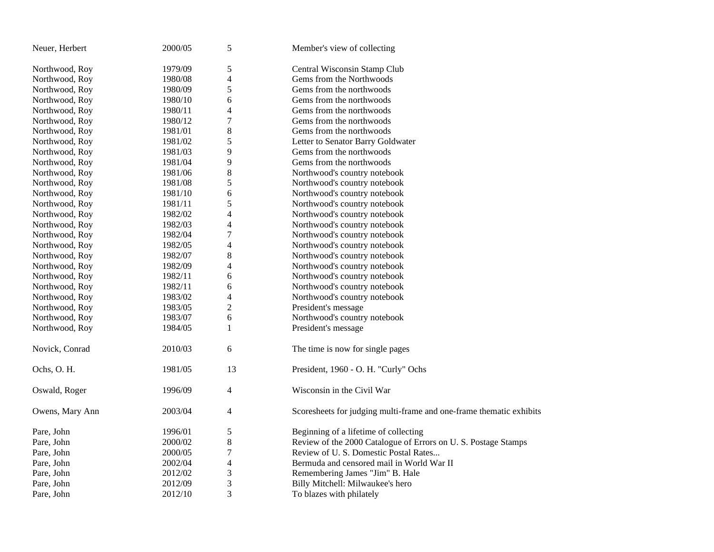| Neuer, Herbert  | 2000/05 | 5                        | Member's view of collecting                                         |
|-----------------|---------|--------------------------|---------------------------------------------------------------------|
| Northwood, Roy  | 1979/09 | 5                        | Central Wisconsin Stamp Club                                        |
| Northwood, Roy  | 1980/08 | $\overline{\mathcal{L}}$ | Gems from the Northwoods                                            |
| Northwood, Roy  | 1980/09 | 5                        | Gems from the northwoods                                            |
| Northwood, Roy  | 1980/10 | 6                        | Gems from the northwoods                                            |
| Northwood, Roy  | 1980/11 | 4                        | Gems from the northwoods                                            |
| Northwood, Roy  | 1980/12 | $\tau$                   | Gems from the northwoods                                            |
| Northwood, Roy  | 1981/01 | $\,$ 8 $\,$              | Gems from the northwoods                                            |
| Northwood, Roy  | 1981/02 | 5                        | Letter to Senator Barry Goldwater                                   |
| Northwood, Roy  | 1981/03 | 9                        | Gems from the northwoods                                            |
| Northwood, Roy  | 1981/04 | 9                        | Gems from the northwoods                                            |
| Northwood, Roy  | 1981/06 | $\,$ 8 $\,$              | Northwood's country notebook                                        |
| Northwood, Roy  | 1981/08 | 5                        | Northwood's country notebook                                        |
| Northwood, Roy  | 1981/10 | 6                        | Northwood's country notebook                                        |
| Northwood, Roy  | 1981/11 | 5                        | Northwood's country notebook                                        |
| Northwood, Roy  | 1982/02 | 4                        | Northwood's country notebook                                        |
| Northwood, Roy  | 1982/03 | 4                        | Northwood's country notebook                                        |
| Northwood, Roy  | 1982/04 | 7                        | Northwood's country notebook                                        |
| Northwood, Roy  | 1982/05 | 4                        | Northwood's country notebook                                        |
| Northwood, Roy  | 1982/07 | $\,$ 8 $\,$              | Northwood's country notebook                                        |
| Northwood, Roy  | 1982/09 | 4                        | Northwood's country notebook                                        |
| Northwood, Roy  | 1982/11 | 6                        | Northwood's country notebook                                        |
| Northwood, Roy  | 1982/11 | 6                        | Northwood's country notebook                                        |
| Northwood, Roy  | 1983/02 | 4                        | Northwood's country notebook                                        |
| Northwood, Roy  | 1983/05 | $\overline{c}$           | President's message                                                 |
| Northwood, Roy  | 1983/07 | 6                        | Northwood's country notebook                                        |
| Northwood, Roy  | 1984/05 | 1                        | President's message                                                 |
| Novick, Conrad  | 2010/03 | 6                        | The time is now for single pages                                    |
| Ochs, O. H.     | 1981/05 | 13                       | President, 1960 - O. H. "Curly" Ochs                                |
| Oswald, Roger   | 1996/09 | 4                        | Wisconsin in the Civil War                                          |
| Owens, Mary Ann | 2003/04 | 4                        | Scoresheets for judging multi-frame and one-frame thematic exhibits |
| Pare, John      | 1996/01 | $\sqrt{5}$               | Beginning of a lifetime of collecting                               |
| Pare, John      | 2000/02 | $\,$ 8 $\,$              | Review of the 2000 Catalogue of Errors on U.S. Postage Stamps       |
| Pare, John      | 2000/05 | $\boldsymbol{7}$         | Review of U. S. Domestic Postal Rates                               |
| Pare, John      | 2002/04 | 4                        | Bermuda and censored mail in World War II                           |
| Pare, John      | 2012/02 | $\sqrt{3}$               | Remembering James "Jim" B. Hale                                     |
| Pare, John      | 2012/09 | 3                        | Billy Mitchell: Milwaukee's hero                                    |
| Pare, John      | 2012/10 | 3                        | To blazes with philately                                            |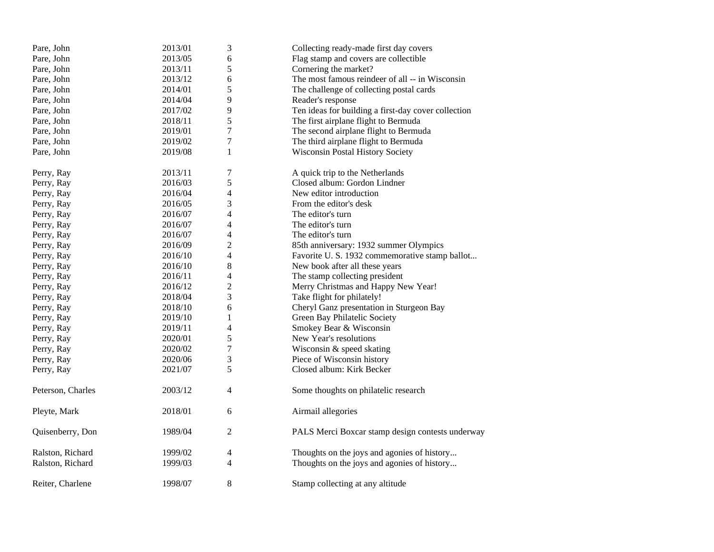| Pare, John        | 2013/01 | $\mathfrak 3$    | Collecting ready-made first day covers              |
|-------------------|---------|------------------|-----------------------------------------------------|
| Pare, John        | 2013/05 | 6                | Flag stamp and covers are collectible               |
| Pare, John        | 2013/11 | 5                | Cornering the market?                               |
| Pare, John        | 2013/12 | 6                | The most famous reindeer of all -- in Wisconsin     |
| Pare, John        | 2014/01 | 5                | The challenge of collecting postal cards            |
| Pare, John        | 2014/04 | 9                | Reader's response                                   |
| Pare, John        | 2017/02 | 9                | Ten ideas for building a first-day cover collection |
| Pare, John        | 2018/11 | 5                | The first airplane flight to Bermuda                |
| Pare, John        | 2019/01 | $\tau$           | The second airplane flight to Bermuda               |
| Pare, John        | 2019/02 | $\boldsymbol{7}$ | The third airplane flight to Bermuda                |
| Pare, John        | 2019/08 | 1                | Wisconsin Postal History Society                    |
| Perry, Ray        | 2013/11 | 7                | A quick trip to the Netherlands                     |
| Perry, Ray        | 2016/03 | 5                | Closed album: Gordon Lindner                        |
| Perry, Ray        | 2016/04 | 4                | New editor introduction                             |
| Perry, Ray        | 2016/05 | 3                | From the editor's desk                              |
| Perry, Ray        | 2016/07 | 4                | The editor's turn                                   |
| Perry, Ray        | 2016/07 | 4                | The editor's turn                                   |
| Perry, Ray        | 2016/07 | 4                | The editor's turn                                   |
| Perry, Ray        | 2016/09 | $\overline{c}$   | 85th anniversary: 1932 summer Olympics              |
| Perry, Ray        | 2016/10 | 4                | Favorite U.S. 1932 commemorative stamp ballot       |
| Perry, Ray        | 2016/10 | 8                | New book after all these years                      |
| Perry, Ray        | 2016/11 | 4                | The stamp collecting president                      |
| Perry, Ray        | 2016/12 | $\mathfrak{2}$   | Merry Christmas and Happy New Year!                 |
| Perry, Ray        | 2018/04 | 3                | Take flight for philately!                          |
| Perry, Ray        | 2018/10 | 6                | Cheryl Ganz presentation in Sturgeon Bay            |
| Perry, Ray        | 2019/10 | $\mathbf{1}$     | Green Bay Philatelic Society                        |
| Perry, Ray        | 2019/11 | 4                | Smokey Bear & Wisconsin                             |
| Perry, Ray        | 2020/01 | 5                | New Year's resolutions                              |
| Perry, Ray        | 2020/02 | $\tau$           | Wisconsin & speed skating                           |
| Perry, Ray        | 2020/06 | 3                | Piece of Wisconsin history                          |
| Perry, Ray        | 2021/07 | 5                | Closed album: Kirk Becker                           |
| Peterson, Charles | 2003/12 | 4                | Some thoughts on philatelic research                |
| Pleyte, Mark      | 2018/01 | 6                | Airmail allegories                                  |
| Quisenberry, Don  | 1989/04 | 2                | PALS Merci Boxcar stamp design contests underway    |
| Ralston, Richard  | 1999/02 | 4                | Thoughts on the joys and agonies of history         |
| Ralston, Richard  | 1999/03 | 4                | Thoughts on the joys and agonies of history         |
| Reiter, Charlene  | 1998/07 | 8                | Stamp collecting at any altitude                    |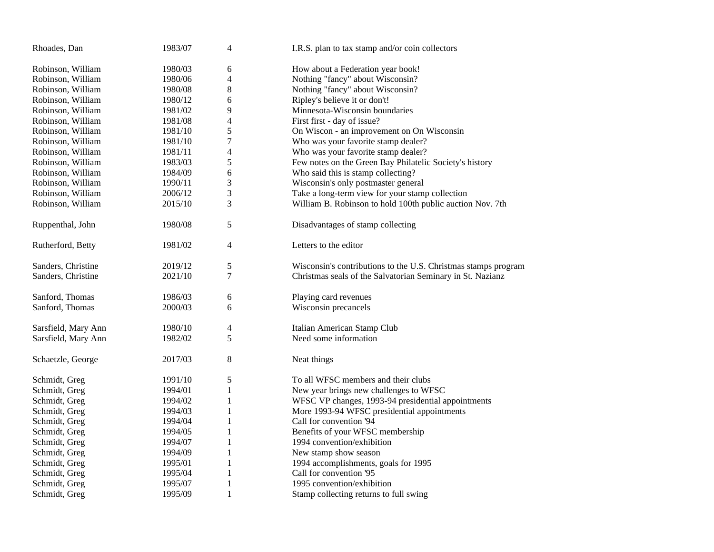| Rhoades, Dan        | 1983/07 | $\overline{4}$ | I.R.S. plan to tax stamp and/or coin collectors                |
|---------------------|---------|----------------|----------------------------------------------------------------|
| Robinson, William   | 1980/03 | 6              | How about a Federation year book!                              |
| Robinson, William   | 1980/06 | 4              | Nothing "fancy" about Wisconsin?                               |
| Robinson, William   | 1980/08 | 8              | Nothing "fancy" about Wisconsin?                               |
| Robinson, William   | 1980/12 | 6              | Ripley's believe it or don't!                                  |
| Robinson, William   | 1981/02 | 9              | Minnesota-Wisconsin boundaries                                 |
| Robinson, William   | 1981/08 | 4              | First first - day of issue?                                    |
| Robinson, William   | 1981/10 | 5              | On Wiscon - an improvement on On Wisconsin                     |
| Robinson, William   | 1981/10 | $\tau$         | Who was your favorite stamp dealer?                            |
| Robinson, William   | 1981/11 | $\overline{4}$ | Who was your favorite stamp dealer?                            |
| Robinson, William   | 1983/03 | 5              | Few notes on the Green Bay Philatelic Society's history        |
| Robinson, William   | 1984/09 | 6              | Who said this is stamp collecting?                             |
| Robinson, William   | 1990/11 | 3              | Wisconsin's only postmaster general                            |
| Robinson, William   | 2006/12 | 3              | Take a long-term view for your stamp collection                |
| Robinson, William   | 2015/10 | 3              | William B. Robinson to hold 100th public auction Nov. 7th      |
| Ruppenthal, John    | 1980/08 | 5              | Disadvantages of stamp collecting                              |
| Rutherford, Betty   | 1981/02 | $\overline{4}$ | Letters to the editor                                          |
| Sanders, Christine  | 2019/12 | 5              | Wisconsin's contributions to the U.S. Christmas stamps program |
| Sanders, Christine  | 2021/10 | $\tau$         | Christmas seals of the Salvatorian Seminary in St. Nazianz     |
| Sanford, Thomas     | 1986/03 | 6              | Playing card revenues                                          |
| Sanford, Thomas     | 2000/03 | 6              | Wisconsin precancels                                           |
| Sarsfield, Mary Ann | 1980/10 | $\overline{4}$ | Italian American Stamp Club                                    |
| Sarsfield, Mary Ann | 1982/02 | 5              | Need some information                                          |
| Schaetzle, George   | 2017/03 | $\,8\,$        | Neat things                                                    |
| Schmidt, Greg       | 1991/10 | 5              | To all WFSC members and their clubs                            |
| Schmidt, Greg       | 1994/01 | 1              | New year brings new challenges to WFSC                         |
| Schmidt, Greg       | 1994/02 | 1              | WFSC VP changes, 1993-94 presidential appointments             |
| Schmidt, Greg       | 1994/03 | 1              | More 1993-94 WFSC presidential appointments                    |
| Schmidt, Greg       | 1994/04 | $\mathbf{1}$   | Call for convention '94                                        |
| Schmidt, Greg       | 1994/05 | $\mathbf{1}$   | Benefits of your WFSC membership                               |
| Schmidt, Greg       | 1994/07 | 1              | 1994 convention/exhibition                                     |
| Schmidt, Greg       | 1994/09 | $\mathbf{1}$   | New stamp show season                                          |
| Schmidt, Greg       | 1995/01 | $\mathbf{1}$   | 1994 accomplishments, goals for 1995                           |
| Schmidt, Greg       | 1995/04 | 1              | Call for convention '95                                        |
| Schmidt, Greg       | 1995/07 | 1              | 1995 convention/exhibition                                     |
| Schmidt, Greg       | 1995/09 | $\mathbf{1}$   | Stamp collecting returns to full swing                         |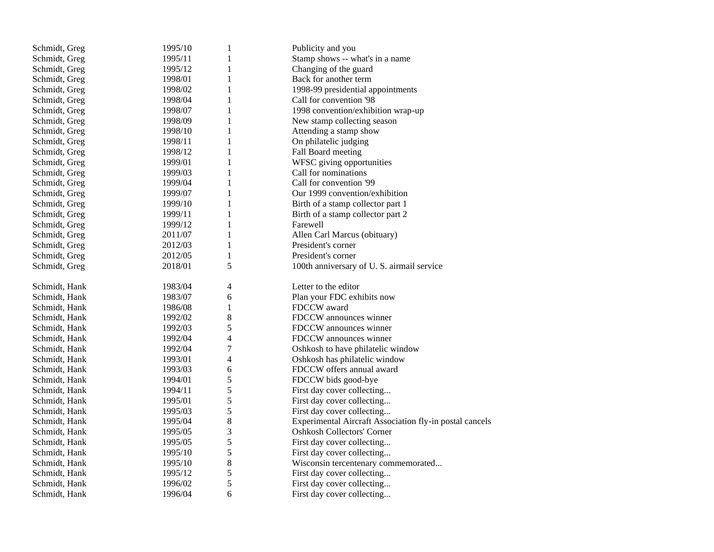| Schmidt, Greg | 1995/10 | 1            | Publicity and you                                       |
|---------------|---------|--------------|---------------------------------------------------------|
| Schmidt, Greg | 1995/11 | 1            | Stamp shows -- what's in a name                         |
| Schmidt, Greg | 1995/12 | 1            | Changing of the guard                                   |
| Schmidt, Greg | 1998/01 | $\mathbf{1}$ | Back for another term                                   |
| Schmidt, Greg | 1998/02 | $\mathbf{1}$ | 1998-99 presidential appointments                       |
| Schmidt, Greg | 1998/04 | 1            | Call for convention '98                                 |
| Schmidt, Greg | 1998/07 | $\mathbf{1}$ | 1998 convention/exhibition wrap-up                      |
| Schmidt, Greg | 1998/09 | $\mathbf{1}$ | New stamp collecting season                             |
| Schmidt, Greg | 1998/10 | 1            | Attending a stamp show                                  |
| Schmidt, Greg | 1998/11 | $\mathbf{1}$ | On philatelic judging                                   |
| Schmidt, Greg | 1998/12 | $\mathbf{1}$ | Fall Board meeting                                      |
| Schmidt, Greg | 1999/01 | $\mathbf{1}$ | WFSC giving opportunities                               |
| Schmidt, Greg | 1999/03 | $\mathbf{1}$ | Call for nominations                                    |
| Schmidt, Greg | 1999/04 | $\mathbf{1}$ | Call for convention '99                                 |
| Schmidt, Greg | 1999/07 | $\mathbf{1}$ | Our 1999 convention/exhibition                          |
| Schmidt, Greg | 1999/10 | 1            | Birth of a stamp collector part 1                       |
| Schmidt, Greg | 1999/11 | $\mathbf{1}$ | Birth of a stamp collector part 2                       |
| Schmidt, Greg | 1999/12 | $\mathbf{1}$ | Farewell                                                |
| Schmidt, Greg | 2011/07 | 1            | Allen Carl Marcus (obituary)                            |
| Schmidt, Greg | 2012/03 | $\mathbf{1}$ | President's corner                                      |
| Schmidt, Greg | 2012/05 | $\,1$        | President's corner                                      |
| Schmidt, Greg | 2018/01 | 5            | 100th anniversary of U.S. airmail service               |
| Schmidt, Hank | 1983/04 | 4            | Letter to the editor                                    |
| Schmidt, Hank | 1983/07 | 6            | Plan your FDC exhibits now                              |
| Schmidt, Hank | 1986/08 | 1            | FDCCW award                                             |
| Schmidt, Hank | 1992/02 | 8            | FDCCW announces winner                                  |
| Schmidt, Hank | 1992/03 | 5            | FDCCW announces winner                                  |
| Schmidt, Hank | 1992/04 | 4            | FDCCW announces winner                                  |
| Schmidt, Hank | 1992/04 | 7            | Oshkosh to have philatelic window                       |
| Schmidt, Hank | 1993/01 | 4            | Oshkosh has philatelic window                           |
| Schmidt, Hank | 1993/03 | 6            | FDCCW offers annual award                               |
| Schmidt, Hank | 1994/01 | 5            | FDCCW bids good-bye                                     |
| Schmidt, Hank | 1994/11 | 5            | First day cover collecting                              |
| Schmidt, Hank | 1995/01 | 5            | First day cover collecting                              |
| Schmidt, Hank | 1995/03 | 5            | First day cover collecting                              |
| Schmidt, Hank | 1995/04 | 8            | Experimental Aircraft Association fly-in postal cancels |
| Schmidt, Hank | 1995/05 | 3            | <b>Oshkosh Collectors' Corner</b>                       |
| Schmidt, Hank | 1995/05 | 5            | First day cover collecting                              |
| Schmidt, Hank | 1995/10 | 5            | First day cover collecting                              |
| Schmidt, Hank | 1995/10 | 8            | Wisconsin tercentenary commemorated                     |
| Schmidt, Hank | 1995/12 | 5            | First day cover collecting                              |
| Schmidt, Hank | 1996/02 | 5            | First day cover collecting                              |
| Schmidt, Hank | 1996/04 | 6            | First day cover collecting                              |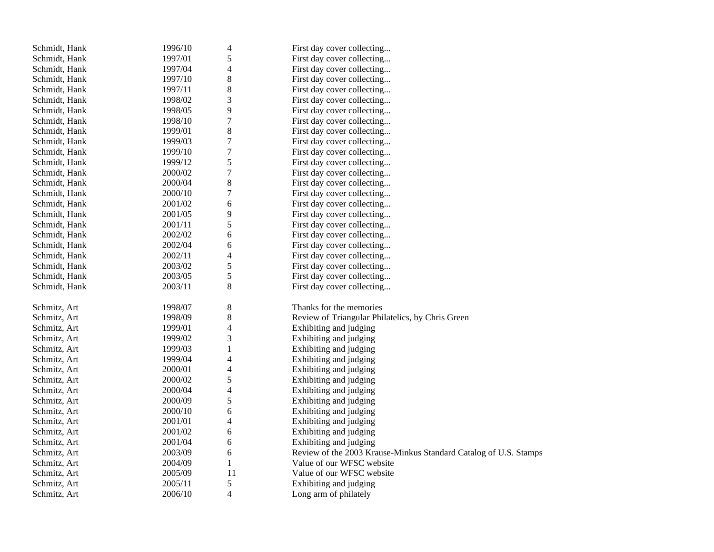| Schmidt, Hank | 1996/10 | 4                        | First day cover collecting                                       |
|---------------|---------|--------------------------|------------------------------------------------------------------|
| Schmidt, Hank | 1997/01 | 5                        | First day cover collecting                                       |
| Schmidt, Hank | 1997/04 | 4                        | First day cover collecting                                       |
| Schmidt, Hank | 1997/10 | 8                        | First day cover collecting                                       |
| Schmidt, Hank | 1997/11 | 8                        | First day cover collecting                                       |
| Schmidt, Hank | 1998/02 | 3                        | First day cover collecting                                       |
| Schmidt, Hank | 1998/05 | 9                        | First day cover collecting                                       |
| Schmidt, Hank | 1998/10 | 7                        | First day cover collecting                                       |
| Schmidt, Hank | 1999/01 | 8                        | First day cover collecting                                       |
| Schmidt, Hank | 1999/03 | $\overline{7}$           | First day cover collecting                                       |
| Schmidt, Hank | 1999/10 | $\overline{7}$           | First day cover collecting                                       |
| Schmidt, Hank | 1999/12 | 5                        | First day cover collecting                                       |
| Schmidt, Hank | 2000/02 | 7                        | First day cover collecting                                       |
| Schmidt, Hank | 2000/04 | 8                        | First day cover collecting                                       |
| Schmidt, Hank | 2000/10 | $\boldsymbol{7}$         | First day cover collecting                                       |
| Schmidt, Hank | 2001/02 | 6                        | First day cover collecting                                       |
| Schmidt, Hank | 2001/05 | 9                        | First day cover collecting                                       |
| Schmidt, Hank | 2001/11 | 5                        | First day cover collecting                                       |
| Schmidt, Hank | 2002/02 | 6                        | First day cover collecting                                       |
| Schmidt, Hank | 2002/04 | 6                        | First day cover collecting                                       |
| Schmidt, Hank | 2002/11 | 4                        | First day cover collecting                                       |
| Schmidt, Hank | 2003/02 | 5                        | First day cover collecting                                       |
| Schmidt, Hank | 2003/05 | 5                        | First day cover collecting                                       |
| Schmidt, Hank | 2003/11 | 8                        | First day cover collecting                                       |
|               |         |                          |                                                                  |
| Schmitz, Art  | 1998/07 | 8                        | Thanks for the memories                                          |
| Schmitz, Art  | 1998/09 | 8                        | Review of Triangular Philatelics, by Chris Green                 |
| Schmitz, Art  | 1999/01 | $\overline{\mathcal{L}}$ | Exhibiting and judging                                           |
| Schmitz, Art  | 1999/02 | 3                        | Exhibiting and judging                                           |
| Schmitz, Art  | 1999/03 | $\,1$                    | Exhibiting and judging                                           |
| Schmitz, Art  | 1999/04 | 4                        | Exhibiting and judging                                           |
| Schmitz, Art  | 2000/01 | $\overline{\mathcal{L}}$ | Exhibiting and judging                                           |
| Schmitz, Art  | 2000/02 | 5                        | Exhibiting and judging                                           |
| Schmitz, Art  | 2000/04 | $\overline{\mathcal{L}}$ | Exhibiting and judging                                           |
| Schmitz, Art  | 2000/09 | 5                        | Exhibiting and judging                                           |
| Schmitz, Art  | 2000/10 | 6                        | Exhibiting and judging                                           |
| Schmitz, Art  | 2001/01 | 4                        | Exhibiting and judging                                           |
| Schmitz, Art  | 2001/02 | 6                        | Exhibiting and judging                                           |
| Schmitz, Art  | 2001/04 | 6                        | Exhibiting and judging                                           |
| Schmitz, Art  | 2003/09 | 6                        | Review of the 2003 Krause-Minkus Standard Catalog of U.S. Stamps |
| Schmitz, Art  | 2004/09 | $\mathbf{1}$             | Value of our WFSC website                                        |
| Schmitz, Art  | 2005/09 | 11                       | Value of our WFSC website                                        |
| Schmitz, Art  | 2005/11 | 5                        | Exhibiting and judging                                           |
| Schmitz, Art  | 2006/10 | $\overline{4}$           | Long arm of philately                                            |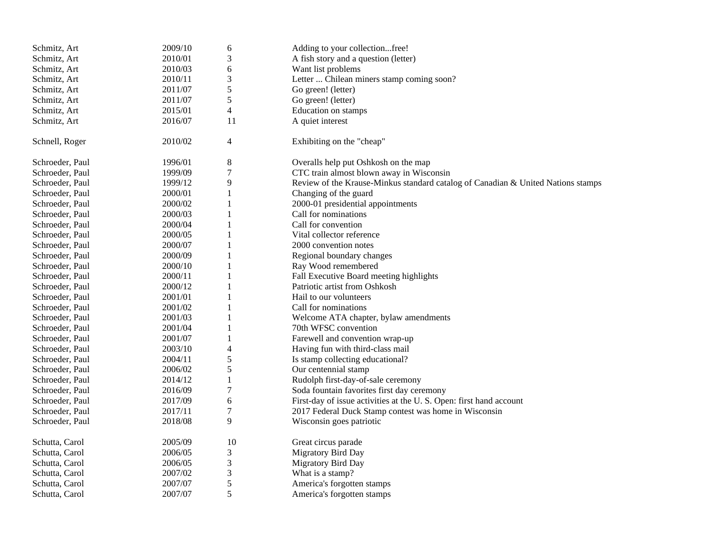| Schmitz, Art    | 2009/10 | 6                           | Adding to your collectionfree!                                                   |
|-----------------|---------|-----------------------------|----------------------------------------------------------------------------------|
| Schmitz, Art    | 2010/01 | 3                           | A fish story and a question (letter)                                             |
| Schmitz, Art    | 2010/03 | 6                           | Want list problems                                                               |
| Schmitz, Art    | 2010/11 | $\ensuremath{\mathfrak{Z}}$ | Letter  Chilean miners stamp coming soon?                                        |
| Schmitz, Art    | 2011/07 | 5                           | Go green! (letter)                                                               |
| Schmitz, Art    | 2011/07 | 5                           | Go green! (letter)                                                               |
| Schmitz, Art    | 2015/01 | $\overline{4}$              | Education on stamps                                                              |
| Schmitz, Art    | 2016/07 | 11                          | A quiet interest                                                                 |
| Schnell, Roger  | 2010/02 | 4                           | Exhibiting on the "cheap"                                                        |
| Schroeder, Paul | 1996/01 | $8\phantom{1}$              | Overalls help put Oshkosh on the map                                             |
| Schroeder, Paul | 1999/09 | $\overline{7}$              | CTC train almost blown away in Wisconsin                                         |
| Schroeder, Paul | 1999/12 | 9                           | Review of the Krause-Minkus standard catalog of Canadian & United Nations stamps |
| Schroeder, Paul | 2000/01 | $\mathbf{1}$                | Changing of the guard                                                            |
| Schroeder, Paul | 2000/02 | 1                           | 2000-01 presidential appointments                                                |
| Schroeder, Paul | 2000/03 | 1                           | Call for nominations                                                             |
| Schroeder, Paul | 2000/04 | $\mathbf{1}$                | Call for convention                                                              |
| Schroeder, Paul | 2000/05 | $\mathbf{1}$                | Vital collector reference                                                        |
| Schroeder, Paul | 2000/07 | 1                           | 2000 convention notes                                                            |
| Schroeder, Paul | 2000/09 | $\mathbf{1}$                | Regional boundary changes                                                        |
| Schroeder, Paul | 2000/10 | $\mathbf{1}$                | Ray Wood remembered                                                              |
| Schroeder, Paul | 2000/11 | 1                           | Fall Executive Board meeting highlights                                          |
| Schroeder, Paul | 2000/12 | $\mathbf{1}$                | Patriotic artist from Oshkosh                                                    |
| Schroeder, Paul | 2001/01 | $\mathbf{1}$                | Hail to our volunteers                                                           |
| Schroeder, Paul | 2001/02 | $\mathbf{1}$                | Call for nominations                                                             |
| Schroeder, Paul | 2001/03 | 1                           | Welcome ATA chapter, bylaw amendments                                            |
| Schroeder, Paul | 2001/04 | $\mathbf{1}$                | 70th WFSC convention                                                             |
| Schroeder, Paul | 2001/07 | $\mathbf{1}$                | Farewell and convention wrap-up                                                  |
| Schroeder, Paul | 2003/10 | $\overline{4}$              | Having fun with third-class mail                                                 |
| Schroeder, Paul | 2004/11 | $\sqrt{5}$                  | Is stamp collecting educational?                                                 |
| Schroeder, Paul | 2006/02 | 5                           | Our centennial stamp                                                             |
| Schroeder, Paul | 2014/12 | $\mathbf{1}$                | Rudolph first-day-of-sale ceremony                                               |
| Schroeder, Paul | 2016/09 | $\overline{7}$              | Soda fountain favorites first day ceremony                                       |
| Schroeder, Paul | 2017/09 | 6                           | First-day of issue activities at the U.S. Open: first hand account               |
| Schroeder, Paul | 2017/11 | $\tau$                      | 2017 Federal Duck Stamp contest was home in Wisconsin                            |
| Schroeder, Paul | 2018/08 | 9                           | Wisconsin goes patriotic                                                         |
| Schutta, Carol  | 2005/09 | 10                          | Great circus parade                                                              |
| Schutta, Carol  | 2006/05 | $\mathfrak{Z}$              | <b>Migratory Bird Day</b>                                                        |
| Schutta, Carol  | 2006/05 | $\mathfrak{Z}$              | Migratory Bird Day                                                               |
| Schutta, Carol  | 2007/02 | 3                           | What is a stamp?                                                                 |
| Schutta, Carol  | 2007/07 | 5                           | America's forgotten stamps                                                       |
| Schutta, Carol  | 2007/07 | 5                           | America's forgotten stamps                                                       |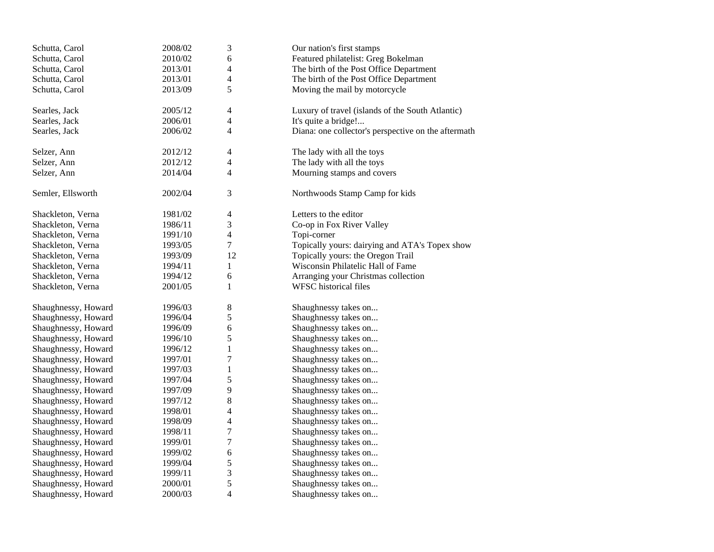| Schutta, Carol      | 2008/02 | 3                        | Our nation's first stamps                           |
|---------------------|---------|--------------------------|-----------------------------------------------------|
| Schutta, Carol      | 2010/02 | 6                        | Featured philatelist: Greg Bokelman                 |
| Schutta, Carol      | 2013/01 | $\overline{\mathcal{A}}$ | The birth of the Post Office Department             |
| Schutta, Carol      | 2013/01 | 4                        | The birth of the Post Office Department             |
| Schutta, Carol      | 2013/09 | 5                        | Moving the mail by motorcycle                       |
| Searles, Jack       | 2005/12 | 4                        |                                                     |
| Searles, Jack       | 2006/01 | $\overline{4}$           | Luxury of travel (islands of the South Atlantic)    |
|                     |         |                          | It's quite a bridge!                                |
| Searles, Jack       | 2006/02 | 4                        | Diana: one collector's perspective on the aftermath |
| Selzer, Ann         | 2012/12 | 4                        | The lady with all the toys                          |
| Selzer, Ann         | 2012/12 | $\overline{4}$           | The lady with all the toys                          |
| Selzer, Ann         | 2014/04 | 4                        | Mourning stamps and covers                          |
| Semler, Ellsworth   | 2002/04 | $\sqrt{3}$               | Northwoods Stamp Camp for kids                      |
| Shackleton, Verna   | 1981/02 | 4                        | Letters to the editor                               |
| Shackleton, Verna   | 1986/11 | $\mathfrak{Z}$           | Co-op in Fox River Valley                           |
| Shackleton, Verna   | 1991/10 | 4                        | Topi-corner                                         |
| Shackleton, Verna   | 1993/05 | $\tau$                   | Topically yours: dairying and ATA's Topex show      |
| Shackleton, Verna   | 1993/09 | 12                       | Topically yours: the Oregon Trail                   |
| Shackleton, Verna   | 1994/11 | 1                        | Wisconsin Philatelic Hall of Fame                   |
| Shackleton, Verna   | 1994/12 | 6                        | Arranging your Christmas collection                 |
| Shackleton, Verna   | 2001/05 | $\mathbf{1}$             | <b>WFSC</b> historical files                        |
| Shaughnessy, Howard | 1996/03 | 8                        | Shaughnessy takes on                                |
| Shaughnessy, Howard | 1996/04 | 5                        | Shaughnessy takes on                                |
| Shaughnessy, Howard | 1996/09 | 6                        | Shaughnessy takes on                                |
| Shaughnessy, Howard | 1996/10 | 5                        | Shaughnessy takes on                                |
| Shaughnessy, Howard | 1996/12 | $\mathbf{1}$             | Shaughnessy takes on                                |
| Shaughnessy, Howard | 1997/01 | $\tau$                   | Shaughnessy takes on                                |
| Shaughnessy, Howard | 1997/03 | $\mathbf{1}$             | Shaughnessy takes on                                |
| Shaughnessy, Howard | 1997/04 | 5                        | Shaughnessy takes on                                |
| Shaughnessy, Howard | 1997/09 | 9                        | Shaughnessy takes on                                |
| Shaughnessy, Howard | 1997/12 | $\,$ 8 $\,$              | Shaughnessy takes on                                |
| Shaughnessy, Howard | 1998/01 | 4                        | Shaughnessy takes on                                |
| Shaughnessy, Howard | 1998/09 | 4                        | Shaughnessy takes on                                |
| Shaughnessy, Howard | 1998/11 | $\boldsymbol{7}$         | Shaughnessy takes on                                |
| Shaughnessy, Howard | 1999/01 | $\tau$                   | Shaughnessy takes on                                |
| Shaughnessy, Howard | 1999/02 | 6                        | Shaughnessy takes on                                |
| Shaughnessy, Howard | 1999/04 | 5                        | Shaughnessy takes on                                |
| Shaughnessy, Howard | 1999/11 | 3                        | Shaughnessy takes on                                |
| Shaughnessy, Howard | 2000/01 | 5                        | Shaughnessy takes on                                |
| Shaughnessy, Howard | 2000/03 | $\overline{4}$           | Shaughnessy takes on                                |
|                     |         |                          |                                                     |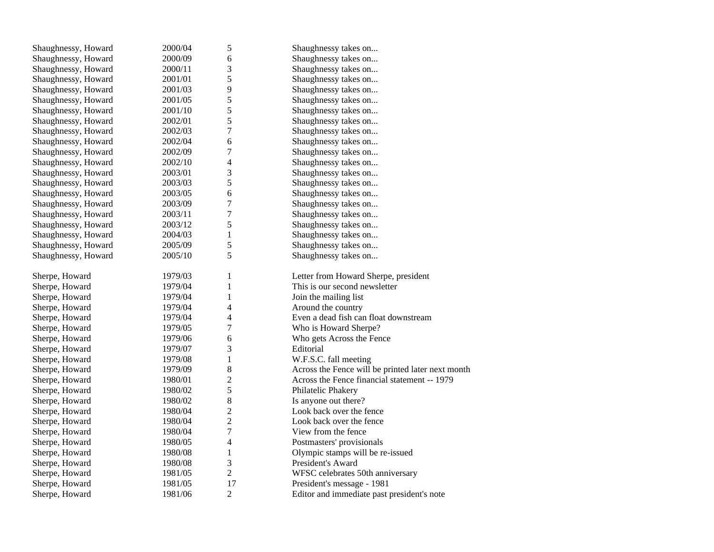| Shaughnessy, Howard | 2000/04 | 5                        | Shaughnessy takes on                              |
|---------------------|---------|--------------------------|---------------------------------------------------|
| Shaughnessy, Howard | 2000/09 | 6                        | Shaughnessy takes on                              |
| Shaughnessy, Howard | 2000/11 | 3                        | Shaughnessy takes on                              |
| Shaughnessy, Howard | 2001/01 | 5                        | Shaughnessy takes on                              |
| Shaughnessy, Howard | 2001/03 | 9                        | Shaughnessy takes on                              |
| Shaughnessy, Howard | 2001/05 | 5                        | Shaughnessy takes on                              |
| Shaughnessy, Howard | 2001/10 | 5                        | Shaughnessy takes on                              |
| Shaughnessy, Howard | 2002/01 | 5                        | Shaughnessy takes on                              |
| Shaughnessy, Howard | 2002/03 | $\overline{7}$           | Shaughnessy takes on                              |
| Shaughnessy, Howard | 2002/04 | 6                        | Shaughnessy takes on                              |
| Shaughnessy, Howard | 2002/09 | $\overline{7}$           | Shaughnessy takes on                              |
| Shaughnessy, Howard | 2002/10 | $\overline{\mathcal{L}}$ | Shaughnessy takes on                              |
| Shaughnessy, Howard | 2003/01 | 3                        | Shaughnessy takes on                              |
| Shaughnessy, Howard | 2003/03 | 5                        | Shaughnessy takes on                              |
| Shaughnessy, Howard | 2003/05 | 6                        | Shaughnessy takes on                              |
| Shaughnessy, Howard | 2003/09 | 7                        | Shaughnessy takes on                              |
| Shaughnessy, Howard | 2003/11 | $\overline{7}$           | Shaughnessy takes on                              |
| Shaughnessy, Howard | 2003/12 | 5                        | Shaughnessy takes on                              |
| Shaughnessy, Howard | 2004/03 | $\mathbf{1}$             | Shaughnessy takes on                              |
| Shaughnessy, Howard | 2005/09 | 5                        | Shaughnessy takes on                              |
| Shaughnessy, Howard | 2005/10 | 5                        | Shaughnessy takes on                              |
|                     |         |                          |                                                   |
| Sherpe, Howard      | 1979/03 | 1                        | Letter from Howard Sherpe, president              |
| Sherpe, Howard      | 1979/04 | $\mathbf{1}$             | This is our second newsletter                     |
| Sherpe, Howard      | 1979/04 | $\mathbf{1}$             | Join the mailing list                             |
| Sherpe, Howard      | 1979/04 | 4                        | Around the country                                |
| Sherpe, Howard      | 1979/04 | 4                        | Even a dead fish can float downstream             |
| Sherpe, Howard      | 1979/05 | 7                        | Who is Howard Sherpe?                             |
| Sherpe, Howard      | 1979/06 | 6                        | Who gets Across the Fence                         |
| Sherpe, Howard      | 1979/07 | 3                        | Editorial                                         |
| Sherpe, Howard      | 1979/08 | $\mathbf{1}$             | W.F.S.C. fall meeting                             |
| Sherpe, Howard      | 1979/09 | 8                        | Across the Fence will be printed later next month |
| Sherpe, Howard      | 1980/01 | $\overline{c}$           | Across the Fence financial statement -- 1979      |
| Sherpe, Howard      | 1980/02 | 5                        | Philatelic Phakery                                |
| Sherpe, Howard      | 1980/02 | 8                        | Is anyone out there?                              |
| Sherpe, Howard      | 1980/04 | $\overline{c}$           | Look back over the fence                          |
| Sherpe, Howard      | 1980/04 | $\overline{c}$           | Look back over the fence                          |
| Sherpe, Howard      | 1980/04 | $\overline{7}$           | View from the fence                               |
| Sherpe, Howard      | 1980/05 | $\overline{\mathcal{L}}$ | Postmasters' provisionals                         |
| Sherpe, Howard      | 1980/08 | $\mathbf{1}$             | Olympic stamps will be re-issued                  |
| Sherpe, Howard      | 1980/08 | 3                        | President's Award                                 |
| Sherpe, Howard      | 1981/05 | $\overline{c}$           | WFSC celebrates 50th anniversary                  |
| Sherpe, Howard      | 1981/05 | 17                       | President's message - 1981                        |
| Sherpe, Howard      | 1981/06 | $\overline{c}$           | Editor and immediate past president's note        |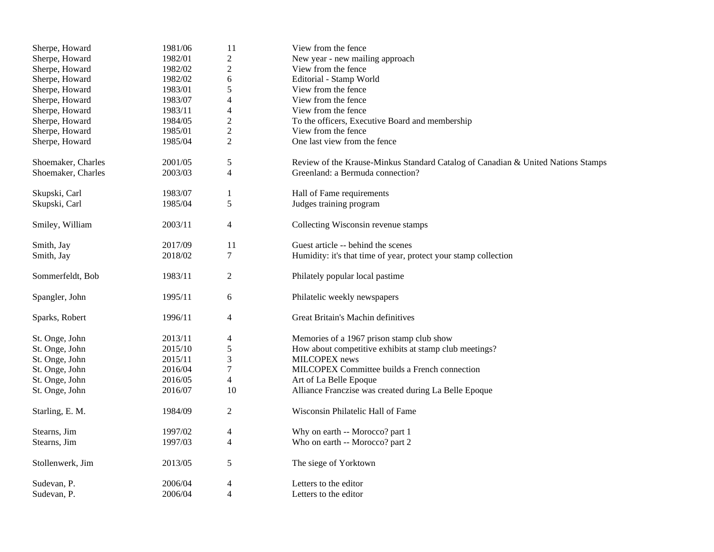| Sherpe, Howard     | 1981/06 | 11             | View from the fence                                                              |  |  |
|--------------------|---------|----------------|----------------------------------------------------------------------------------|--|--|
| Sherpe, Howard     | 1982/01 | $\mathbf{2}$   | New year - new mailing approach                                                  |  |  |
| Sherpe, Howard     | 1982/02 | $\overline{2}$ | View from the fence                                                              |  |  |
| Sherpe, Howard     | 1982/02 | 6              | Editorial - Stamp World                                                          |  |  |
| Sherpe, Howard     | 1983/01 | 5              | View from the fence                                                              |  |  |
| Sherpe, Howard     | 1983/07 | 4              | View from the fence                                                              |  |  |
| Sherpe, Howard     | 1983/11 | $\overline{4}$ | View from the fence                                                              |  |  |
| Sherpe, Howard     | 1984/05 | $\overline{2}$ | To the officers, Executive Board and membership                                  |  |  |
| Sherpe, Howard     | 1985/01 | $\overline{2}$ | View from the fence                                                              |  |  |
| Sherpe, Howard     | 1985/04 | $\overline{2}$ | One last view from the fence                                                     |  |  |
| Shoemaker, Charles | 2001/05 | 5              | Review of the Krause-Minkus Standard Catalog of Canadian & United Nations Stamps |  |  |
| Shoemaker, Charles | 2003/03 | $\overline{4}$ | Greenland: a Bermuda connection?                                                 |  |  |
| Skupski, Carl      | 1983/07 | $\mathbf{1}$   | Hall of Fame requirements                                                        |  |  |
| Skupski, Carl      | 1985/04 | 5              | Judges training program                                                          |  |  |
| Smiley, William    | 2003/11 | 4              | Collecting Wisconsin revenue stamps                                              |  |  |
| Smith, Jay         | 2017/09 | 11             | Guest article -- behind the scenes                                               |  |  |
| Smith, Jay         | 2018/02 | 7              | Humidity: it's that time of year, protect your stamp collection                  |  |  |
| Sommerfeldt, Bob   | 1983/11 | $\overline{c}$ | Philately popular local pastime                                                  |  |  |
| Spangler, John     | 1995/11 | 6              | Philatelic weekly newspapers                                                     |  |  |
| Sparks, Robert     | 1996/11 | $\overline{4}$ | Great Britain's Machin definitives                                               |  |  |
| St. Onge, John     | 2013/11 | 4              | Memories of a 1967 prison stamp club show                                        |  |  |
| St. Onge, John     | 2015/10 | 5              | How about competitive exhibits at stamp club meetings?                           |  |  |
| St. Onge, John     | 2015/11 | 3              | MILCOPEX news                                                                    |  |  |
| St. Onge, John     | 2016/04 | 7              | MILCOPEX Committee builds a French connection                                    |  |  |
| St. Onge, John     | 2016/05 | $\overline{4}$ | Art of La Belle Epoque                                                           |  |  |
| St. Onge, John     | 2016/07 | 10             | Alliance Franczise was created during La Belle Epoque                            |  |  |
| Starling, E. M.    | 1984/09 | $\overline{c}$ | Wisconsin Philatelic Hall of Fame                                                |  |  |
| Stearns, Jim       | 1997/02 | 4              | Why on earth -- Morocco? part 1                                                  |  |  |
| Stearns, Jim       | 1997/03 | $\overline{4}$ | Who on earth -- Morocco? part 2                                                  |  |  |
| Stollenwerk, Jim   | 2013/05 | 5              | The siege of Yorktown                                                            |  |  |
| Sudevan, P.        | 2006/04 | $\overline{4}$ | Letters to the editor                                                            |  |  |
| Sudevan, P.        | 2006/04 | $\overline{4}$ | Letters to the editor                                                            |  |  |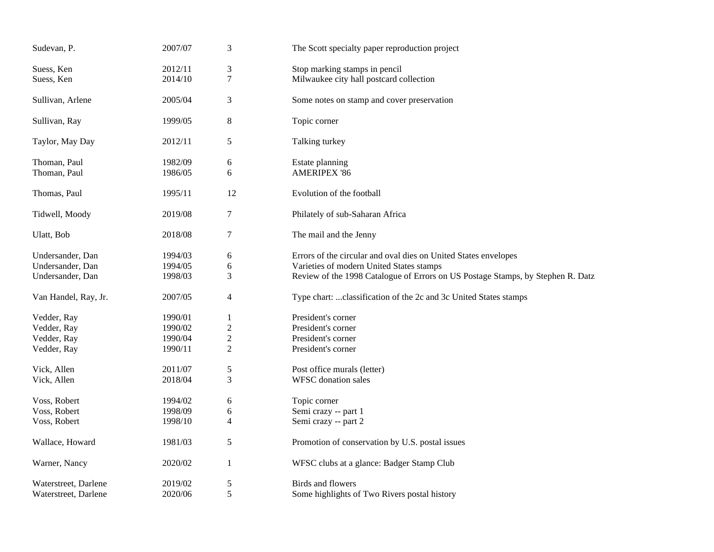| Sudevan, P.          | 2007/07 | 3                        | The Scott specialty paper reproduction project                                  |  |  |
|----------------------|---------|--------------------------|---------------------------------------------------------------------------------|--|--|
| Suess, Ken           | 2012/11 | 3                        | Stop marking stamps in pencil                                                   |  |  |
| Suess, Ken           | 2014/10 | $\tau$                   | Milwaukee city hall postcard collection                                         |  |  |
| Sullivan, Arlene     | 2005/04 | 3                        | Some notes on stamp and cover preservation                                      |  |  |
| Sullivan, Ray        | 1999/05 | $\,8\,$                  | Topic corner                                                                    |  |  |
| Taylor, May Day      | 2012/11 | 5                        | Talking turkey                                                                  |  |  |
| Thoman, Paul         | 1982/09 | 6                        | Estate planning                                                                 |  |  |
| Thoman, Paul         | 1986/05 | 6                        | <b>AMERIPEX '86</b>                                                             |  |  |
| Thomas, Paul         | 1995/11 | 12                       | Evolution of the football                                                       |  |  |
| Tidwell, Moody       | 2019/08 | 7                        | Philately of sub-Saharan Africa                                                 |  |  |
| Ulatt, Bob           | 2018/08 | 7                        | The mail and the Jenny                                                          |  |  |
| Undersander, Dan     | 1994/03 | 6                        | Errors of the circular and oval dies on United States envelopes                 |  |  |
| Undersander, Dan     | 1994/05 | 6                        | Varieties of modern United States stamps                                        |  |  |
| Undersander, Dan     | 1998/03 | 3                        | Review of the 1998 Catalogue of Errors on US Postage Stamps, by Stephen R. Datz |  |  |
| Van Handel, Ray, Jr. | 2007/05 | $\overline{\mathcal{A}}$ | Type chart:  classification of the 2c and 3c United States stamps               |  |  |
| Vedder, Ray          | 1990/01 | 1                        | President's corner                                                              |  |  |
| Vedder, Ray          | 1990/02 | 2                        | President's corner                                                              |  |  |
| Vedder, Ray          | 1990/04 | 2                        | President's corner                                                              |  |  |
| Vedder, Ray          | 1990/11 | $\overline{c}$           | President's corner                                                              |  |  |
| Vick, Allen          | 2011/07 | 5                        | Post office murals (letter)                                                     |  |  |
| Vick, Allen          | 2018/04 | 3                        | <b>WFSC</b> donation sales                                                      |  |  |
| Voss, Robert         | 1994/02 | 6                        | Topic corner                                                                    |  |  |
| Voss, Robert         | 1998/09 | 6                        | Semi crazy -- part 1                                                            |  |  |
| Voss, Robert         | 1998/10 | 4                        | Semi crazy -- part 2                                                            |  |  |
| Wallace, Howard      | 1981/03 | 5                        | Promotion of conservation by U.S. postal issues                                 |  |  |
| Warner, Nancy        | 2020/02 | 1                        | WFSC clubs at a glance: Badger Stamp Club                                       |  |  |
| Waterstreet, Darlene | 2019/02 | 5                        | Birds and flowers                                                               |  |  |
| Waterstreet, Darlene | 2020/06 | 5                        | Some highlights of Two Rivers postal history                                    |  |  |
|                      |         |                          |                                                                                 |  |  |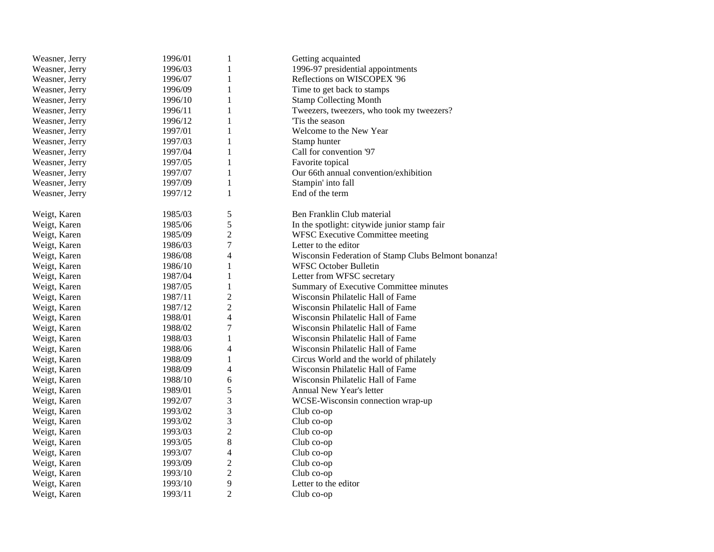| Weasner, Jerry | 1996/01 | $\mathbf{1}$   | Getting acquainted                                   |
|----------------|---------|----------------|------------------------------------------------------|
| Weasner, Jerry | 1996/03 | 1              | 1996-97 presidential appointments                    |
| Weasner, Jerry | 1996/07 | $\mathbf{1}$   | Reflections on WISCOPEX '96                          |
| Weasner, Jerry | 1996/09 | $\mathbf{1}$   | Time to get back to stamps                           |
| Weasner, Jerry | 1996/10 | 1              | <b>Stamp Collecting Month</b>                        |
| Weasner, Jerry | 1996/11 | 1              | Tweezers, tweezers, who took my tweezers?            |
| Weasner, Jerry | 1996/12 | $\mathbf{1}$   | Tis the season                                       |
| Weasner, Jerry | 1997/01 | $\mathbf{1}$   | Welcome to the New Year                              |
| Weasner, Jerry | 1997/03 | 1              | Stamp hunter                                         |
| Weasner, Jerry | 1997/04 | $\mathbf{1}$   | Call for convention '97                              |
| Weasner, Jerry | 1997/05 | $\mathbf{1}$   | Favorite topical                                     |
| Weasner, Jerry | 1997/07 | $\mathbf{1}$   | Our 66th annual convention/exhibition                |
| Weasner, Jerry | 1997/09 | $\mathbf{1}$   | Stampin' into fall                                   |
| Weasner, Jerry | 1997/12 | $\mathbf{1}$   | End of the term                                      |
| Weigt, Karen   | 1985/03 | 5              | Ben Franklin Club material                           |
| Weigt, Karen   | 1985/06 | 5              | In the spotlight: citywide junior stamp fair         |
| Weigt, Karen   | 1985/09 | $\overline{c}$ | WFSC Executive Committee meeting                     |
| Weigt, Karen   | 1986/03 | $\tau$         | Letter to the editor                                 |
| Weigt, Karen   | 1986/08 | 4              | Wisconsin Federation of Stamp Clubs Belmont bonanza! |
| Weigt, Karen   | 1986/10 | $\mathbf{1}$   | <b>WFSC October Bulletin</b>                         |
| Weigt, Karen   | 1987/04 | $\mathbf{1}$   | Letter from WFSC secretary                           |
| Weigt, Karen   | 1987/05 | $\mathbf{1}$   | Summary of Executive Committee minutes               |
| Weigt, Karen   | 1987/11 | $\overline{c}$ | Wisconsin Philatelic Hall of Fame                    |
| Weigt, Karen   | 1987/12 | $\overline{c}$ | Wisconsin Philatelic Hall of Fame                    |
| Weigt, Karen   | 1988/01 | $\overline{4}$ | Wisconsin Philatelic Hall of Fame                    |
| Weigt, Karen   | 1988/02 | $\tau$         | Wisconsin Philatelic Hall of Fame                    |
| Weigt, Karen   | 1988/03 | $\mathbf{1}$   | Wisconsin Philatelic Hall of Fame                    |
| Weigt, Karen   | 1988/06 | 4              | Wisconsin Philatelic Hall of Fame                    |
| Weigt, Karen   | 1988/09 | $\mathbf{1}$   | Circus World and the world of philately              |
| Weigt, Karen   | 1988/09 | 4              | Wisconsin Philatelic Hall of Fame                    |
| Weigt, Karen   | 1988/10 | 6              | Wisconsin Philatelic Hall of Fame                    |
| Weigt, Karen   | 1989/01 | 5              | Annual New Year's letter                             |
| Weigt, Karen   | 1992/07 | $\mathfrak{Z}$ | WCSE-Wisconsin connection wrap-up                    |
| Weigt, Karen   | 1993/02 | 3              | Club co-op                                           |
| Weigt, Karen   | 1993/02 | 3              | Club co-op                                           |
| Weigt, Karen   | 1993/03 | $\overline{2}$ | Club co-op                                           |
| Weigt, Karen   | 1993/05 | $\,8\,$        | Club co-op                                           |
| Weigt, Karen   | 1993/07 | $\overline{4}$ | Club co-op                                           |
| Weigt, Karen   | 1993/09 | $\overline{c}$ | Club co-op                                           |
| Weigt, Karen   | 1993/10 | $\overline{c}$ | Club co-op                                           |
| Weigt, Karen   | 1993/10 | 9              | Letter to the editor                                 |
| Weigt, Karen   | 1993/11 | $\overline{2}$ | $Club$ co-op                                         |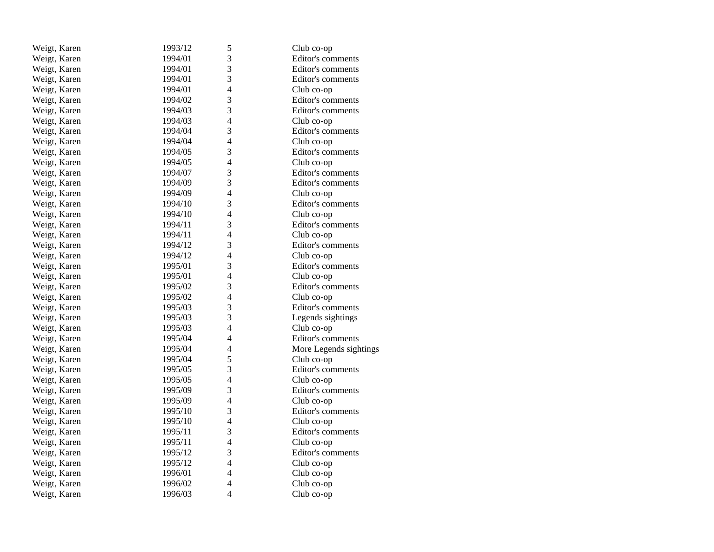| Weigt, Karen | 1993/12 | 5                        | Club co-op             |
|--------------|---------|--------------------------|------------------------|
| Weigt, Karen | 1994/01 | 3                        | Editor's comments      |
| Weigt, Karen | 1994/01 | 3                        | Editor's comments      |
| Weigt, Karen | 1994/01 | $\overline{3}$           | Editor's comments      |
| Weigt, Karen | 1994/01 | 4                        | Club co-op             |
| Weigt, Karen | 1994/02 | 3                        | Editor's comments      |
| Weigt, Karen | 1994/03 | 3                        | Editor's comments      |
| Weigt, Karen | 1994/03 | 4                        | Club co-op             |
| Weigt, Karen | 1994/04 | 3                        | Editor's comments      |
| Weigt, Karen | 1994/04 | 4                        | Club co-op             |
| Weigt, Karen | 1994/05 | 3                        | Editor's comments      |
| Weigt, Karen | 1994/05 | 4                        | Club co-op             |
| Weigt, Karen | 1994/07 | 3                        | Editor's comments      |
| Weigt, Karen | 1994/09 | 3                        | Editor's comments      |
| Weigt, Karen | 1994/09 | 4                        | Club co-op             |
| Weigt, Karen | 1994/10 | 3                        | Editor's comments      |
| Weigt, Karen | 1994/10 | 4                        | Club co-op             |
| Weigt, Karen | 1994/11 | 3                        | Editor's comments      |
| Weigt, Karen | 1994/11 | 4                        | Club co-op             |
| Weigt, Karen | 1994/12 | 3                        | Editor's comments      |
| Weigt, Karen | 1994/12 | 4                        | Club co-op             |
| Weigt, Karen | 1995/01 | 3                        | Editor's comments      |
| Weigt, Karen | 1995/01 | $\overline{4}$           | Club co-op             |
| Weigt, Karen | 1995/02 | 3                        | Editor's comments      |
| Weigt, Karen | 1995/02 | 4                        | Club co-op             |
| Weigt, Karen | 1995/03 | 3                        | Editor's comments      |
| Weigt, Karen | 1995/03 | 3                        | Legends sightings      |
| Weigt, Karen | 1995/03 | 4                        | Club co-op             |
| Weigt, Karen | 1995/04 | 4                        | Editor's comments      |
| Weigt, Karen | 1995/04 | 4                        | More Legends sightings |
| Weigt, Karen | 1995/04 | 5                        | Club co-op             |
| Weigt, Karen | 1995/05 | 3                        | Editor's comments      |
| Weigt, Karen | 1995/05 | 4                        | Club co-op             |
| Weigt, Karen | 1995/09 | 3                        | Editor's comments      |
| Weigt, Karen | 1995/09 | $\overline{4}$           | Club co-op             |
| Weigt, Karen | 1995/10 | 3                        | Editor's comments      |
| Weigt, Karen | 1995/10 | $\overline{\mathcal{L}}$ | Club co-op             |
| Weigt, Karen | 1995/11 | 3                        | Editor's comments      |
| Weigt, Karen | 1995/11 | $\overline{4}$           | Club co-op             |
| Weigt, Karen | 1995/12 | 3                        | Editor's comments      |
| Weigt, Karen | 1995/12 | 4                        | Club co-op             |
| Weigt, Karen | 1996/01 | 4                        | Club co-op             |
| Weigt, Karen | 1996/02 | $\overline{4}$           | Club co-op             |
| Weigt, Karen | 1996/03 | $\overline{4}$           | Club co-op             |
|              |         |                          |                        |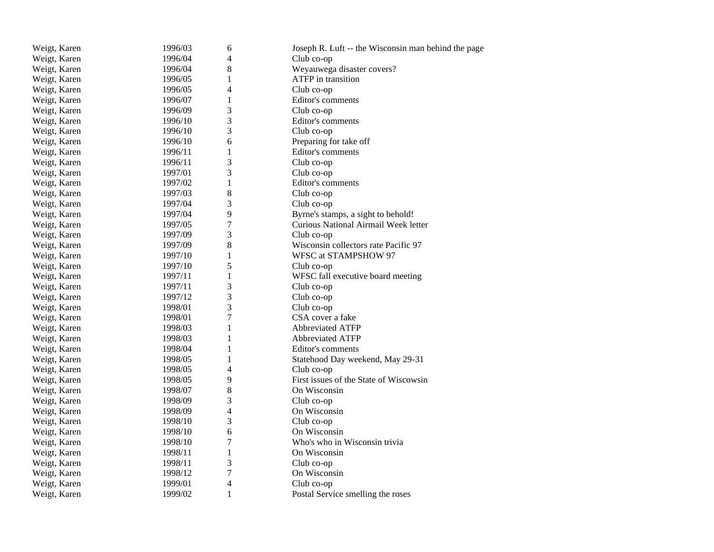| Weigt, Karen | 1996/03 | 6              | Joseph R. Luft -- the Wisconsin man behind the page |
|--------------|---------|----------------|-----------------------------------------------------|
| Weigt, Karen | 1996/04 | 4              | Club co-op                                          |
| Weigt, Karen | 1996/04 | 8              | Weyauwega disaster covers?                          |
| Weigt, Karen | 1996/05 | $\mathbf{1}$   | ATFP in transition                                  |
| Weigt, Karen | 1996/05 | 4              | Club co-op                                          |
| Weigt, Karen | 1996/07 | 1              | Editor's comments                                   |
| Weigt, Karen | 1996/09 | 3              | Club co-op                                          |
| Weigt, Karen | 1996/10 | 3              | Editor's comments                                   |
| Weigt, Karen | 1996/10 | 3              | Club co-op                                          |
| Weigt, Karen | 1996/10 | 6              | Preparing for take off                              |
| Weigt, Karen | 1996/11 | $\mathbf{1}$   | Editor's comments                                   |
| Weigt, Karen | 1996/11 | 3              | Club co-op                                          |
| Weigt, Karen | 1997/01 | 3              | Club co-op                                          |
| Weigt, Karen | 1997/02 | $\mathbf{1}$   | Editor's comments                                   |
| Weigt, Karen | 1997/03 | 8              | Club co-op                                          |
| Weigt, Karen | 1997/04 | 3              | Club co-op                                          |
| Weigt, Karen | 1997/04 | 9              | Byrne's stamps, a sight to behold!                  |
| Weigt, Karen | 1997/05 | $\overline{7}$ | Curious National Airmail Week letter                |
| Weigt, Karen | 1997/09 | 3              | Club co-op                                          |
| Weigt, Karen | 1997/09 | 8              | Wisconsin collectors rate Pacific 97                |
| Weigt, Karen | 1997/10 | $\mathbf{1}$   | WFSC at STAMPSHOW 97                                |
| Weigt, Karen | 1997/10 | 5              | Club co-op                                          |
| Weigt, Karen | 1997/11 | 1              | WFSC fall executive board meeting                   |
| Weigt, Karen | 1997/11 | 3              | Club co-op                                          |
| Weigt, Karen | 1997/12 | 3              | Club co-op                                          |
| Weigt, Karen | 1998/01 | 3              | Club co-op                                          |
| Weigt, Karen | 1998/01 | $\tau$         | CSA cover a fake                                    |
| Weigt, Karen | 1998/03 | $\mathbf{1}$   | <b>Abbreviated ATFP</b>                             |
| Weigt, Karen | 1998/03 | $\mathbf{1}$   | <b>Abbreviated ATFP</b>                             |
| Weigt, Karen | 1998/04 | $\mathbf{1}$   | Editor's comments                                   |
| Weigt, Karen | 1998/05 | $\mathbf{1}$   | Statehood Day weekend, May 29-31                    |
| Weigt, Karen | 1998/05 | 4              | Club co-op                                          |
| Weigt, Karen | 1998/05 | 9              | First issues of the State of Wiscowsin              |
| Weigt, Karen | 1998/07 | 8              | On Wisconsin                                        |
| Weigt, Karen | 1998/09 | 3              | Club co-op                                          |
| Weigt, Karen | 1998/09 | 4              | On Wisconsin                                        |
| Weigt, Karen | 1998/10 | 3              | Club co-op                                          |
| Weigt, Karen | 1998/10 | 6              | On Wisconsin                                        |
| Weigt, Karen | 1998/10 | $\overline{7}$ | Who's who in Wisconsin trivia                       |
| Weigt, Karen | 1998/11 | 1              | On Wisconsin                                        |
| Weigt, Karen | 1998/11 | 3              | Club co-op                                          |
| Weigt, Karen | 1998/12 | $\overline{7}$ | On Wisconsin                                        |
| Weigt, Karen | 1999/01 | 4              | Club co-op                                          |
| Weigt, Karen | 1999/02 | $\mathbf{1}$   | Postal Service smelling the roses                   |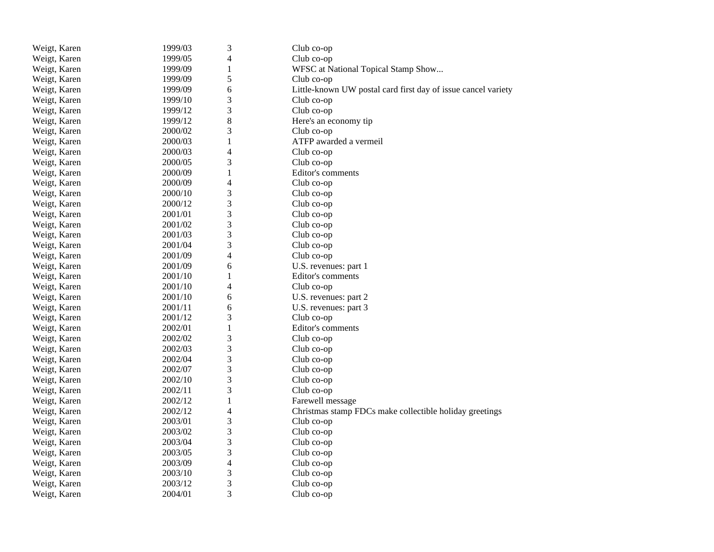| Weigt, Karen | 1999/03 | 3                        | Club co-op                                                    |
|--------------|---------|--------------------------|---------------------------------------------------------------|
| Weigt, Karen | 1999/05 | 4                        | Club co-op                                                    |
| Weigt, Karen | 1999/09 | 1                        | WFSC at National Topical Stamp Show                           |
| Weigt, Karen | 1999/09 | 5                        | Club co-op                                                    |
| Weigt, Karen | 1999/09 | 6                        | Little-known UW postal card first day of issue cancel variety |
| Weigt, Karen | 1999/10 | 3                        | Club co-op                                                    |
| Weigt, Karen | 1999/12 | 3                        | Club co-op                                                    |
| Weigt, Karen | 1999/12 | 8                        | Here's an economy tip                                         |
| Weigt, Karen | 2000/02 | 3                        | Club co-op                                                    |
| Weigt, Karen | 2000/03 | $\mathbf 1$              | ATFP awarded a vermeil                                        |
| Weigt, Karen | 2000/03 | 4                        | Club co-op                                                    |
| Weigt, Karen | 2000/05 | 3                        | Club co-op                                                    |
| Weigt, Karen | 2000/09 | $\mathbf{1}$             | Editor's comments                                             |
| Weigt, Karen | 2000/09 | 4                        | Club co-op                                                    |
| Weigt, Karen | 2000/10 | 3                        | Club co-op                                                    |
| Weigt, Karen | 2000/12 | 3                        | Club co-op                                                    |
| Weigt, Karen | 2001/01 | 3                        | Club co-op                                                    |
| Weigt, Karen | 2001/02 | 3                        | Club co-op                                                    |
| Weigt, Karen | 2001/03 | 3                        | Club co-op                                                    |
| Weigt, Karen | 2001/04 | 3                        | Club co-op                                                    |
| Weigt, Karen | 2001/09 | $\overline{\mathcal{L}}$ | Club co-op                                                    |
| Weigt, Karen | 2001/09 | 6                        | U.S. revenues: part 1                                         |
| Weigt, Karen | 2001/10 | 1                        | Editor's comments                                             |
| Weigt, Karen | 2001/10 | 4                        | Club co-op                                                    |
| Weigt, Karen | 2001/10 | 6                        | U.S. revenues: part 2                                         |
| Weigt, Karen | 2001/11 | 6                        | U.S. revenues: part 3                                         |
| Weigt, Karen | 2001/12 | 3                        | Club co-op                                                    |
| Weigt, Karen | 2002/01 | $\mathbf{1}$             | Editor's comments                                             |
| Weigt, Karen | 2002/02 | 3                        | Club co-op                                                    |
| Weigt, Karen | 2002/03 | 3                        | Club co-op                                                    |
| Weigt, Karen | 2002/04 | 3                        | Club co-op                                                    |
| Weigt, Karen | 2002/07 | 3                        | Club co-op                                                    |
| Weigt, Karen | 2002/10 | 3                        | Club co-op                                                    |
| Weigt, Karen | 2002/11 | 3                        | Club co-op                                                    |
| Weigt, Karen | 2002/12 | $\mathbf{1}$             | Farewell message                                              |
| Weigt, Karen | 2002/12 | 4                        | Christmas stamp FDCs make collectible holiday greetings       |
| Weigt, Karen | 2003/01 | 3                        | Club co-op                                                    |
| Weigt, Karen | 2003/02 | 3                        | Club co-op                                                    |
| Weigt, Karen | 2003/04 | 3                        | Club co-op                                                    |
| Weigt, Karen | 2003/05 | 3                        | Club co-op                                                    |
| Weigt, Karen | 2003/09 | 4                        | Club co-op                                                    |
| Weigt, Karen | 2003/10 | 3                        | Club co-op                                                    |
| Weigt, Karen | 2003/12 | 3                        | Club co-op                                                    |
| Weigt, Karen | 2004/01 | 3                        | Club co-op                                                    |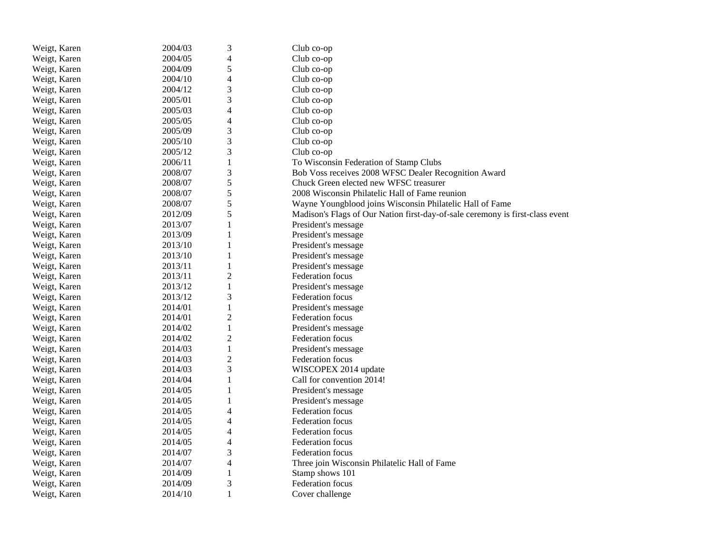| Weigt, Karen | 2004/03 | 3                       | Club co-op                                                                    |
|--------------|---------|-------------------------|-------------------------------------------------------------------------------|
| Weigt, Karen | 2004/05 | $\overline{4}$          | Club co-op                                                                    |
| Weigt, Karen | 2004/09 | 5                       | Club co-op                                                                    |
| Weigt, Karen | 2004/10 | $\overline{4}$          | Club co-op                                                                    |
| Weigt, Karen | 2004/12 | 3                       | Club co-op                                                                    |
| Weigt, Karen | 2005/01 | 3                       | Club co-op                                                                    |
| Weigt, Karen | 2005/03 | $\overline{\mathbf{4}}$ | Club co-op                                                                    |
| Weigt, Karen | 2005/05 | 4                       | Club co-op                                                                    |
| Weigt, Karen | 2005/09 | 3                       | Club co-op                                                                    |
| Weigt, Karen | 2005/10 | $\mathfrak{Z}$          | Club co-op                                                                    |
| Weigt, Karen | 2005/12 | 3                       | Club co-op                                                                    |
| Weigt, Karen | 2006/11 | $\,1\,$                 | To Wisconsin Federation of Stamp Clubs                                        |
| Weigt, Karen | 2008/07 | 3                       | Bob Voss receives 2008 WFSC Dealer Recognition Award                          |
| Weigt, Karen | 2008/07 | 5                       | Chuck Green elected new WFSC treasurer                                        |
| Weigt, Karen | 2008/07 | 5                       | 2008 Wisconsin Philatelic Hall of Fame reunion                                |
| Weigt, Karen | 2008/07 | 5                       | Wayne Youngblood joins Wisconsin Philatelic Hall of Fame                      |
| Weigt, Karen | 2012/09 | 5                       | Madison's Flags of Our Nation first-day-of-sale ceremony is first-class event |
| Weigt, Karen | 2013/07 | $\mathbf{1}$            | President's message                                                           |
| Weigt, Karen | 2013/09 | 1                       | President's message                                                           |
| Weigt, Karen | 2013/10 | $\mathbf{1}$            | President's message                                                           |
| Weigt, Karen | 2013/10 | $\mathbf{1}$            | President's message                                                           |
| Weigt, Karen | 2013/11 | $\mathbf 1$             | President's message                                                           |
| Weigt, Karen | 2013/11 | $\overline{2}$          | Federation focus                                                              |
| Weigt, Karen | 2013/12 | $\mathbf 1$             | President's message                                                           |
| Weigt, Karen | 2013/12 | $\mathfrak{Z}$          | Federation focus                                                              |
| Weigt, Karen | 2014/01 | $\mathbf{1}$            | President's message                                                           |
| Weigt, Karen | 2014/01 | $\overline{c}$          | Federation focus                                                              |
| Weigt, Karen | 2014/02 | $\mathbf{1}$            | President's message                                                           |
| Weigt, Karen | 2014/02 | $\overline{2}$          | Federation focus                                                              |
| Weigt, Karen | 2014/03 | $\,1\,$                 | President's message                                                           |
| Weigt, Karen | 2014/03 | $\mathfrak{2}$          | Federation focus                                                              |
| Weigt, Karen | 2014/03 | 3                       | WISCOPEX 2014 update                                                          |
| Weigt, Karen | 2014/04 | $\mathbf{1}$            | Call for convention 2014!                                                     |
| Weigt, Karen | 2014/05 | $\mathbf{1}$            | President's message                                                           |
| Weigt, Karen | 2014/05 | $\mathbf 1$             | President's message                                                           |
| Weigt, Karen | 2014/05 | 4                       | Federation focus                                                              |
| Weigt, Karen | 2014/05 | 4                       | Federation focus                                                              |
| Weigt, Karen | 2014/05 | $\overline{4}$          | Federation focus                                                              |
| Weigt, Karen | 2014/05 | 4                       | <b>Federation focus</b>                                                       |
| Weigt, Karen | 2014/07 | 3                       | <b>Federation</b> focus                                                       |
| Weigt, Karen | 2014/07 | $\overline{4}$          | Three join Wisconsin Philatelic Hall of Fame                                  |
| Weigt, Karen | 2014/09 | $\mathbf{1}$            | Stamp shows 101                                                               |
| Weigt, Karen | 2014/09 | 3                       | Federation focus                                                              |
| Weigt, Karen | 2014/10 | 1                       | Cover challenge                                                               |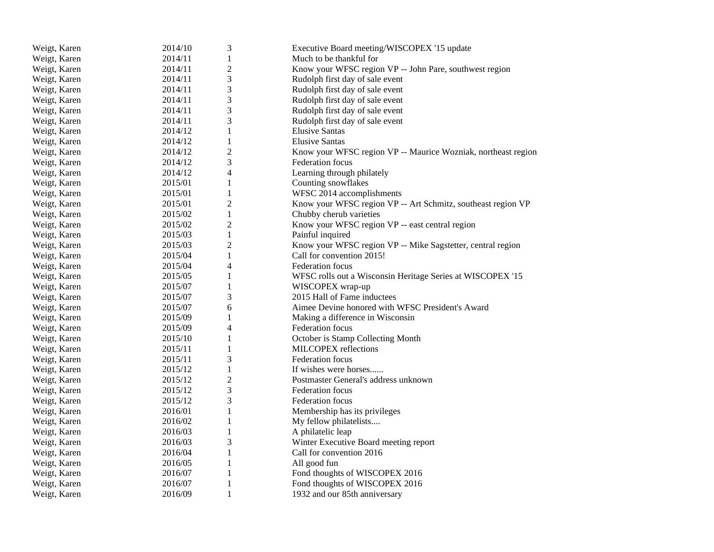| Weigt, Karen | 2014/10 | 3              | Executive Board meeting/WISCOPEX '15 update                   |
|--------------|---------|----------------|---------------------------------------------------------------|
| Weigt, Karen | 2014/11 | $\mathbf{1}$   | Much to be thankful for                                       |
| Weigt, Karen | 2014/11 | $\mathbf{2}$   | Know your WFSC region VP -- John Pare, southwest region       |
| Weigt, Karen | 2014/11 | 3              | Rudolph first day of sale event                               |
| Weigt, Karen | 2014/11 | 3              | Rudolph first day of sale event                               |
| Weigt, Karen | 2014/11 | 3              | Rudolph first day of sale event                               |
| Weigt, Karen | 2014/11 | 3              | Rudolph first day of sale event                               |
| Weigt, Karen | 2014/11 | 3              | Rudolph first day of sale event                               |
| Weigt, Karen | 2014/12 | 1              | <b>Elusive Santas</b>                                         |
| Weigt, Karen | 2014/12 | $\mathbf{1}$   | <b>Elusive Santas</b>                                         |
| Weigt, Karen | 2014/12 | $\overline{2}$ | Know your WFSC region VP -- Maurice Wozniak, northeast region |
| Weigt, Karen | 2014/12 | 3              | Federation focus                                              |
| Weigt, Karen | 2014/12 | 4              | Learning through philately                                    |
| Weigt, Karen | 2015/01 | $\mathbf{1}$   | Counting snowflakes                                           |
| Weigt, Karen | 2015/01 | 1              | WFSC 2014 accomplishments                                     |
| Weigt, Karen | 2015/01 | $\overline{c}$ | Know your WFSC region VP -- Art Schmitz, southeast region VP  |
| Weigt, Karen | 2015/02 | $\mathbf{1}$   | Chubby cherub varieties                                       |
| Weigt, Karen | 2015/02 | $\overline{2}$ | Know your WFSC region VP -- east central region               |
| Weigt, Karen | 2015/03 | $\mathbf{1}$   | Painful inquired                                              |
| Weigt, Karen | 2015/03 | $\mathbf{2}$   | Know your WFSC region VP -- Mike Sagstetter, central region   |
| Weigt, Karen | 2015/04 | $\mathbf{1}$   | Call for convention 2015!                                     |
| Weigt, Karen | 2015/04 | 4              | <b>Federation focus</b>                                       |
| Weigt, Karen | 2015/05 | 1              | WFSC rolls out a Wisconsin Heritage Series at WISCOPEX '15    |
| Weigt, Karen | 2015/07 | $\mathbf{1}$   | WISCOPEX wrap-up                                              |
| Weigt, Karen | 2015/07 | 3              | 2015 Hall of Fame inductees                                   |
| Weigt, Karen | 2015/07 | 6              | Aimee Devine honored with WFSC President's Award              |
| Weigt, Karen | 2015/09 | $\mathbf{1}$   | Making a difference in Wisconsin                              |
| Weigt, Karen | 2015/09 | 4              | Federation focus                                              |
| Weigt, Karen | 2015/10 | 1              | October is Stamp Collecting Month                             |
| Weigt, Karen | 2015/11 | 1              | MILCOPEX reflections                                          |
| Weigt, Karen | 2015/11 | 3              | <b>Federation</b> focus                                       |
| Weigt, Karen | 2015/12 | $\mathbf{1}$   | If wishes were horses                                         |
| Weigt, Karen | 2015/12 | $\sqrt{2}$     | Postmaster General's address unknown                          |
| Weigt, Karen | 2015/12 | 3              | <b>Federation</b> focus                                       |
| Weigt, Karen | 2015/12 | 3              | <b>Federation</b> focus                                       |
| Weigt, Karen | 2016/01 | $\mathbf{1}$   | Membership has its privileges                                 |
| Weigt, Karen | 2016/02 | $\mathbf{1}$   | My fellow philatelists                                        |
| Weigt, Karen | 2016/03 | $\,1$          | A philatelic leap                                             |
| Weigt, Karen | 2016/03 | 3              | Winter Executive Board meeting report                         |
| Weigt, Karen | 2016/04 | 1              | Call for convention 2016                                      |
| Weigt, Karen | 2016/05 | $\mathbf{1}$   | All good fun                                                  |
| Weigt, Karen | 2016/07 | $\mathbf{1}$   | Fond thoughts of WISCOPEX 2016                                |
| Weigt, Karen | 2016/07 | $\mathbf{1}$   | Fond thoughts of WISCOPEX 2016                                |
| Weigt, Karen | 2016/09 | 1              | 1932 and our 85th anniversary                                 |
|              |         |                |                                                               |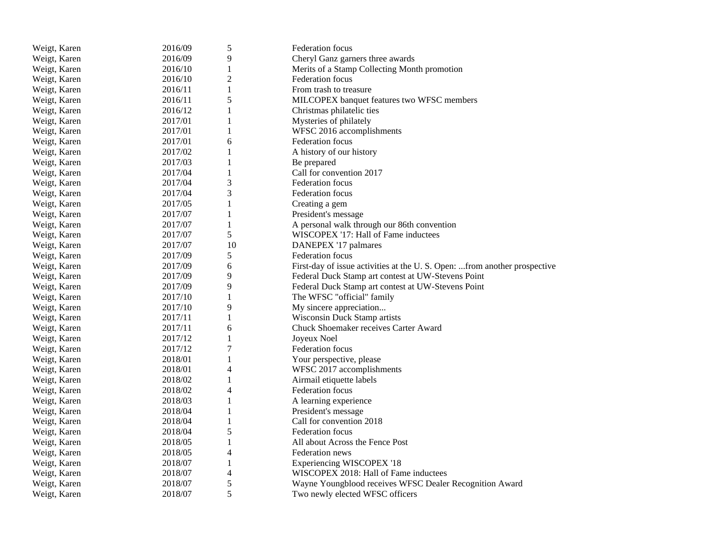| Weigt, Karen | 2016/09 | 5              | Federation focus                                                         |
|--------------|---------|----------------|--------------------------------------------------------------------------|
| Weigt, Karen | 2016/09 | 9              | Cheryl Ganz garners three awards                                         |
| Weigt, Karen | 2016/10 | 1              | Merits of a Stamp Collecting Month promotion                             |
| Weigt, Karen | 2016/10 | $\sqrt{2}$     | Federation focus                                                         |
| Weigt, Karen | 2016/11 | 1              | From trash to treasure                                                   |
| Weigt, Karen | 2016/11 | 5              | MILCOPEX banquet features two WFSC members                               |
| Weigt, Karen | 2016/12 | $\mathbf{1}$   | Christmas philatelic ties                                                |
| Weigt, Karen | 2017/01 | 1              | Mysteries of philately                                                   |
| Weigt, Karen | 2017/01 | 1              | WFSC 2016 accomplishments                                                |
| Weigt, Karen | 2017/01 | 6              | <b>Federation focus</b>                                                  |
| Weigt, Karen | 2017/02 | $\mathbf{1}$   | A history of our history                                                 |
| Weigt, Karen | 2017/03 | $\mathbf{1}$   | Be prepared                                                              |
| Weigt, Karen | 2017/04 | $\mathbf{1}$   | Call for convention 2017                                                 |
| Weigt, Karen | 2017/04 | 3              | <b>Federation focus</b>                                                  |
| Weigt, Karen | 2017/04 | 3              | <b>Federation focus</b>                                                  |
| Weigt, Karen | 2017/05 | 1              | Creating a gem                                                           |
| Weigt, Karen | 2017/07 | $\mathbf{1}$   | President's message                                                      |
| Weigt, Karen | 2017/07 | $\mathbf{1}$   | A personal walk through our 86th convention                              |
| Weigt, Karen | 2017/07 | 5              | WISCOPEX '17: Hall of Fame inductees                                     |
| Weigt, Karen | 2017/07 | 10             | DANEPEX '17 palmares                                                     |
| Weigt, Karen | 2017/09 | 5              | Federation focus                                                         |
| Weigt, Karen | 2017/09 | 6              | First-day of issue activities at the U.S. Open: from another prospective |
| Weigt, Karen | 2017/09 | 9              | Federal Duck Stamp art contest at UW-Stevens Point                       |
| Weigt, Karen | 2017/09 | 9              | Federal Duck Stamp art contest at UW-Stevens Point                       |
| Weigt, Karen | 2017/10 | 1              | The WFSC "official" family                                               |
| Weigt, Karen | 2017/10 | 9              | My sincere appreciation                                                  |
| Weigt, Karen | 2017/11 | 1              | Wisconsin Duck Stamp artists                                             |
| Weigt, Karen | 2017/11 | 6              | Chuck Shoemaker receives Carter Award                                    |
| Weigt, Karen | 2017/12 | 1              | Joyeux Noel                                                              |
| Weigt, Karen | 2017/12 | $\tau$         | <b>Federation focus</b>                                                  |
| Weigt, Karen | 2018/01 | $\mathbf{1}$   | Your perspective, please                                                 |
| Weigt, Karen | 2018/01 | 4              | WFSC 2017 accomplishments                                                |
| Weigt, Karen | 2018/02 | 1              | Airmail etiquette labels                                                 |
| Weigt, Karen | 2018/02 | $\overline{4}$ | Federation focus                                                         |
| Weigt, Karen | 2018/03 | 1              | A learning experience                                                    |
| Weigt, Karen | 2018/04 | $\mathbf{1}$   | President's message                                                      |
| Weigt, Karen | 2018/04 | $\mathbf{1}$   | Call for convention 2018                                                 |
| Weigt, Karen | 2018/04 | 5              | <b>Federation focus</b>                                                  |
| Weigt, Karen | 2018/05 | 1              | All about Across the Fence Post                                          |
| Weigt, Karen | 2018/05 | $\overline{4}$ | Federation news                                                          |
| Weigt, Karen | 2018/07 | 1              | <b>Experiencing WISCOPEX '18</b>                                         |
| Weigt, Karen | 2018/07 | 4              | WISCOPEX 2018: Hall of Fame inductees                                    |
| Weigt, Karen | 2018/07 | 5              | Wayne Youngblood receives WFSC Dealer Recognition Award                  |
| Weigt, Karen | 2018/07 | 5              | Two newly elected WFSC officers                                          |
|              |         |                |                                                                          |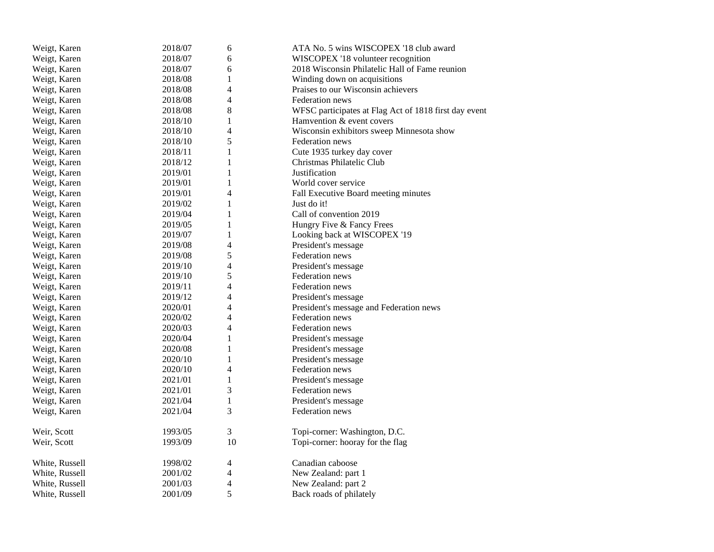| Weigt, Karen   | 2018/07 | 6              | ATA No. 5 wins WISCOPEX '18 club award                |
|----------------|---------|----------------|-------------------------------------------------------|
| Weigt, Karen   | 2018/07 | 6              | WISCOPEX '18 volunteer recognition                    |
| Weigt, Karen   | 2018/07 | 6              | 2018 Wisconsin Philatelic Hall of Fame reunion        |
| Weigt, Karen   | 2018/08 | $\mathbf{1}$   | Winding down on acquisitions                          |
| Weigt, Karen   | 2018/08 | 4              | Praises to our Wisconsin achievers                    |
| Weigt, Karen   | 2018/08 | $\overline{4}$ | <b>Federation</b> news                                |
| Weigt, Karen   | 2018/08 | 8              | WFSC participates at Flag Act of 1818 first day event |
| Weigt, Karen   | 2018/10 | $\mathbf{1}$   | Hamvention & event covers                             |
| Weigt, Karen   | 2018/10 | $\overline{4}$ | Wisconsin exhibitors sweep Minnesota show             |
| Weigt, Karen   | 2018/10 | 5              | Federation news                                       |
| Weigt, Karen   | 2018/11 | 1              | Cute 1935 turkey day cover                            |
| Weigt, Karen   | 2018/12 | 1              | Christmas Philatelic Club                             |
| Weigt, Karen   | 2019/01 | 1              | Justification                                         |
| Weigt, Karen   | 2019/01 | $\mathbf{1}$   | World cover service                                   |
| Weigt, Karen   | 2019/01 | $\overline{4}$ | Fall Executive Board meeting minutes                  |
| Weigt, Karen   | 2019/02 | 1              | Just do it!                                           |
| Weigt, Karen   | 2019/04 | $\mathbf{1}$   | Call of convention 2019                               |
| Weigt, Karen   | 2019/05 | $\mathbf{1}$   | Hungry Five & Fancy Frees                             |
| Weigt, Karen   | 2019/07 | $\mathbf{1}$   | Looking back at WISCOPEX '19                          |
| Weigt, Karen   | 2019/08 | $\overline{4}$ | President's message                                   |
| Weigt, Karen   | 2019/08 | 5              | Federation news                                       |
| Weigt, Karen   | 2019/10 | $\overline{4}$ | President's message                                   |
| Weigt, Karen   | 2019/10 | 5              | Federation news                                       |
| Weigt, Karen   | 2019/11 | $\overline{4}$ | Federation news                                       |
| Weigt, Karen   | 2019/12 | $\overline{4}$ | President's message                                   |
| Weigt, Karen   | 2020/01 | $\overline{4}$ | President's message and Federation news               |
| Weigt, Karen   | 2020/02 | $\overline{4}$ | Federation news                                       |
| Weigt, Karen   | 2020/03 | $\overline{4}$ | Federation news                                       |
| Weigt, Karen   | 2020/04 | 1              | President's message                                   |
| Weigt, Karen   | 2020/08 | $\mathbf{1}$   | President's message                                   |
| Weigt, Karen   | 2020/10 | $\mathbf{1}$   | President's message                                   |
| Weigt, Karen   | 2020/10 | 4              | Federation news                                       |
| Weigt, Karen   | 2021/01 | $\mathbf{1}$   | President's message                                   |
| Weigt, Karen   | 2021/01 | 3              | Federation news                                       |
| Weigt, Karen   | 2021/04 | $\mathbf{1}$   | President's message                                   |
| Weigt, Karen   | 2021/04 | 3              | Federation news                                       |
| Weir, Scott    | 1993/05 | $\mathfrak{Z}$ | Topi-corner: Washington, D.C.                         |
| Weir, Scott    | 1993/09 | 10             | Topi-corner: hooray for the flag                      |
| White, Russell | 1998/02 | 4              | Canadian caboose                                      |
| White, Russell | 2001/02 | 4              | New Zealand: part 1                                   |
| White, Russell | 2001/03 | 4              | New Zealand: part 2                                   |
| White, Russell | 2001/09 | 5              | Back roads of philately                               |
|                |         |                |                                                       |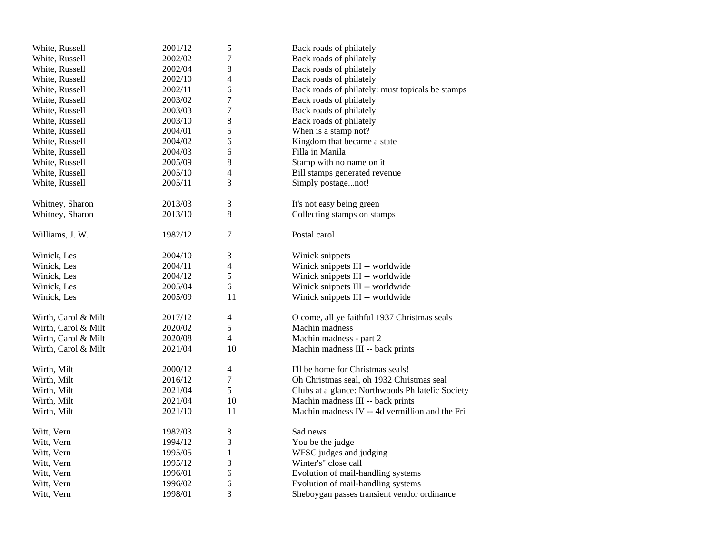| White, Russell      | 2001/12 | $\mathfrak s$  | Back roads of philately                          |
|---------------------|---------|----------------|--------------------------------------------------|
| White, Russell      | 2002/02 | 7              | Back roads of philately                          |
| White, Russell      | 2002/04 | 8              | Back roads of philately                          |
| White, Russell      | 2002/10 | 4              | Back roads of philately                          |
| White, Russell      | 2002/11 | 6              | Back roads of philately: must topicals be stamps |
| White, Russell      | 2003/02 | 7              | Back roads of philately                          |
| White, Russell      | 2003/03 | 7              | Back roads of philately                          |
| White, Russell      | 2003/10 | 8              | Back roads of philately                          |
| White, Russell      | 2004/01 | 5              | When is a stamp not?                             |
| White, Russell      | 2004/02 | 6              | Kingdom that became a state                      |
| White, Russell      | 2004/03 | 6              | Filla in Manila                                  |
| White, Russell      | 2005/09 | 8              | Stamp with no name on it                         |
| White, Russell      | 2005/10 | $\overline{4}$ | Bill stamps generated revenue                    |
| White, Russell      | 2005/11 | 3              | Simply postagenot!                               |
|                     |         |                |                                                  |
| Whitney, Sharon     | 2013/03 | 3              | It's not easy being green                        |
| Whitney, Sharon     | 2013/10 | 8              | Collecting stamps on stamps                      |
| Williams, J. W.     | 1982/12 | $\overline{7}$ | Postal carol                                     |
|                     |         |                |                                                  |
| Winick, Les         | 2004/10 | 3              | Winick snippets                                  |
| Winick, Les         | 2004/11 | 4              | Winick snippets III -- worldwide                 |
| Winick, Les         | 2004/12 | 5              | Winick snippets III -- worldwide                 |
| Winick, Les         | 2005/04 | 6              | Winick snippets III -- worldwide                 |
| Winick, Les         | 2005/09 | 11             | Winick snippets III -- worldwide                 |
| Wirth, Carol & Milt | 2017/12 | 4              | O come, all ye faithful 1937 Christmas seals     |
| Wirth, Carol & Milt | 2020/02 | 5              | Machin madness                                   |
| Wirth, Carol & Milt | 2020/08 | $\overline{4}$ | Machin madness - part 2                          |
| Wirth, Carol & Milt | 2021/04 | 10             | Machin madness III -- back prints                |
| Wirth, Milt         | 2000/12 | $\overline{4}$ | I'll be home for Christmas seals!                |
| Wirth, Milt         | 2016/12 | 7              | Oh Christmas seal, oh 1932 Christmas seal        |
| Wirth, Milt         | 2021/04 | 5              | Clubs at a glance: Northwoods Philatelic Society |
| Wirth, Milt         | 2021/04 | 10             | Machin madness III -- back prints                |
| Wirth, Milt         | 2021/10 | 11             | Machin madness IV -- 4d vermillion and the Fri   |
|                     |         |                |                                                  |
| Witt, Vern          | 1982/03 | 8              | Sad news                                         |
| Witt, Vern          | 1994/12 | 3              | You be the judge                                 |
| Witt, Vern          | 1995/05 | $\mathbf{1}$   | WFSC judges and judging                          |
| Witt, Vern          | 1995/12 | 3              | Winter's" close call                             |
| Witt, Vern          | 1996/01 | 6              | Evolution of mail-handling systems               |
| Witt, Vern          | 1996/02 | 6              | Evolution of mail-handling systems               |
| Witt, Vern          | 1998/01 | 3              | Sheboygan passes transient vendor ordinance      |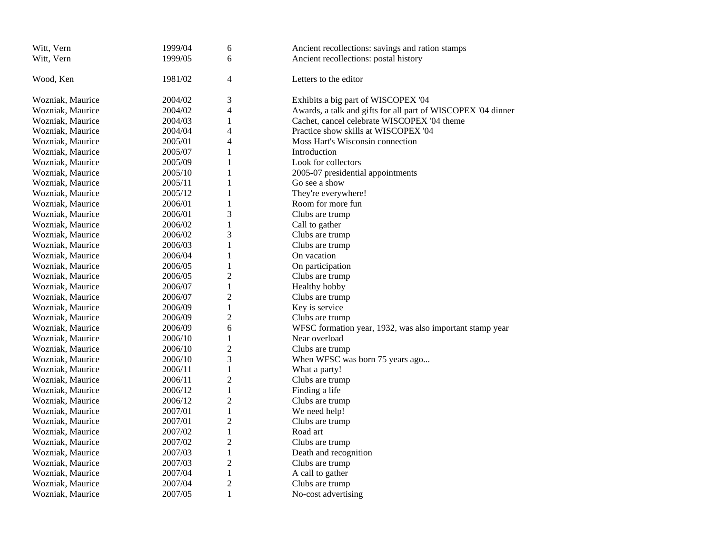| 1999/05<br>Witt, Vern<br>6<br>Ancient recollections: postal history<br>Wood, Ken<br>1981/02<br>4<br>Letters to the editor<br>3<br>Wozniak, Maurice<br>2004/02<br>Exhibits a big part of WISCOPEX '04<br>Awards, a talk and gifts for all part of WISCOPEX '04 dinner<br>2004/02<br>4<br>Wozniak, Maurice<br>$\mathbf{1}$<br>Cachet, cancel celebrate WISCOPEX '04 theme<br>Wozniak, Maurice<br>2004/03<br>2004/04<br>4<br>Practice show skills at WISCOPEX '04<br>Wozniak, Maurice<br>4<br>Wozniak, Maurice<br>2005/01<br>Moss Hart's Wisconsin connection<br>$\mathbf{1}$<br>2005/07<br>Wozniak, Maurice<br>Introduction | Witt, Vern       | 1999/04 | 6            | Ancient recollections: savings and ration stamps |
|---------------------------------------------------------------------------------------------------------------------------------------------------------------------------------------------------------------------------------------------------------------------------------------------------------------------------------------------------------------------------------------------------------------------------------------------------------------------------------------------------------------------------------------------------------------------------------------------------------------------------|------------------|---------|--------------|--------------------------------------------------|
|                                                                                                                                                                                                                                                                                                                                                                                                                                                                                                                                                                                                                           |                  |         |              |                                                  |
|                                                                                                                                                                                                                                                                                                                                                                                                                                                                                                                                                                                                                           |                  |         |              |                                                  |
|                                                                                                                                                                                                                                                                                                                                                                                                                                                                                                                                                                                                                           |                  |         |              |                                                  |
|                                                                                                                                                                                                                                                                                                                                                                                                                                                                                                                                                                                                                           |                  |         |              |                                                  |
|                                                                                                                                                                                                                                                                                                                                                                                                                                                                                                                                                                                                                           |                  |         |              |                                                  |
|                                                                                                                                                                                                                                                                                                                                                                                                                                                                                                                                                                                                                           |                  |         |              |                                                  |
|                                                                                                                                                                                                                                                                                                                                                                                                                                                                                                                                                                                                                           |                  |         |              |                                                  |
|                                                                                                                                                                                                                                                                                                                                                                                                                                                                                                                                                                                                                           |                  |         |              |                                                  |
|                                                                                                                                                                                                                                                                                                                                                                                                                                                                                                                                                                                                                           |                  |         |              |                                                  |
|                                                                                                                                                                                                                                                                                                                                                                                                                                                                                                                                                                                                                           |                  |         |              |                                                  |
|                                                                                                                                                                                                                                                                                                                                                                                                                                                                                                                                                                                                                           | Wozniak, Maurice | 2005/09 | $\mathbf{1}$ | Look for collectors                              |
| $\mathbf{1}$<br>2005-07 presidential appointments<br>Wozniak, Maurice<br>2005/10                                                                                                                                                                                                                                                                                                                                                                                                                                                                                                                                          |                  |         |              |                                                  |
| 2005/11<br>$\mathbf{1}$<br>Go see a show<br>Wozniak, Maurice                                                                                                                                                                                                                                                                                                                                                                                                                                                                                                                                                              |                  |         |              |                                                  |
| $\mathbf{1}$<br>Wozniak, Maurice<br>2005/12<br>They're everywhere!                                                                                                                                                                                                                                                                                                                                                                                                                                                                                                                                                        |                  |         |              |                                                  |
| $\mathbf{1}$<br>Room for more fun<br>2006/01<br>Wozniak, Maurice                                                                                                                                                                                                                                                                                                                                                                                                                                                                                                                                                          |                  |         |              |                                                  |
| 3<br>2006/01<br>Clubs are trump<br>Wozniak, Maurice                                                                                                                                                                                                                                                                                                                                                                                                                                                                                                                                                                       |                  |         |              |                                                  |
| $\mathbf{1}$<br>2006/02<br>Call to gather<br>Wozniak, Maurice                                                                                                                                                                                                                                                                                                                                                                                                                                                                                                                                                             |                  |         |              |                                                  |
| 3<br>Wozniak, Maurice<br>2006/02<br>Clubs are trump                                                                                                                                                                                                                                                                                                                                                                                                                                                                                                                                                                       |                  |         |              |                                                  |
| 1<br>Wozniak, Maurice<br>2006/03<br>Clubs are trump                                                                                                                                                                                                                                                                                                                                                                                                                                                                                                                                                                       |                  |         |              |                                                  |
| $\mathbf{1}$<br>On vacation<br>Wozniak, Maurice<br>2006/04                                                                                                                                                                                                                                                                                                                                                                                                                                                                                                                                                                |                  |         |              |                                                  |
| $\mathbf{1}$<br>On participation<br>Wozniak, Maurice<br>2006/05                                                                                                                                                                                                                                                                                                                                                                                                                                                                                                                                                           |                  |         |              |                                                  |
| $\overline{2}$<br>2006/05<br>Clubs are trump<br>Wozniak, Maurice                                                                                                                                                                                                                                                                                                                                                                                                                                                                                                                                                          |                  |         |              |                                                  |
| 2006/07<br>$\mathbf{1}$<br>Wozniak, Maurice<br>Healthy hobby                                                                                                                                                                                                                                                                                                                                                                                                                                                                                                                                                              |                  |         |              |                                                  |
| $\overline{2}$<br>2006/07<br>Clubs are trump<br>Wozniak, Maurice                                                                                                                                                                                                                                                                                                                                                                                                                                                                                                                                                          |                  |         |              |                                                  |
| $\mathbf{1}$<br>Wozniak, Maurice<br>2006/09<br>Key is service                                                                                                                                                                                                                                                                                                                                                                                                                                                                                                                                                             |                  |         |              |                                                  |
| $\overline{2}$<br>Wozniak, Maurice<br>2006/09<br>Clubs are trump                                                                                                                                                                                                                                                                                                                                                                                                                                                                                                                                                          |                  |         |              |                                                  |
| 6<br>Wozniak, Maurice<br>2006/09<br>WFSC formation year, 1932, was also important stamp year                                                                                                                                                                                                                                                                                                                                                                                                                                                                                                                              |                  |         |              |                                                  |
| 2006/10<br>1<br>Near overload<br>Wozniak, Maurice                                                                                                                                                                                                                                                                                                                                                                                                                                                                                                                                                                         |                  |         |              |                                                  |
| $\overline{2}$<br>2006/10<br>Wozniak, Maurice<br>Clubs are trump                                                                                                                                                                                                                                                                                                                                                                                                                                                                                                                                                          |                  |         |              |                                                  |
| 3<br>2006/10<br>When WFSC was born 75 years ago<br>Wozniak, Maurice                                                                                                                                                                                                                                                                                                                                                                                                                                                                                                                                                       |                  |         |              |                                                  |
| $\mathbf 1$<br>Wozniak, Maurice<br>2006/11<br>What a party!                                                                                                                                                                                                                                                                                                                                                                                                                                                                                                                                                               |                  |         |              |                                                  |
| $\overline{2}$<br>Wozniak, Maurice<br>2006/11<br>Clubs are trump                                                                                                                                                                                                                                                                                                                                                                                                                                                                                                                                                          |                  |         |              |                                                  |
| $\,1\,$<br>2006/12<br>Finding a life<br>Wozniak, Maurice                                                                                                                                                                                                                                                                                                                                                                                                                                                                                                                                                                  |                  |         |              |                                                  |
| $\overline{2}$<br>Wozniak, Maurice<br>2006/12<br>Clubs are trump                                                                                                                                                                                                                                                                                                                                                                                                                                                                                                                                                          |                  |         |              |                                                  |
| $\mathbf{1}$<br>2007/01<br>We need help!<br>Wozniak, Maurice                                                                                                                                                                                                                                                                                                                                                                                                                                                                                                                                                              |                  |         |              |                                                  |
| $\overline{2}$<br>2007/01<br>Clubs are trump<br>Wozniak, Maurice                                                                                                                                                                                                                                                                                                                                                                                                                                                                                                                                                          |                  |         |              |                                                  |
| $\mathbf 1$<br>2007/02<br>Road art<br>Wozniak, Maurice                                                                                                                                                                                                                                                                                                                                                                                                                                                                                                                                                                    |                  |         |              |                                                  |
| $\overline{2}$<br>2007/02<br>Clubs are trump<br>Wozniak, Maurice                                                                                                                                                                                                                                                                                                                                                                                                                                                                                                                                                          |                  |         |              |                                                  |
| $\mathbf{1}$<br>Wozniak, Maurice<br>2007/03<br>Death and recognition                                                                                                                                                                                                                                                                                                                                                                                                                                                                                                                                                      |                  |         |              |                                                  |
| $\overline{c}$<br>2007/03<br>Clubs are trump<br>Wozniak, Maurice                                                                                                                                                                                                                                                                                                                                                                                                                                                                                                                                                          |                  |         |              |                                                  |
| $\mathbf{1}$<br>Wozniak, Maurice<br>2007/04<br>A call to gather                                                                                                                                                                                                                                                                                                                                                                                                                                                                                                                                                           |                  |         |              |                                                  |
| $\overline{c}$<br>2007/04<br>Clubs are trump<br>Wozniak, Maurice                                                                                                                                                                                                                                                                                                                                                                                                                                                                                                                                                          |                  |         |              |                                                  |
| 2007/05<br>1<br>Wozniak, Maurice<br>No-cost advertising                                                                                                                                                                                                                                                                                                                                                                                                                                                                                                                                                                   |                  |         |              |                                                  |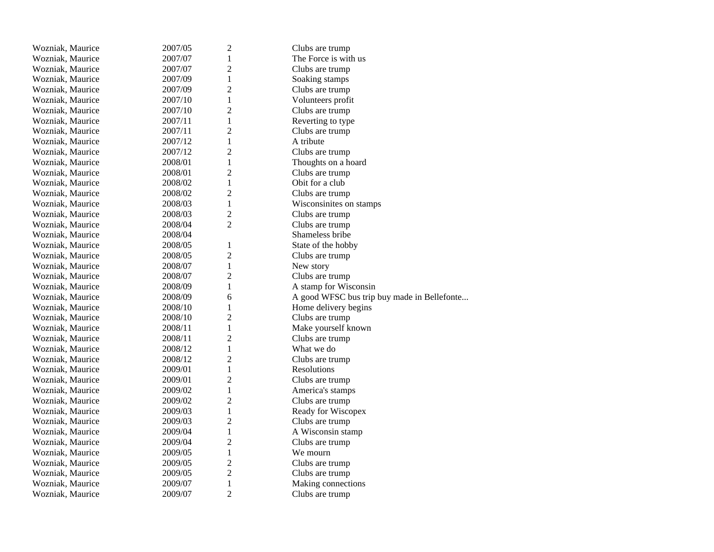| Wozniak, Maurice | 2007/05 | $\overline{c}$ | Clubs are trump                             |
|------------------|---------|----------------|---------------------------------------------|
| Wozniak, Maurice | 2007/07 | 1              | The Force is with us                        |
| Wozniak, Maurice | 2007/07 | $\overline{2}$ | Clubs are trump                             |
| Wozniak, Maurice | 2007/09 | $\mathbf{1}$   | Soaking stamps                              |
| Wozniak, Maurice | 2007/09 | $\overline{c}$ | Clubs are trump                             |
| Wozniak, Maurice | 2007/10 | $\mathbf{1}$   | Volunteers profit                           |
| Wozniak, Maurice | 2007/10 | $\overline{2}$ | Clubs are trump                             |
| Wozniak, Maurice | 2007/11 | $\mathbf{1}$   | Reverting to type                           |
| Wozniak, Maurice | 2007/11 | $\overline{c}$ | Clubs are trump                             |
| Wozniak, Maurice | 2007/12 | $\mathbf{1}$   | A tribute                                   |
| Wozniak, Maurice | 2007/12 | $\overline{2}$ | Clubs are trump                             |
| Wozniak, Maurice | 2008/01 | $\mathbf{1}$   | Thoughts on a hoard                         |
| Wozniak, Maurice | 2008/01 | $\overline{2}$ | Clubs are trump                             |
| Wozniak, Maurice | 2008/02 | $\mathbf{1}$   | Obit for a club                             |
| Wozniak, Maurice | 2008/02 | $\overline{2}$ | Clubs are trump                             |
| Wozniak, Maurice | 2008/03 | $\mathbf{1}$   | Wisconsinites on stamps                     |
| Wozniak, Maurice | 2008/03 | $\overline{c}$ | Clubs are trump                             |
| Wozniak, Maurice | 2008/04 | $\overline{2}$ | Clubs are trump                             |
| Wozniak, Maurice | 2008/04 |                | Shameless bribe                             |
| Wozniak, Maurice | 2008/05 | $\mathbf{1}$   | State of the hobby                          |
| Wozniak, Maurice | 2008/05 | $\overline{2}$ | Clubs are trump                             |
| Wozniak, Maurice | 2008/07 | $\mathbf{1}$   | New story                                   |
| Wozniak, Maurice | 2008/07 | $\overline{2}$ | Clubs are trump                             |
| Wozniak, Maurice | 2008/09 | $\mathbf{1}$   | A stamp for Wisconsin                       |
| Wozniak, Maurice | 2008/09 | 6              | A good WFSC bus trip buy made in Bellefonte |
| Wozniak, Maurice | 2008/10 | 1              | Home delivery begins                        |
| Wozniak, Maurice | 2008/10 | $\sqrt{2}$     | Clubs are trump                             |
| Wozniak, Maurice | 2008/11 | $\mathbf{1}$   | Make yourself known                         |
| Wozniak, Maurice | 2008/11 | $\overline{c}$ | Clubs are trump                             |
| Wozniak, Maurice | 2008/12 | $\mathbf{1}$   | What we do                                  |
| Wozniak, Maurice | 2008/12 | $\overline{c}$ | Clubs are trump                             |
| Wozniak, Maurice | 2009/01 | $\mathbf{1}$   | Resolutions                                 |
| Wozniak, Maurice | 2009/01 | $\overline{2}$ | Clubs are trump                             |
| Wozniak, Maurice | 2009/02 | $\mathbf{1}$   | America's stamps                            |
| Wozniak, Maurice | 2009/02 | $\overline{2}$ | Clubs are trump                             |
| Wozniak, Maurice | 2009/03 | $\mathbf{1}$   | Ready for Wiscopex                          |
| Wozniak, Maurice | 2009/03 | $\overline{2}$ | Clubs are trump                             |
| Wozniak, Maurice | 2009/04 | $\mathbf{1}$   | A Wisconsin stamp                           |
| Wozniak, Maurice | 2009/04 | $\overline{2}$ | Clubs are trump                             |
| Wozniak, Maurice | 2009/05 | 1              | We mourn                                    |
| Wozniak, Maurice | 2009/05 | $\overline{2}$ | Clubs are trump                             |
| Wozniak, Maurice | 2009/05 | $\overline{c}$ | Clubs are trump                             |
| Wozniak, Maurice | 2009/07 | $\mathbf{1}$   | Making connections                          |
| Wozniak, Maurice | 2009/07 | $\overline{2}$ | Clubs are trump                             |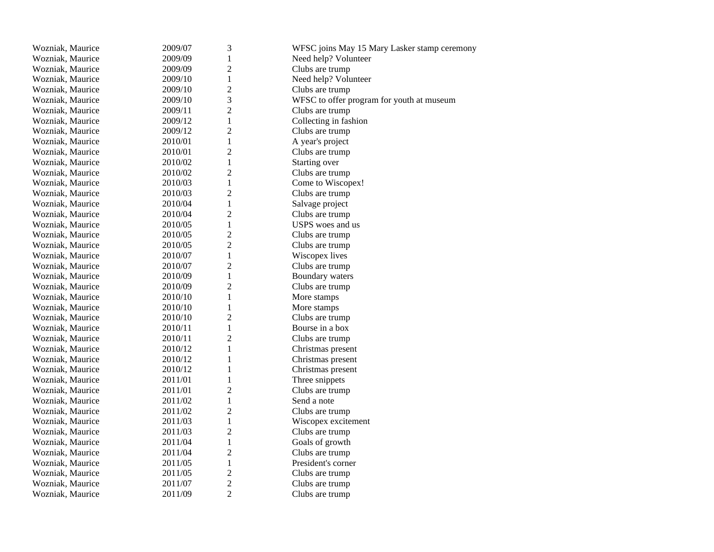| Wozniak, Maurice | 2009/07 | 3              | WFSC joins May 15 Mary Lasker stamp ceremony |
|------------------|---------|----------------|----------------------------------------------|
| Wozniak, Maurice | 2009/09 | $\mathbf{1}$   | Need help? Volunteer                         |
| Wozniak, Maurice | 2009/09 | $\overline{c}$ | Clubs are trump                              |
| Wozniak, Maurice | 2009/10 | $\mathbf{1}$   | Need help? Volunteer                         |
| Wozniak, Maurice | 2009/10 | $\overline{2}$ | Clubs are trump                              |
| Wozniak, Maurice | 2009/10 | 3              | WFSC to offer program for youth at museum    |
| Wozniak, Maurice | 2009/11 | $\overline{2}$ | Clubs are trump                              |
| Wozniak, Maurice | 2009/12 | $\mathbf{1}$   | Collecting in fashion                        |
| Wozniak, Maurice | 2009/12 | $\overline{2}$ | Clubs are trump                              |
| Wozniak, Maurice | 2010/01 | $\mathbf{1}$   | A year's project                             |
| Wozniak, Maurice | 2010/01 | $\overline{2}$ | Clubs are trump                              |
| Wozniak, Maurice | 2010/02 | $\mathbf{1}$   | Starting over                                |
| Wozniak, Maurice | 2010/02 | $\overline{c}$ | Clubs are trump                              |
| Wozniak, Maurice | 2010/03 | $\mathbf{1}$   | Come to Wiscopex!                            |
| Wozniak, Maurice | 2010/03 | $\overline{c}$ | Clubs are trump                              |
| Wozniak, Maurice | 2010/04 | $\mathbf{1}$   | Salvage project                              |
| Wozniak, Maurice | 2010/04 | $\overline{2}$ | Clubs are trump                              |
| Wozniak, Maurice | 2010/05 | $\mathbf{1}$   | USPS woes and us                             |
| Wozniak, Maurice | 2010/05 | $\overline{c}$ | Clubs are trump                              |
| Wozniak, Maurice | 2010/05 | $\overline{c}$ | Clubs are trump                              |
| Wozniak, Maurice | 2010/07 | $\mathbf{1}$   | Wiscopex lives                               |
| Wozniak, Maurice | 2010/07 | $\overline{2}$ | Clubs are trump                              |
| Wozniak, Maurice | 2010/09 | $\mathbf{1}$   | Boundary waters                              |
| Wozniak, Maurice | 2010/09 | $\overline{2}$ | Clubs are trump                              |
| Wozniak, Maurice | 2010/10 | $\mathbf{1}$   | More stamps                                  |
| Wozniak, Maurice | 2010/10 | 1              | More stamps                                  |
| Wozniak, Maurice | 2010/10 | $\overline{2}$ | Clubs are trump                              |
| Wozniak, Maurice | 2010/11 | $\mathbf{1}$   | Bourse in a box                              |
| Wozniak, Maurice | 2010/11 | $\overline{2}$ | Clubs are trump                              |
| Wozniak, Maurice | 2010/12 | $\mathbf{1}$   | Christmas present                            |
| Wozniak, Maurice | 2010/12 | $\mathbf{1}$   | Christmas present                            |
| Wozniak, Maurice | 2010/12 | $\mathbf{1}$   | Christmas present                            |
| Wozniak, Maurice | 2011/01 | $\mathbf{1}$   | Three snippets                               |
| Wozniak, Maurice | 2011/01 | $\overline{2}$ | Clubs are trump                              |
| Wozniak, Maurice | 2011/02 | $\mathbf{1}$   | Send a note                                  |
| Wozniak, Maurice | 2011/02 | $\overline{c}$ | Clubs are trump                              |
| Wozniak, Maurice | 2011/03 | $\mathbf{1}$   | Wiscopex excitement                          |
| Wozniak, Maurice | 2011/03 | $\overline{c}$ | Clubs are trump                              |
| Wozniak, Maurice | 2011/04 | $\mathbf{1}$   | Goals of growth                              |
| Wozniak, Maurice | 2011/04 | $\overline{2}$ | Clubs are trump                              |
| Wozniak, Maurice | 2011/05 | $\mathbf{1}$   | President's corner                           |
| Wozniak, Maurice | 2011/05 | $\mathfrak{2}$ | Clubs are trump                              |
| Wozniak, Maurice | 2011/07 | $\overline{c}$ | Clubs are trump                              |
| Wozniak, Maurice | 2011/09 | $\overline{2}$ | Clubs are trump                              |
|                  |         |                |                                              |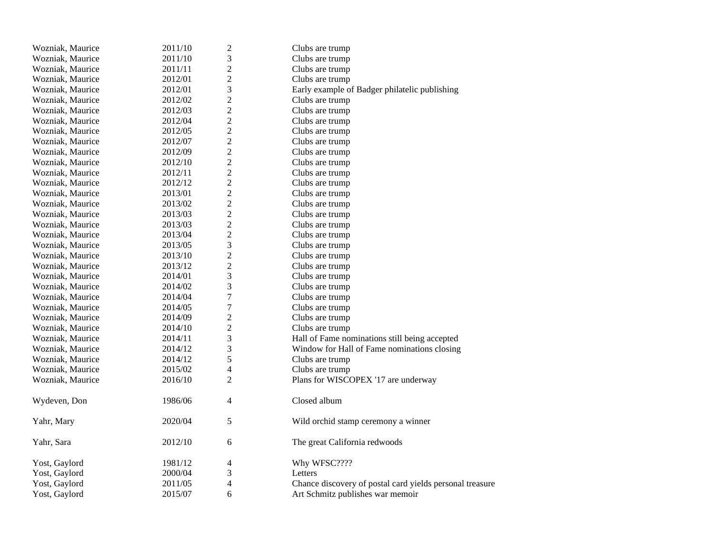| Wozniak, Maurice | 2011/10 | $\boldsymbol{2}$ | Clubs are trump                                          |
|------------------|---------|------------------|----------------------------------------------------------|
| Wozniak, Maurice | 2011/10 | 3                | Clubs are trump                                          |
| Wozniak, Maurice | 2011/11 | $\overline{c}$   | Clubs are trump                                          |
| Wozniak, Maurice | 2012/01 | $\overline{2}$   | Clubs are trump                                          |
| Wozniak, Maurice | 2012/01 | 3                | Early example of Badger philatelic publishing            |
| Wozniak, Maurice | 2012/02 | $\overline{2}$   | Clubs are trump                                          |
| Wozniak, Maurice | 2012/03 | $\overline{c}$   | Clubs are trump                                          |
| Wozniak, Maurice | 2012/04 | $\overline{c}$   | Clubs are trump                                          |
| Wozniak, Maurice | 2012/05 | $\overline{2}$   | Clubs are trump                                          |
| Wozniak, Maurice | 2012/07 | $\overline{2}$   | Clubs are trump                                          |
| Wozniak, Maurice | 2012/09 | $\overline{c}$   | Clubs are trump                                          |
| Wozniak, Maurice | 2012/10 | $\overline{c}$   | Clubs are trump                                          |
| Wozniak, Maurice | 2012/11 | $\overline{2}$   | Clubs are trump                                          |
| Wozniak, Maurice | 2012/12 | $\overline{2}$   | Clubs are trump                                          |
| Wozniak, Maurice | 2013/01 | $\overline{c}$   | Clubs are trump                                          |
| Wozniak, Maurice | 2013/02 | $\overline{c}$   | Clubs are trump                                          |
| Wozniak, Maurice | 2013/03 | $\overline{2}$   | Clubs are trump                                          |
| Wozniak, Maurice | 2013/03 | $\overline{2}$   | Clubs are trump                                          |
| Wozniak, Maurice | 2013/04 | $\overline{2}$   | Clubs are trump                                          |
| Wozniak, Maurice | 2013/05 | $\mathfrak{Z}$   | Clubs are trump                                          |
| Wozniak, Maurice | 2013/10 | $\overline{c}$   | Clubs are trump                                          |
| Wozniak, Maurice | 2013/12 | $\overline{2}$   | Clubs are trump                                          |
| Wozniak, Maurice | 2014/01 | 3                | Clubs are trump                                          |
| Wozniak, Maurice | 2014/02 | 3                | Clubs are trump                                          |
| Wozniak, Maurice | 2014/04 | $\sqrt{ }$       | Clubs are trump                                          |
| Wozniak, Maurice | 2014/05 | $\overline{7}$   | Clubs are trump                                          |
| Wozniak, Maurice | 2014/09 | $\overline{c}$   | Clubs are trump                                          |
| Wozniak, Maurice | 2014/10 | $\overline{2}$   | Clubs are trump                                          |
| Wozniak, Maurice | 2014/11 | 3                | Hall of Fame nominations still being accepted            |
| Wozniak, Maurice | 2014/12 | $\mathfrak{Z}$   | Window for Hall of Fame nominations closing              |
| Wozniak, Maurice | 2014/12 | 5                | Clubs are trump                                          |
| Wozniak, Maurice | 2015/02 | $\overline{4}$   | Clubs are trump                                          |
| Wozniak, Maurice | 2016/10 | $\overline{2}$   | Plans for WISCOPEX '17 are underway                      |
| Wydeven, Don     | 1986/06 | 4                | Closed album                                             |
| Yahr, Mary       | 2020/04 | 5                | Wild orchid stamp ceremony a winner                      |
| Yahr, Sara       | 2012/10 | 6                | The great California redwoods                            |
| Yost, Gaylord    | 1981/12 | 4                | Why WFSC????                                             |
| Yost, Gaylord    | 2000/04 | 3                | Letters                                                  |
| Yost, Gaylord    | 2011/05 | $\overline{4}$   | Chance discovery of postal card yields personal treasure |
| Yost, Gaylord    | 2015/07 | 6                | Art Schmitz publishes war memoir                         |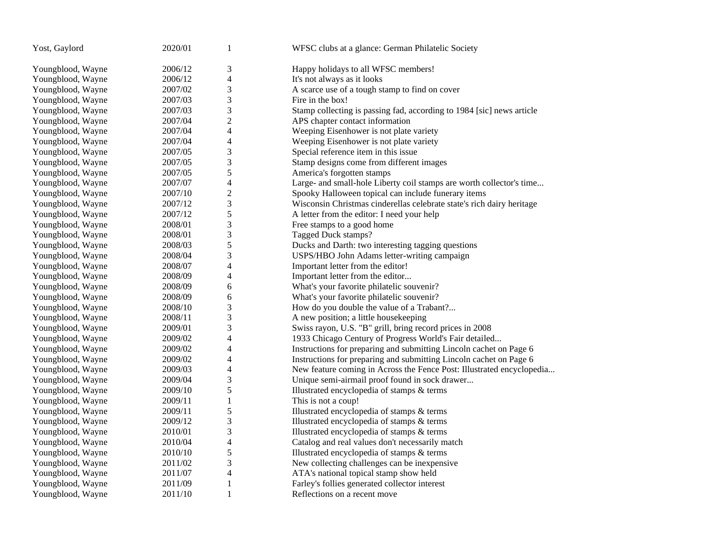| Yost, Gaylord     | 2020/01 | 1              | WFSC clubs at a glance: German Philatelic Society                     |
|-------------------|---------|----------------|-----------------------------------------------------------------------|
| Youngblood, Wayne | 2006/12 | 3              | Happy holidays to all WFSC members!                                   |
| Youngblood, Wayne | 2006/12 | 4              | It's not always as it looks                                           |
| Youngblood, Wayne | 2007/02 | 3              | A scarce use of a tough stamp to find on cover                        |
| Youngblood, Wayne | 2007/03 | 3              | Fire in the box!                                                      |
| Youngblood, Wayne | 2007/03 | 3              | Stamp collecting is passing fad, according to 1984 [sic] news article |
| Youngblood, Wayne | 2007/04 | $\overline{c}$ | APS chapter contact information                                       |
| Youngblood, Wayne | 2007/04 | 4              | Weeping Eisenhower is not plate variety                               |
| Youngblood, Wayne | 2007/04 | 4              | Weeping Eisenhower is not plate variety                               |
| Youngblood, Wayne | 2007/05 | 3              | Special reference item in this issue                                  |
| Youngblood, Wayne | 2007/05 | 3              | Stamp designs come from different images                              |
| Youngblood, Wayne | 2007/05 | 5              | America's forgotten stamps                                            |
| Youngblood, Wayne | 2007/07 | 4              | Large- and small-hole Liberty coil stamps are worth collector's time  |
| Youngblood, Wayne | 2007/10 | $\overline{c}$ | Spooky Halloween topical can include funerary items                   |
| Youngblood, Wayne | 2007/12 | 3              | Wisconsin Christmas cinderellas celebrate state's rich dairy heritage |
| Youngblood, Wayne | 2007/12 | 5              | A letter from the editor: I need your help                            |
| Youngblood, Wayne | 2008/01 | 3              | Free stamps to a good home                                            |
| Youngblood, Wayne | 2008/01 | 3              | Tagged Duck stamps?                                                   |
| Youngblood, Wayne | 2008/03 | 5              | Ducks and Darth: two interesting tagging questions                    |
| Youngblood, Wayne | 2008/04 | 3              | USPS/HBO John Adams letter-writing campaign                           |
| Youngblood, Wayne | 2008/07 | 4              | Important letter from the editor!                                     |
| Youngblood, Wayne | 2008/09 | 4              | Important letter from the editor                                      |
| Youngblood, Wayne | 2008/09 | 6              | What's your favorite philatelic souvenir?                             |
| Youngblood, Wayne | 2008/09 | 6              | What's your favorite philatelic souvenir?                             |
| Youngblood, Wayne | 2008/10 | 3              | How do you double the value of a Trabant?                             |
| Youngblood, Wayne | 2008/11 | 3              | A new position; a little housekeeping                                 |
| Youngblood, Wayne | 2009/01 | 3              | Swiss rayon, U.S. "B" grill, bring record prices in 2008              |
| Youngblood, Wayne | 2009/02 | 4              | 1933 Chicago Century of Progress World's Fair detailed                |
| Youngblood, Wayne | 2009/02 | 4              | Instructions for preparing and submitting Lincoln cachet on Page 6    |
| Youngblood, Wayne | 2009/02 | 4              | Instructions for preparing and submitting Lincoln cachet on Page 6    |
| Youngblood, Wayne | 2009/03 | 4              | New feature coming in Across the Fence Post: Illustrated encyclopedia |
| Youngblood, Wayne | 2009/04 | 3              | Unique semi-airmail proof found in sock drawer                        |
| Youngblood, Wayne | 2009/10 | 5              | Illustrated encyclopedia of stamps & terms                            |
| Youngblood, Wayne | 2009/11 | $\mathbf{1}$   | This is not a coup!                                                   |
| Youngblood, Wayne | 2009/11 | 5              | Illustrated encyclopedia of stamps & terms                            |
| Youngblood, Wayne | 2009/12 | 3              | Illustrated encyclopedia of stamps & terms                            |
| Youngblood, Wayne | 2010/01 | 3              | Illustrated encyclopedia of stamps & terms                            |
| Youngblood, Wayne | 2010/04 | 4              | Catalog and real values don't necessarily match                       |
| Youngblood, Wayne | 2010/10 | 5              | Illustrated encyclopedia of stamps & terms                            |
| Youngblood, Wayne | 2011/02 | 3              | New collecting challenges can be inexpensive                          |
| Youngblood, Wayne | 2011/07 | 4              | ATA's national topical stamp show held                                |
| Youngblood, Wayne | 2011/09 | 1              | Farley's follies generated collector interest                         |
| Youngblood, Wayne | 2011/10 | $\mathbf{1}$   | Reflections on a recent move                                          |